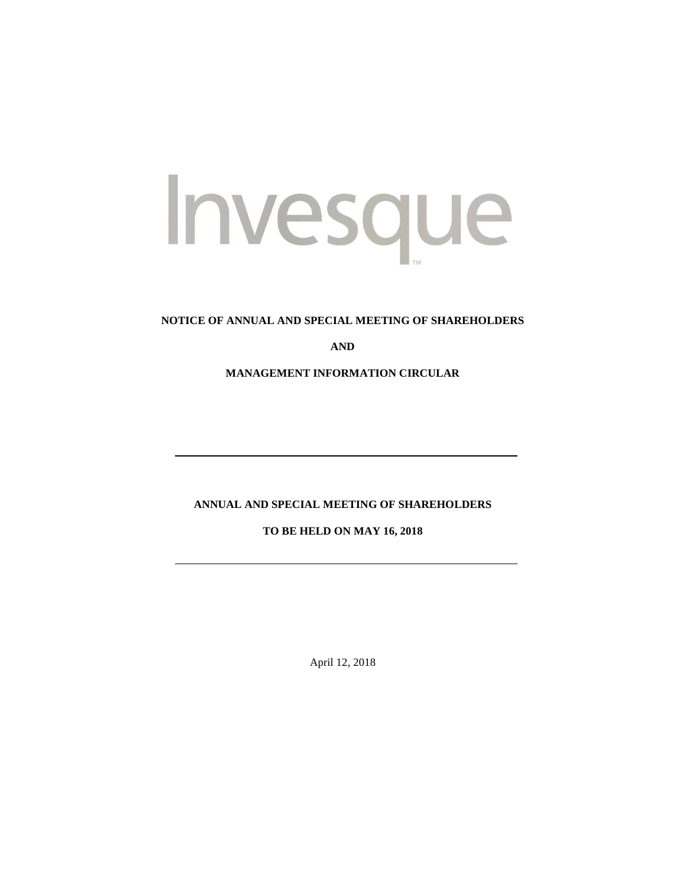# Invesque

## **NOTICE OF ANNUAL AND SPECIAL MEETING OF SHAREHOLDERS**

**AND**

**MANAGEMENT INFORMATION CIRCULAR**

# **ANNUAL AND SPECIAL MEETING OF SHAREHOLDERS**

**TO BE HELD ON MAY 16, 2018**

April 12, 2018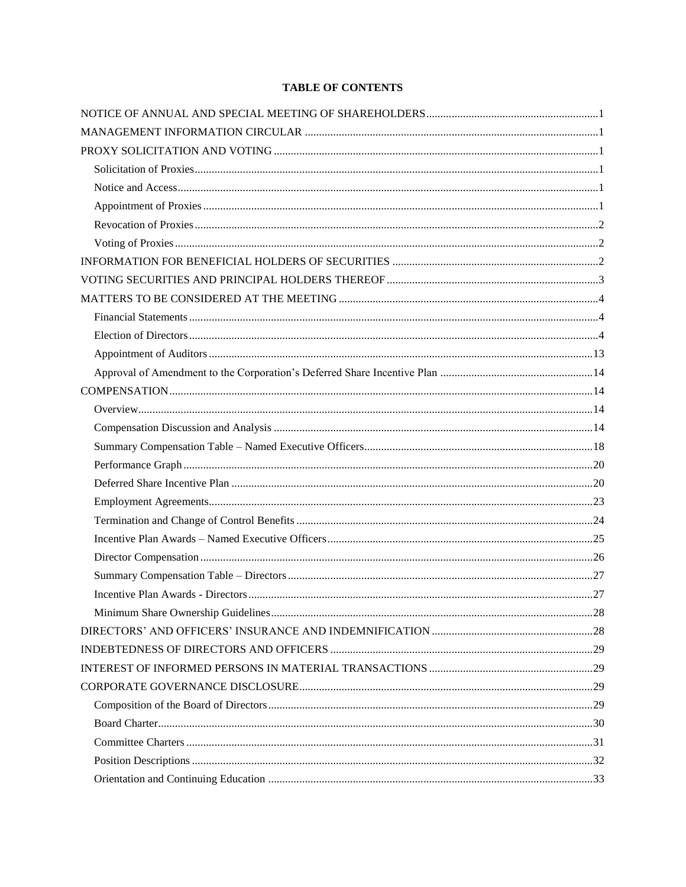# **TABLE OF CONTENTS**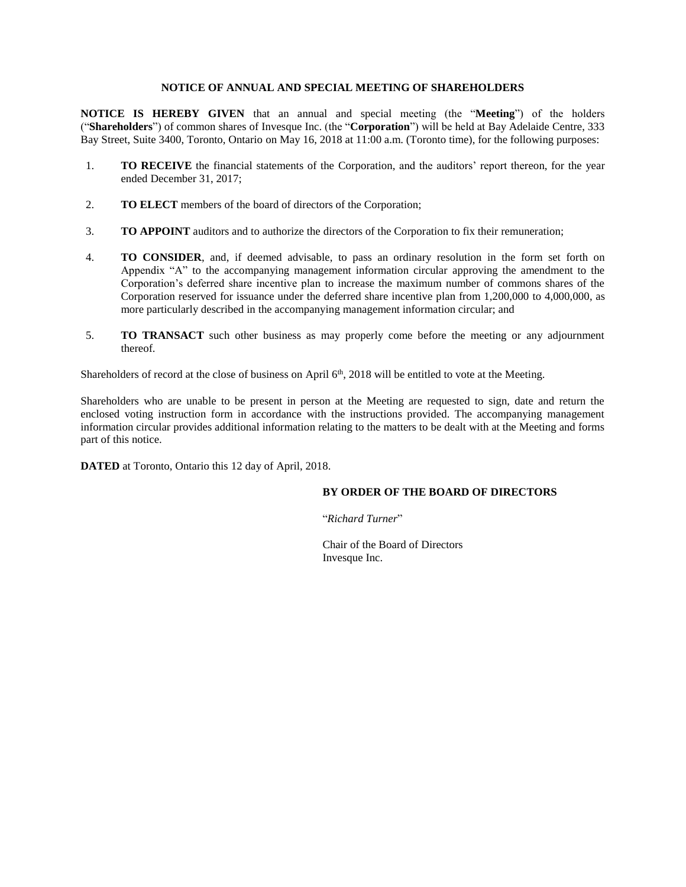## **NOTICE OF ANNUAL AND SPECIAL MEETING OF SHAREHOLDERS**

<span id="page-3-0"></span>**NOTICE IS HEREBY GIVEN** that an annual and special meeting (the "**Meeting**") of the holders ("**Shareholders**") of common shares of Invesque Inc. (the "**Corporation**") will be held at Bay Adelaide Centre, 333 Bay Street, Suite 3400, Toronto, Ontario on May 16, 2018 at 11:00 a.m. (Toronto time), for the following purposes:

- 1. **TO RECEIVE** the financial statements of the Corporation, and the auditors' report thereon, for the year ended December 31, 2017;
- 2. **TO ELECT** members of the board of directors of the Corporation;
- 3. **TO APPOINT** auditors and to authorize the directors of the Corporation to fix their remuneration;
- 4. **TO CONSIDER**, and, if deemed advisable, to pass an ordinary resolution in the form set forth on Appendix "A" to the accompanying management information circular approving the amendment to the Corporation's deferred share incentive plan to increase the maximum number of commons shares of the Corporation reserved for issuance under the deferred share incentive plan from 1,200,000 to 4,000,000, as more particularly described in the accompanying management information circular; and
- 5. **TO TRANSACT** such other business as may properly come before the meeting or any adjournment thereof.

Shareholders of record at the close of business on April 6<sup>th</sup>, 2018 will be entitled to vote at the Meeting.

Shareholders who are unable to be present in person at the Meeting are requested to sign, date and return the enclosed voting instruction form in accordance with the instructions provided. The accompanying management information circular provides additional information relating to the matters to be dealt with at the Meeting and forms part of this notice.

**DATED** at Toronto, Ontario this 12 day of April, 2018.

#### **BY ORDER OF THE BOARD OF DIRECTORS**

"*Richard Turner*"

Chair of the Board of Directors Invesque Inc.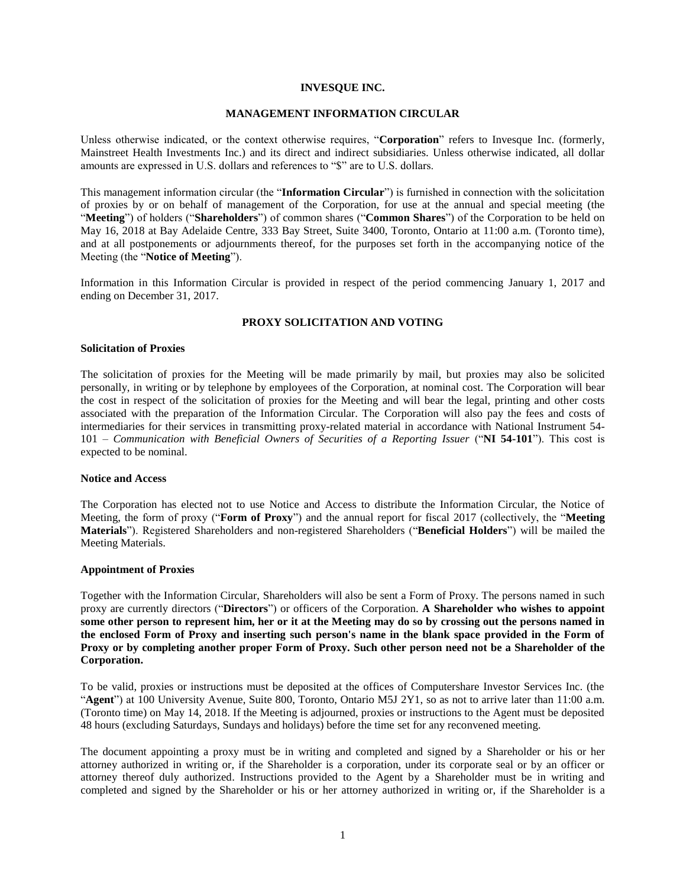#### **INVESQUE INC.**

#### **MANAGEMENT INFORMATION CIRCULAR**

<span id="page-4-0"></span>Unless otherwise indicated, or the context otherwise requires, "**Corporation**" refers to Invesque Inc. (formerly, Mainstreet Health Investments Inc.) and its direct and indirect subsidiaries. Unless otherwise indicated, all dollar amounts are expressed in U.S. dollars and references to "\$" are to U.S. dollars.

This management information circular (the "**Information Circular**") is furnished in connection with the solicitation of proxies by or on behalf of management of the Corporation, for use at the annual and special meeting (the "**Meeting**") of holders ("**Shareholders**") of common shares ("**Common Shares**") of the Corporation to be held on May 16, 2018 at Bay Adelaide Centre, 333 Bay Street, Suite 3400, Toronto, Ontario at 11:00 a.m. (Toronto time), and at all postponements or adjournments thereof, for the purposes set forth in the accompanying notice of the Meeting (the "**Notice of Meeting**").

Information in this Information Circular is provided in respect of the period commencing January 1, 2017 and ending on December 31, 2017.

#### **PROXY SOLICITATION AND VOTING**

#### <span id="page-4-2"></span><span id="page-4-1"></span>**Solicitation of Proxies**

The solicitation of proxies for the Meeting will be made primarily by mail, but proxies may also be solicited personally, in writing or by telephone by employees of the Corporation, at nominal cost. The Corporation will bear the cost in respect of the solicitation of proxies for the Meeting and will bear the legal, printing and other costs associated with the preparation of the Information Circular. The Corporation will also pay the fees and costs of intermediaries for their services in transmitting proxy-related material in accordance with National Instrument 54- 101 – *Communication with Beneficial Owners of Securities of a Reporting Issuer* ("**NI 54-101**"). This cost is expected to be nominal.

#### <span id="page-4-3"></span>**Notice and Access**

The Corporation has elected not to use Notice and Access to distribute the Information Circular, the Notice of Meeting, the form of proxy ("**Form of Proxy**") and the annual report for fiscal 2017 (collectively, the "**Meeting Materials**"). Registered Shareholders and non-registered Shareholders ("**Beneficial Holders**") will be mailed the Meeting Materials.

#### <span id="page-4-4"></span>**Appointment of Proxies**

Together with the Information Circular, Shareholders will also be sent a Form of Proxy. The persons named in such proxy are currently directors ("**Directors**") or officers of the Corporation. **A Shareholder who wishes to appoint some other person to represent him, her or it at the Meeting may do so by crossing out the persons named in the enclosed Form of Proxy and inserting such person's name in the blank space provided in the Form of Proxy or by completing another proper Form of Proxy. Such other person need not be a Shareholder of the Corporation.**

To be valid, proxies or instructions must be deposited at the offices of Computershare Investor Services Inc. (the "**Agent**") at 100 University Avenue, Suite 800, Toronto, Ontario M5J 2Y1, so as not to arrive later than 11:00 a.m. (Toronto time) on May 14, 2018. If the Meeting is adjourned, proxies or instructions to the Agent must be deposited 48 hours (excluding Saturdays, Sundays and holidays) before the time set for any reconvened meeting.

The document appointing a proxy must be in writing and completed and signed by a Shareholder or his or her attorney authorized in writing or, if the Shareholder is a corporation, under its corporate seal or by an officer or attorney thereof duly authorized. Instructions provided to the Agent by a Shareholder must be in writing and completed and signed by the Shareholder or his or her attorney authorized in writing or, if the Shareholder is a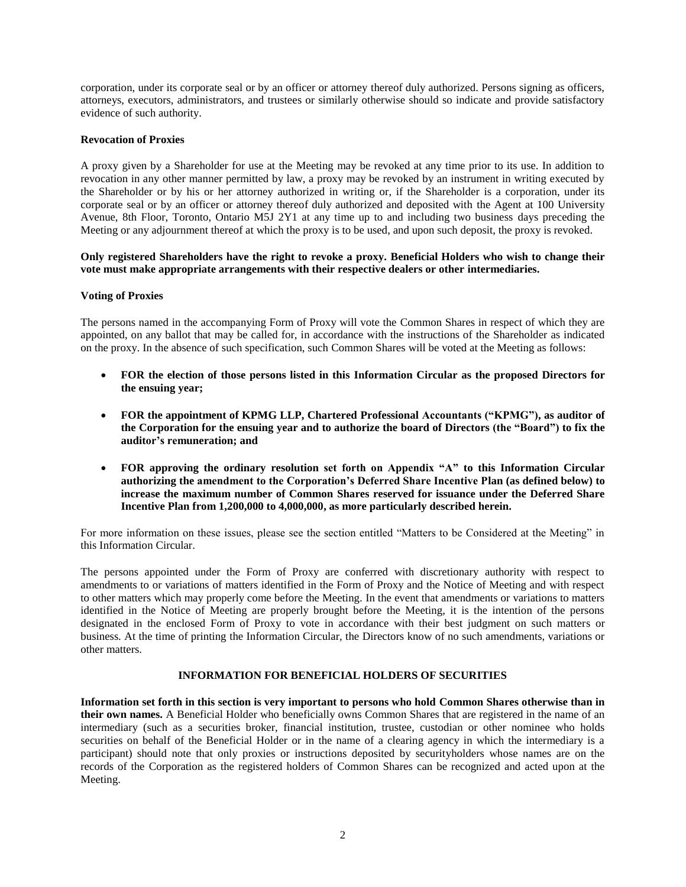corporation, under its corporate seal or by an officer or attorney thereof duly authorized. Persons signing as officers, attorneys, executors, administrators, and trustees or similarly otherwise should so indicate and provide satisfactory evidence of such authority.

## <span id="page-5-0"></span>**Revocation of Proxies**

A proxy given by a Shareholder for use at the Meeting may be revoked at any time prior to its use. In addition to revocation in any other manner permitted by law, a proxy may be revoked by an instrument in writing executed by the Shareholder or by his or her attorney authorized in writing or, if the Shareholder is a corporation, under its corporate seal or by an officer or attorney thereof duly authorized and deposited with the Agent at 100 University Avenue, 8th Floor, Toronto, Ontario M5J 2Y1 at any time up to and including two business days preceding the Meeting or any adjournment thereof at which the proxy is to be used, and upon such deposit, the proxy is revoked.

#### **Only registered Shareholders have the right to revoke a proxy. Beneficial Holders who wish to change their vote must make appropriate arrangements with their respective dealers or other intermediaries.**

## <span id="page-5-1"></span>**Voting of Proxies**

The persons named in the accompanying Form of Proxy will vote the Common Shares in respect of which they are appointed, on any ballot that may be called for, in accordance with the instructions of the Shareholder as indicated on the proxy. In the absence of such specification, such Common Shares will be voted at the Meeting as follows:

- **FOR the election of those persons listed in this Information Circular as the proposed Directors for the ensuing year;**
- **FOR the appointment of KPMG LLP, Chartered Professional Accountants ("KPMG"), as auditor of the Corporation for the ensuing year and to authorize the board of Directors (the "Board") to fix the auditor's remuneration; and**
- **FOR approving the ordinary resolution set forth on Appendix "A" to this Information Circular authorizing the amendment to the Corporation's Deferred Share Incentive Plan (as defined below) to increase the maximum number of Common Shares reserved for issuance under the Deferred Share Incentive Plan from 1,200,000 to 4,000,000, as more particularly described herein.**

For more information on these issues, please see the section entitled "Matters to be Considered at the Meeting" in this Information Circular.

The persons appointed under the Form of Proxy are conferred with discretionary authority with respect to amendments to or variations of matters identified in the Form of Proxy and the Notice of Meeting and with respect to other matters which may properly come before the Meeting. In the event that amendments or variations to matters identified in the Notice of Meeting are properly brought before the Meeting, it is the intention of the persons designated in the enclosed Form of Proxy to vote in accordance with their best judgment on such matters or business. At the time of printing the Information Circular, the Directors know of no such amendments, variations or other matters.

#### **INFORMATION FOR BENEFICIAL HOLDERS OF SECURITIES**

<span id="page-5-2"></span>**Information set forth in this section is very important to persons who hold Common Shares otherwise than in their own names.** A Beneficial Holder who beneficially owns Common Shares that are registered in the name of an intermediary (such as a securities broker, financial institution, trustee, custodian or other nominee who holds securities on behalf of the Beneficial Holder or in the name of a clearing agency in which the intermediary is a participant) should note that only proxies or instructions deposited by securityholders whose names are on the records of the Corporation as the registered holders of Common Shares can be recognized and acted upon at the Meeting.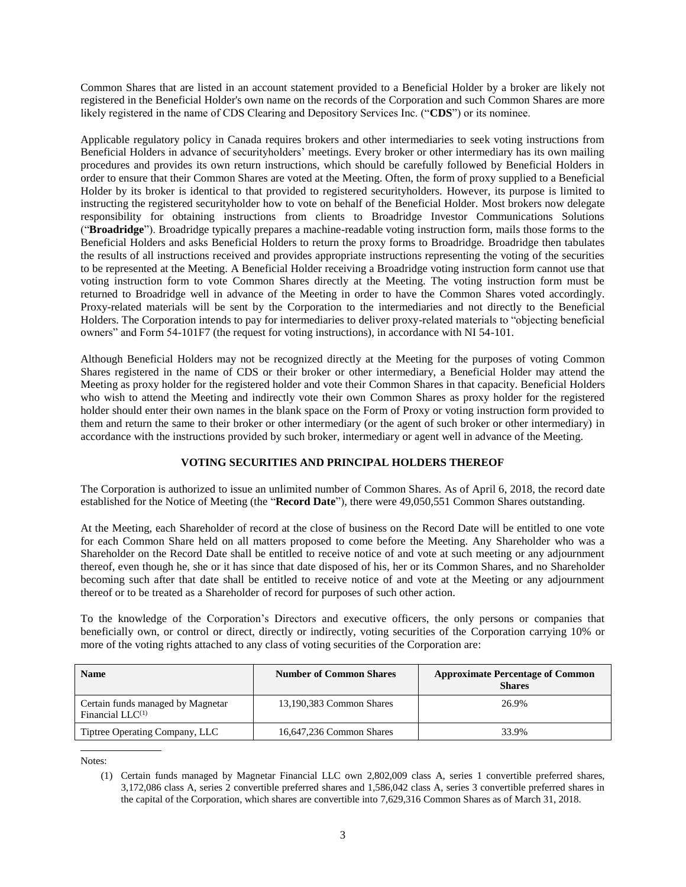Common Shares that are listed in an account statement provided to a Beneficial Holder by a broker are likely not registered in the Beneficial Holder's own name on the records of the Corporation and such Common Shares are more likely registered in the name of CDS Clearing and Depository Services Inc. ("**CDS**") or its nominee.

Applicable regulatory policy in Canada requires brokers and other intermediaries to seek voting instructions from Beneficial Holders in advance of securityholders' meetings. Every broker or other intermediary has its own mailing procedures and provides its own return instructions, which should be carefully followed by Beneficial Holders in order to ensure that their Common Shares are voted at the Meeting. Often, the form of proxy supplied to a Beneficial Holder by its broker is identical to that provided to registered securityholders. However, its purpose is limited to instructing the registered securityholder how to vote on behalf of the Beneficial Holder. Most brokers now delegate responsibility for obtaining instructions from clients to Broadridge Investor Communications Solutions ("**Broadridge**"). Broadridge typically prepares a machine-readable voting instruction form, mails those forms to the Beneficial Holders and asks Beneficial Holders to return the proxy forms to Broadridge. Broadridge then tabulates the results of all instructions received and provides appropriate instructions representing the voting of the securities to be represented at the Meeting. A Beneficial Holder receiving a Broadridge voting instruction form cannot use that voting instruction form to vote Common Shares directly at the Meeting. The voting instruction form must be returned to Broadridge well in advance of the Meeting in order to have the Common Shares voted accordingly. Proxy-related materials will be sent by the Corporation to the intermediaries and not directly to the Beneficial Holders. The Corporation intends to pay for intermediaries to deliver proxy-related materials to "objecting beneficial owners" and Form 54-101F7 (the request for voting instructions), in accordance with NI 54-101.

Although Beneficial Holders may not be recognized directly at the Meeting for the purposes of voting Common Shares registered in the name of CDS or their broker or other intermediary, a Beneficial Holder may attend the Meeting as proxy holder for the registered holder and vote their Common Shares in that capacity. Beneficial Holders who wish to attend the Meeting and indirectly vote their own Common Shares as proxy holder for the registered holder should enter their own names in the blank space on the Form of Proxy or voting instruction form provided to them and return the same to their broker or other intermediary (or the agent of such broker or other intermediary) in accordance with the instructions provided by such broker, intermediary or agent well in advance of the Meeting.

## **VOTING SECURITIES AND PRINCIPAL HOLDERS THEREOF**

<span id="page-6-0"></span>The Corporation is authorized to issue an unlimited number of Common Shares. As of April 6, 2018, the record date established for the Notice of Meeting (the "**Record Date**"), there were 49,050,551 Common Shares outstanding.

At the Meeting, each Shareholder of record at the close of business on the Record Date will be entitled to one vote for each Common Share held on all matters proposed to come before the Meeting. Any Shareholder who was a Shareholder on the Record Date shall be entitled to receive notice of and vote at such meeting or any adjournment thereof, even though he, she or it has since that date disposed of his, her or its Common Shares, and no Shareholder becoming such after that date shall be entitled to receive notice of and vote at the Meeting or any adjournment thereof or to be treated as a Shareholder of record for purposes of such other action.

To the knowledge of the Corporation's Directors and executive officers, the only persons or companies that beneficially own, or control or direct, directly or indirectly, voting securities of the Corporation carrying 10% or more of the voting rights attached to any class of voting securities of the Corporation are:

| <b>Name</b>                                                       | <b>Number of Common Shares</b> | <b>Approximate Percentage of Common</b><br><b>Shares</b> |
|-------------------------------------------------------------------|--------------------------------|----------------------------------------------------------|
| Certain funds managed by Magnetar<br>Financial LLC <sup>(1)</sup> | 13,190,383 Common Shares       | 26.9%                                                    |
| Tiptree Operating Company, LLC                                    | 16,647,236 Common Shares       | 33.9%                                                    |

<sup>(1)</sup> Certain funds managed by Magnetar Financial LLC own 2,802,009 class A, series 1 convertible preferred shares, 3,172,086 class A, series 2 convertible preferred shares and 1,586,042 class A, series 3 convertible preferred shares in the capital of the Corporation, which shares are convertible into 7,629,316 Common Shares as of March 31, 2018.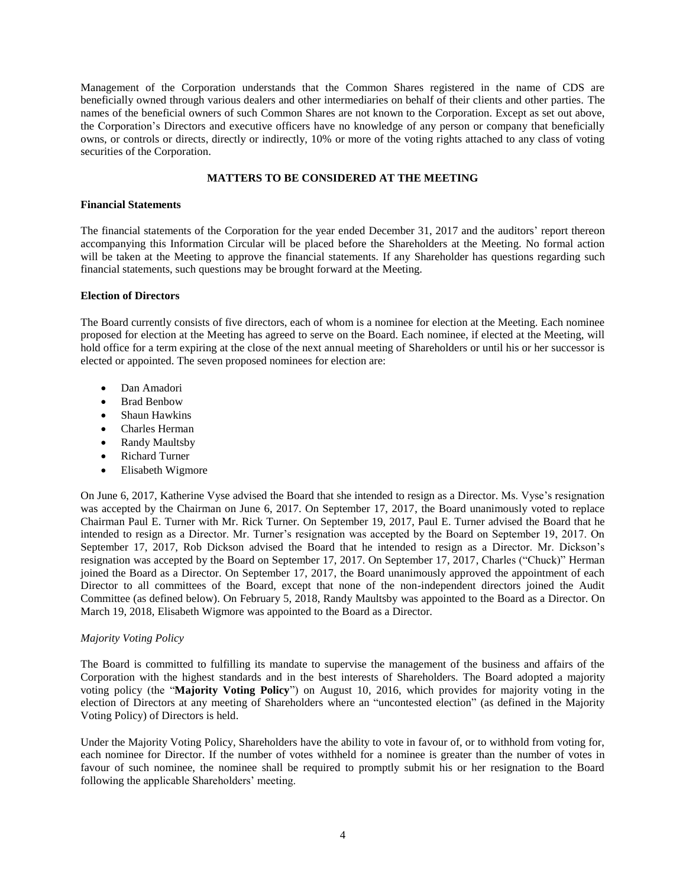Management of the Corporation understands that the Common Shares registered in the name of CDS are beneficially owned through various dealers and other intermediaries on behalf of their clients and other parties. The names of the beneficial owners of such Common Shares are not known to the Corporation. Except as set out above, the Corporation's Directors and executive officers have no knowledge of any person or company that beneficially owns, or controls or directs, directly or indirectly, 10% or more of the voting rights attached to any class of voting securities of the Corporation.

## **MATTERS TO BE CONSIDERED AT THE MEETING**

## <span id="page-7-1"></span><span id="page-7-0"></span>**Financial Statements**

The financial statements of the Corporation for the year ended December 31, 2017 and the auditors' report thereon accompanying this Information Circular will be placed before the Shareholders at the Meeting. No formal action will be taken at the Meeting to approve the financial statements. If any Shareholder has questions regarding such financial statements, such questions may be brought forward at the Meeting.

## <span id="page-7-2"></span>**Election of Directors**

The Board currently consists of five directors, each of whom is a nominee for election at the Meeting. Each nominee proposed for election at the Meeting has agreed to serve on the Board. Each nominee, if elected at the Meeting, will hold office for a term expiring at the close of the next annual meeting of Shareholders or until his or her successor is elected or appointed. The seven proposed nominees for election are:

- Dan Amadori
- Brad Benbow
- Shaun Hawkins
- Charles Herman
- Randy Maultsby
- Richard Turner
- Elisabeth Wigmore

On June 6, 2017, Katherine Vyse advised the Board that she intended to resign as a Director. Ms. Vyse's resignation was accepted by the Chairman on June 6, 2017. On September 17, 2017, the Board unanimously voted to replace Chairman Paul E. Turner with Mr. Rick Turner. On September 19, 2017, Paul E. Turner advised the Board that he intended to resign as a Director. Mr. Turner's resignation was accepted by the Board on September 19, 2017. On September 17, 2017, Rob Dickson advised the Board that he intended to resign as a Director. Mr. Dickson's resignation was accepted by the Board on September 17, 2017. On September 17, 2017, Charles ("Chuck)" Herman joined the Board as a Director. On September 17, 2017, the Board unanimously approved the appointment of each Director to all committees of the Board, except that none of the non-independent directors joined the Audit Committee (as defined below). On February 5, 2018, Randy Maultsby was appointed to the Board as a Director. On March 19, 2018, Elisabeth Wigmore was appointed to the Board as a Director.

## *Majority Voting Policy*

The Board is committed to fulfilling its mandate to supervise the management of the business and affairs of the Corporation with the highest standards and in the best interests of Shareholders. The Board adopted a majority voting policy (the "**Majority Voting Policy**") on August 10, 2016, which provides for majority voting in the election of Directors at any meeting of Shareholders where an "uncontested election" (as defined in the Majority Voting Policy) of Directors is held.

Under the Majority Voting Policy, Shareholders have the ability to vote in favour of, or to withhold from voting for, each nominee for Director. If the number of votes withheld for a nominee is greater than the number of votes in favour of such nominee, the nominee shall be required to promptly submit his or her resignation to the Board following the applicable Shareholders' meeting.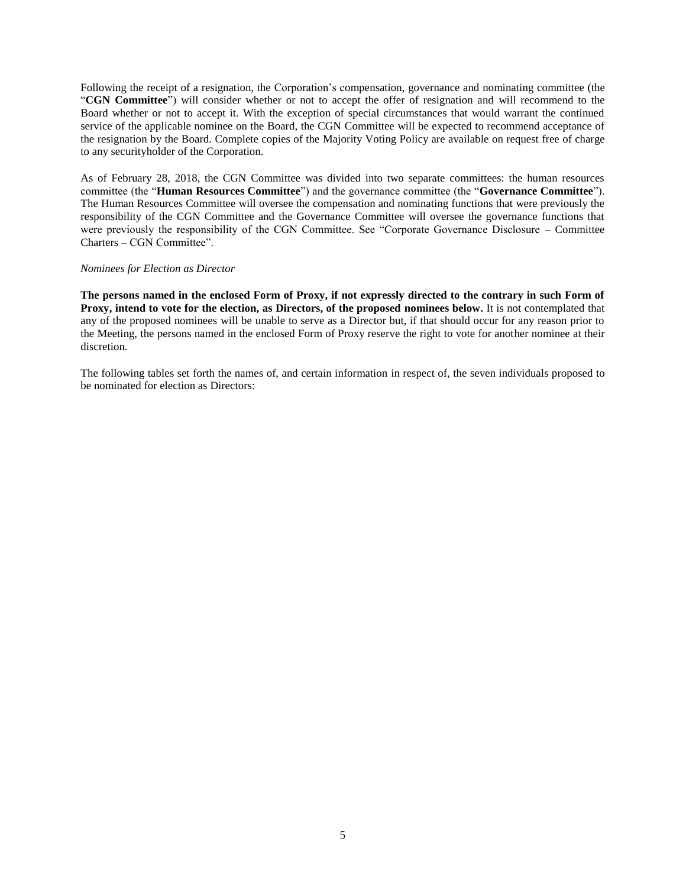Following the receipt of a resignation, the Corporation's compensation, governance and nominating committee (the "**CGN Committee**") will consider whether or not to accept the offer of resignation and will recommend to the Board whether or not to accept it. With the exception of special circumstances that would warrant the continued service of the applicable nominee on the Board, the CGN Committee will be expected to recommend acceptance of the resignation by the Board. Complete copies of the Majority Voting Policy are available on request free of charge to any securityholder of the Corporation.

As of February 28, 2018, the CGN Committee was divided into two separate committees: the human resources committee (the "**Human Resources Committee**") and the governance committee (the "**Governance Committee**"). The Human Resources Committee will oversee the compensation and nominating functions that were previously the responsibility of the CGN Committee and the Governance Committee will oversee the governance functions that were previously the responsibility of the CGN Committee. See "Corporate Governance Disclosure – Committee Charters – CGN Committee".

#### *Nominees for Election as Director*

**The persons named in the enclosed Form of Proxy, if not expressly directed to the contrary in such Form of Proxy, intend to vote for the election, as Directors, of the proposed nominees below.** It is not contemplated that any of the proposed nominees will be unable to serve as a Director but, if that should occur for any reason prior to the Meeting, the persons named in the enclosed Form of Proxy reserve the right to vote for another nominee at their discretion.

The following tables set forth the names of, and certain information in respect of, the seven individuals proposed to be nominated for election as Directors: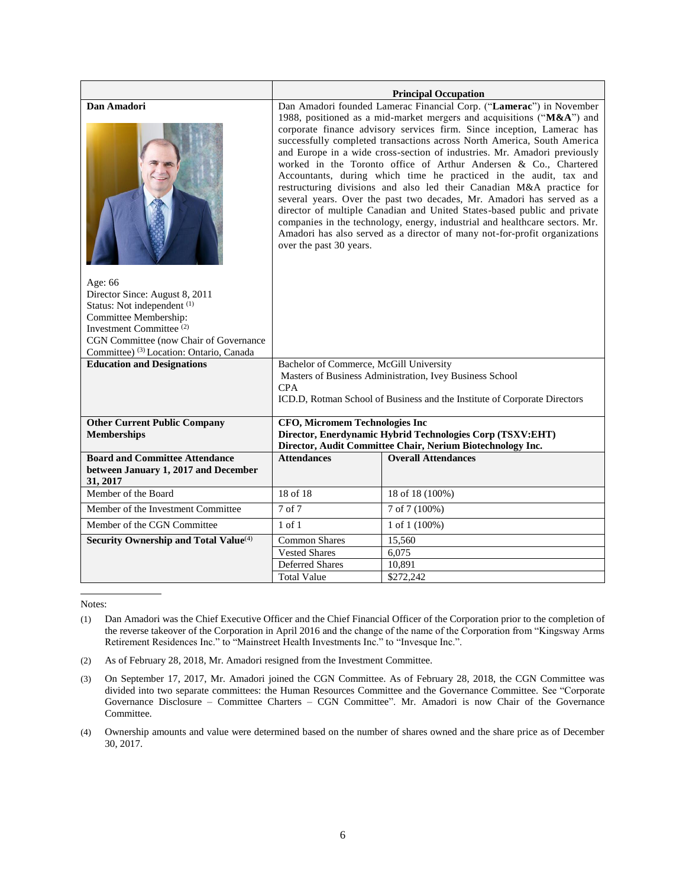|                                                                                                                                                                                                                                                      | <b>Principal Occupation</b>                                                                                                                                                                                                                                                                                                                                                                                                                                                                                                                                                                                                                                                                                                                                                                                                                                                                                                                 |                                                                                                                         |  |  |  |  |
|------------------------------------------------------------------------------------------------------------------------------------------------------------------------------------------------------------------------------------------------------|---------------------------------------------------------------------------------------------------------------------------------------------------------------------------------------------------------------------------------------------------------------------------------------------------------------------------------------------------------------------------------------------------------------------------------------------------------------------------------------------------------------------------------------------------------------------------------------------------------------------------------------------------------------------------------------------------------------------------------------------------------------------------------------------------------------------------------------------------------------------------------------------------------------------------------------------|-------------------------------------------------------------------------------------------------------------------------|--|--|--|--|
| Dan Amadori                                                                                                                                                                                                                                          | Dan Amadori founded Lamerac Financial Corp. ("Lamerac") in November<br>1988, positioned as a mid-market mergers and acquisitions ("M&A") and<br>corporate finance advisory services firm. Since inception, Lamerac has<br>successfully completed transactions across North America, South America<br>and Europe in a wide cross-section of industries. Mr. Amadori previously<br>worked in the Toronto office of Arthur Andersen & Co., Chartered<br>Accountants, during which time he practiced in the audit, tax and<br>restructuring divisions and also led their Canadian M&A practice for<br>several years. Over the past two decades, Mr. Amadori has served as a<br>director of multiple Canadian and United States-based public and private<br>companies in the technology, energy, industrial and healthcare sectors. Mr.<br>Amadori has also served as a director of many not-for-profit organizations<br>over the past 30 years. |                                                                                                                         |  |  |  |  |
| Age: 66<br>Director Since: August 8, 2011<br>Status: Not independent <sup>(1)</sup><br>Committee Membership:<br>Investment Committee <sup>(2)</sup><br>CGN Committee (now Chair of Governance<br>Committee) <sup>(3)</sup> Location: Ontario, Canada |                                                                                                                                                                                                                                                                                                                                                                                                                                                                                                                                                                                                                                                                                                                                                                                                                                                                                                                                             |                                                                                                                         |  |  |  |  |
| <b>Education and Designations</b>                                                                                                                                                                                                                    | Bachelor of Commerce, McGill University<br>Masters of Business Administration, Ivey Business School<br><b>CPA</b><br>ICD.D, Rotman School of Business and the Institute of Corporate Directors                                                                                                                                                                                                                                                                                                                                                                                                                                                                                                                                                                                                                                                                                                                                              |                                                                                                                         |  |  |  |  |
| <b>Other Current Public Company</b><br><b>Memberships</b>                                                                                                                                                                                            | <b>CFO, Micromem Technologies Inc</b>                                                                                                                                                                                                                                                                                                                                                                                                                                                                                                                                                                                                                                                                                                                                                                                                                                                                                                       | Director, Enerdynamic Hybrid Technologies Corp (TSXV:EHT)<br>Director, Audit Committee Chair, Nerium Biotechnology Inc. |  |  |  |  |
| <b>Board and Committee Attendance</b><br>between January 1, 2017 and December<br>31, 2017                                                                                                                                                            | <b>Attendances</b>                                                                                                                                                                                                                                                                                                                                                                                                                                                                                                                                                                                                                                                                                                                                                                                                                                                                                                                          | <b>Overall Attendances</b>                                                                                              |  |  |  |  |
| Member of the Board                                                                                                                                                                                                                                  | 18 of 18                                                                                                                                                                                                                                                                                                                                                                                                                                                                                                                                                                                                                                                                                                                                                                                                                                                                                                                                    | 18 of 18 (100%)                                                                                                         |  |  |  |  |
| Member of the Investment Committee                                                                                                                                                                                                                   | 7 of 7                                                                                                                                                                                                                                                                                                                                                                                                                                                                                                                                                                                                                                                                                                                                                                                                                                                                                                                                      | 7 of 7 (100%)                                                                                                           |  |  |  |  |
| Member of the CGN Committee                                                                                                                                                                                                                          | $1$ of $1$<br>1 of $1(100\%)$                                                                                                                                                                                                                                                                                                                                                                                                                                                                                                                                                                                                                                                                                                                                                                                                                                                                                                               |                                                                                                                         |  |  |  |  |
| Security Ownership and Total Value <sup>(4)</sup>                                                                                                                                                                                                    | <b>Common Shares</b><br>15,560                                                                                                                                                                                                                                                                                                                                                                                                                                                                                                                                                                                                                                                                                                                                                                                                                                                                                                              |                                                                                                                         |  |  |  |  |
|                                                                                                                                                                                                                                                      | <b>Vested Shares</b>                                                                                                                                                                                                                                                                                                                                                                                                                                                                                                                                                                                                                                                                                                                                                                                                                                                                                                                        | 6,075                                                                                                                   |  |  |  |  |
|                                                                                                                                                                                                                                                      | <b>Deferred Shares</b>                                                                                                                                                                                                                                                                                                                                                                                                                                                                                                                                                                                                                                                                                                                                                                                                                                                                                                                      | 10,891                                                                                                                  |  |  |  |  |
|                                                                                                                                                                                                                                                      | <b>Total Value</b>                                                                                                                                                                                                                                                                                                                                                                                                                                                                                                                                                                                                                                                                                                                                                                                                                                                                                                                          | $\overline{$}272,242$                                                                                                   |  |  |  |  |

- (2) As of February 28, 2018, Mr. Amadori resigned from the Investment Committee.
- (3) On September 17, 2017, Mr. Amadori joined the CGN Committee. As of February 28, 2018, the CGN Committee was divided into two separate committees: the Human Resources Committee and the Governance Committee. See "Corporate Governance Disclosure – Committee Charters – CGN Committee". Mr. Amadori is now Chair of the Governance Committee.
- (4) Ownership amounts and value were determined based on the number of shares owned and the share price as of December 30, 2017.

<sup>(1)</sup> Dan Amadori was the Chief Executive Officer and the Chief Financial Officer of the Corporation prior to the completion of the reverse takeover of the Corporation in April 2016 and the change of the name of the Corporation from "Kingsway Arms" Retirement Residences Inc." to "Mainstreet Health Investments Inc." to "Invesque Inc.".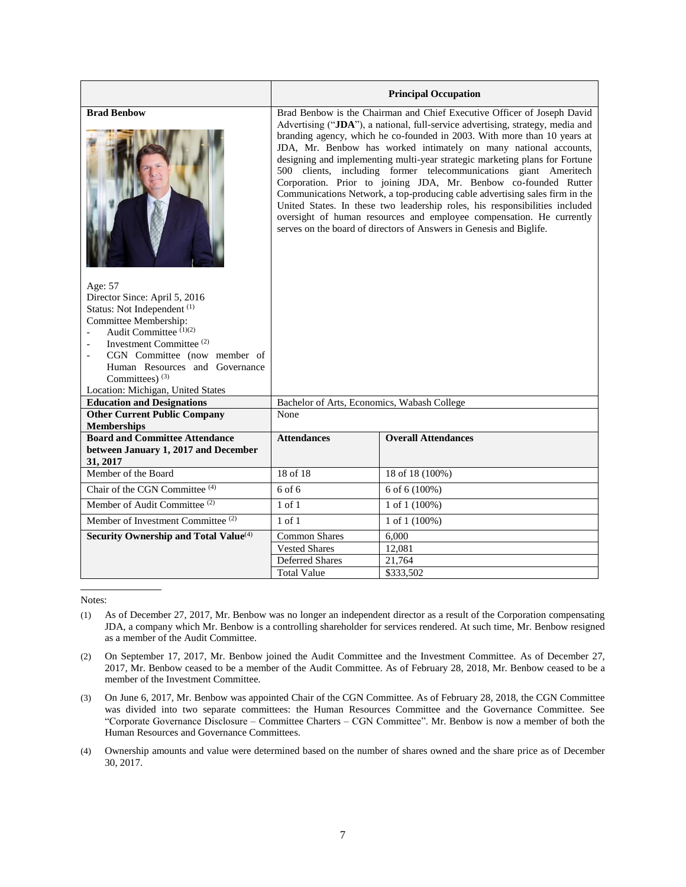|                                                                                                                                                                                                                                                                                                                                                                                          |                                                                                                                                                                                                                                                                                                                                                                                                                                                                                                                                                                                                                                                                                                                                                                                                                                              | <b>Principal Occupation</b> |  |  |  |  |  |
|------------------------------------------------------------------------------------------------------------------------------------------------------------------------------------------------------------------------------------------------------------------------------------------------------------------------------------------------------------------------------------------|----------------------------------------------------------------------------------------------------------------------------------------------------------------------------------------------------------------------------------------------------------------------------------------------------------------------------------------------------------------------------------------------------------------------------------------------------------------------------------------------------------------------------------------------------------------------------------------------------------------------------------------------------------------------------------------------------------------------------------------------------------------------------------------------------------------------------------------------|-----------------------------|--|--|--|--|--|
| <b>Brad Benbow</b><br>Age: 57<br>Director Since: April 5, 2016<br>Status: Not Independent <sup>(1)</sup><br>Committee Membership:<br>Audit Committee $(1)(2)$<br>$\overline{\phantom{a}}$<br>Investment Committee <sup>(2)</sup><br>$\overline{\phantom{a}}$<br>CGN Committee (now member of<br>Human Resources and Governance<br>Committees) $(3)$<br>Location: Michigan, United States | Brad Benbow is the Chairman and Chief Executive Officer of Joseph David<br>Advertising ("JDA"), a national, full-service advertising, strategy, media and<br>branding agency, which he co-founded in 2003. With more than 10 years at<br>JDA, Mr. Benbow has worked intimately on many national accounts,<br>designing and implementing multi-year strategic marketing plans for Fortune<br>500 clients, including former telecommunications giant Ameritech<br>Corporation. Prior to joining JDA, Mr. Benbow co-founded Rutter<br>Communications Network, a top-producing cable advertising sales firm in the<br>United States. In these two leadership roles, his responsibilities included<br>oversight of human resources and employee compensation. He currently<br>serves on the board of directors of Answers in Genesis and Biglife. |                             |  |  |  |  |  |
| <b>Education and Designations</b>                                                                                                                                                                                                                                                                                                                                                        | Bachelor of Arts, Economics, Wabash College                                                                                                                                                                                                                                                                                                                                                                                                                                                                                                                                                                                                                                                                                                                                                                                                  |                             |  |  |  |  |  |
| <b>Other Current Public Company</b><br><b>Memberships</b>                                                                                                                                                                                                                                                                                                                                | None                                                                                                                                                                                                                                                                                                                                                                                                                                                                                                                                                                                                                                                                                                                                                                                                                                         |                             |  |  |  |  |  |
| <b>Board and Committee Attendance</b><br>between January 1, 2017 and December<br>31, 2017                                                                                                                                                                                                                                                                                                | <b>Attendances</b>                                                                                                                                                                                                                                                                                                                                                                                                                                                                                                                                                                                                                                                                                                                                                                                                                           | <b>Overall Attendances</b>  |  |  |  |  |  |
| Member of the Board                                                                                                                                                                                                                                                                                                                                                                      | 18 of 18                                                                                                                                                                                                                                                                                                                                                                                                                                                                                                                                                                                                                                                                                                                                                                                                                                     | 18 of 18 (100%)             |  |  |  |  |  |
| Chair of the CGN Committee <sup>(4)</sup>                                                                                                                                                                                                                                                                                                                                                | $6$ of $6$                                                                                                                                                                                                                                                                                                                                                                                                                                                                                                                                                                                                                                                                                                                                                                                                                                   | 6 of 6 (100%)               |  |  |  |  |  |
| Member of Audit Committee <sup>(2)</sup>                                                                                                                                                                                                                                                                                                                                                 | $1$ of $1$                                                                                                                                                                                                                                                                                                                                                                                                                                                                                                                                                                                                                                                                                                                                                                                                                                   | 1 of 1 $(100\%)$            |  |  |  |  |  |
| Member of Investment Committee <sup>(2)</sup>                                                                                                                                                                                                                                                                                                                                            | $1$ of $1$<br>1 of 1 $(100\%)$                                                                                                                                                                                                                                                                                                                                                                                                                                                                                                                                                                                                                                                                                                                                                                                                               |                             |  |  |  |  |  |
| Security Ownership and Total Value <sup>(4)</sup>                                                                                                                                                                                                                                                                                                                                        | <b>Common Shares</b><br>6,000                                                                                                                                                                                                                                                                                                                                                                                                                                                                                                                                                                                                                                                                                                                                                                                                                |                             |  |  |  |  |  |
|                                                                                                                                                                                                                                                                                                                                                                                          | <b>Vested Shares</b><br>12,081                                                                                                                                                                                                                                                                                                                                                                                                                                                                                                                                                                                                                                                                                                                                                                                                               |                             |  |  |  |  |  |
|                                                                                                                                                                                                                                                                                                                                                                                          | Deferred Shares                                                                                                                                                                                                                                                                                                                                                                                                                                                                                                                                                                                                                                                                                                                                                                                                                              | 21.764                      |  |  |  |  |  |
|                                                                                                                                                                                                                                                                                                                                                                                          | <b>Total Value</b><br>\$333,502                                                                                                                                                                                                                                                                                                                                                                                                                                                                                                                                                                                                                                                                                                                                                                                                              |                             |  |  |  |  |  |

- (1) As of December 27, 2017, Mr. Benbow was no longer an independent director as a result of the Corporation compensating JDA, a company which Mr. Benbow is a controlling shareholder for services rendered. At such time, Mr. Benbow resigned as a member of the Audit Committee.
- (2) On September 17, 2017, Mr. Benbow joined the Audit Committee and the Investment Committee. As of December 27, 2017, Mr. Benbow ceased to be a member of the Audit Committee. As of February 28, 2018, Mr. Benbow ceased to be a member of the Investment Committee.
- (3) On June 6, 2017, Mr. Benbow was appointed Chair of the CGN Committee. As of February 28, 2018, the CGN Committee was divided into two separate committees: the Human Resources Committee and the Governance Committee. See "Corporate Governance Disclosure – Committee Charters – CGN Committee". Mr. Benbow is now a member of both the Human Resources and Governance Committees.
- (4) Ownership amounts and value were determined based on the number of shares owned and the share price as of December 30, 2017.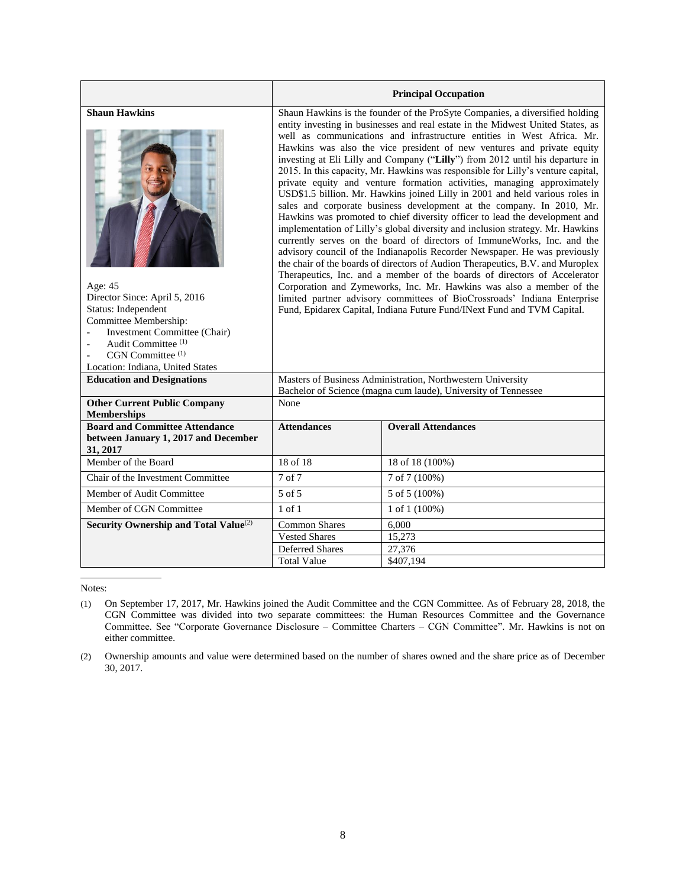|                                                                                                                                                                                                                                                                                                      |                                                                                                                                                                                                                                                                                                                                                                                                                                                                                                                                                                                                                                                                                                                                                                                                                                                                                                                                                                                                                                                                                                                                                                                                                                                                                                                                                                                                                                                      | <b>Principal Occupation</b>                                                                                                   |  |  |  |  |  |
|------------------------------------------------------------------------------------------------------------------------------------------------------------------------------------------------------------------------------------------------------------------------------------------------------|------------------------------------------------------------------------------------------------------------------------------------------------------------------------------------------------------------------------------------------------------------------------------------------------------------------------------------------------------------------------------------------------------------------------------------------------------------------------------------------------------------------------------------------------------------------------------------------------------------------------------------------------------------------------------------------------------------------------------------------------------------------------------------------------------------------------------------------------------------------------------------------------------------------------------------------------------------------------------------------------------------------------------------------------------------------------------------------------------------------------------------------------------------------------------------------------------------------------------------------------------------------------------------------------------------------------------------------------------------------------------------------------------------------------------------------------------|-------------------------------------------------------------------------------------------------------------------------------|--|--|--|--|--|
| <b>Shaun Hawkins</b><br>Age: 45<br>Director Since: April 5, 2016<br>Status: Independent<br>Committee Membership:<br>Investment Committee (Chair)<br>$\overline{a}$<br>Audit Committee <sup>(1)</sup><br>$\overline{\phantom{a}}$<br>CGN Committee <sup>(1)</sup><br>Location: Indiana, United States | Shaun Hawkins is the founder of the ProSyte Companies, a diversified holding<br>entity investing in businesses and real estate in the Midwest United States, as<br>well as communications and infrastructure entities in West Africa. Mr.<br>Hawkins was also the vice president of new ventures and private equity<br>investing at Eli Lilly and Company ("Lilly") from 2012 until his departure in<br>2015. In this capacity, Mr. Hawkins was responsible for Lilly's venture capital,<br>private equity and venture formation activities, managing approximately<br>USD\$1.5 billion. Mr. Hawkins joined Lilly in 2001 and held various roles in<br>sales and corporate business development at the company. In 2010, Mr.<br>Hawkins was promoted to chief diversity officer to lead the development and<br>implementation of Lilly's global diversity and inclusion strategy. Mr. Hawkins<br>currently serves on the board of directors of ImmuneWorks, Inc. and the<br>advisory council of the Indianapolis Recorder Newspaper. He was previously<br>the chair of the boards of directors of Audion Therapeutics, B.V. and Muroplex<br>Therapeutics, Inc. and a member of the boards of directors of Accelerator<br>Corporation and Zymeworks, Inc. Mr. Hawkins was also a member of the<br>limited partner advisory committees of BioCrossroads' Indiana Enterprise<br>Fund, Epidarex Capital, Indiana Future Fund/INext Fund and TVM Capital. |                                                                                                                               |  |  |  |  |  |
| <b>Education and Designations</b>                                                                                                                                                                                                                                                                    |                                                                                                                                                                                                                                                                                                                                                                                                                                                                                                                                                                                                                                                                                                                                                                                                                                                                                                                                                                                                                                                                                                                                                                                                                                                                                                                                                                                                                                                      | Masters of Business Administration, Northwestern University<br>Bachelor of Science (magna cum laude), University of Tennessee |  |  |  |  |  |
| <b>Other Current Public Company</b><br><b>Memberships</b>                                                                                                                                                                                                                                            | None                                                                                                                                                                                                                                                                                                                                                                                                                                                                                                                                                                                                                                                                                                                                                                                                                                                                                                                                                                                                                                                                                                                                                                                                                                                                                                                                                                                                                                                 |                                                                                                                               |  |  |  |  |  |
| <b>Board and Committee Attendance</b><br>between January 1, 2017 and December<br>31, 2017                                                                                                                                                                                                            | <b>Attendances</b>                                                                                                                                                                                                                                                                                                                                                                                                                                                                                                                                                                                                                                                                                                                                                                                                                                                                                                                                                                                                                                                                                                                                                                                                                                                                                                                                                                                                                                   | <b>Overall Attendances</b>                                                                                                    |  |  |  |  |  |
| Member of the Board                                                                                                                                                                                                                                                                                  | 18 of 18                                                                                                                                                                                                                                                                                                                                                                                                                                                                                                                                                                                                                                                                                                                                                                                                                                                                                                                                                                                                                                                                                                                                                                                                                                                                                                                                                                                                                                             | 18 of 18 (100%)                                                                                                               |  |  |  |  |  |
| Chair of the Investment Committee                                                                                                                                                                                                                                                                    | 7 of 7                                                                                                                                                                                                                                                                                                                                                                                                                                                                                                                                                                                                                                                                                                                                                                                                                                                                                                                                                                                                                                                                                                                                                                                                                                                                                                                                                                                                                                               | 7 of 7 (100%)                                                                                                                 |  |  |  |  |  |
| Member of Audit Committee                                                                                                                                                                                                                                                                            | 5 of 5                                                                                                                                                                                                                                                                                                                                                                                                                                                                                                                                                                                                                                                                                                                                                                                                                                                                                                                                                                                                                                                                                                                                                                                                                                                                                                                                                                                                                                               | 5 of 5 (100%)                                                                                                                 |  |  |  |  |  |
| Member of CGN Committee                                                                                                                                                                                                                                                                              | $1$ of $1$<br>1 of 1 $(100\%)$                                                                                                                                                                                                                                                                                                                                                                                                                                                                                                                                                                                                                                                                                                                                                                                                                                                                                                                                                                                                                                                                                                                                                                                                                                                                                                                                                                                                                       |                                                                                                                               |  |  |  |  |  |
| Security Ownership and Total Value <sup>(2)</sup>                                                                                                                                                                                                                                                    | <b>Common Shares</b>                                                                                                                                                                                                                                                                                                                                                                                                                                                                                                                                                                                                                                                                                                                                                                                                                                                                                                                                                                                                                                                                                                                                                                                                                                                                                                                                                                                                                                 | 6.000                                                                                                                         |  |  |  |  |  |
|                                                                                                                                                                                                                                                                                                      | <b>Vested Shares</b>                                                                                                                                                                                                                                                                                                                                                                                                                                                                                                                                                                                                                                                                                                                                                                                                                                                                                                                                                                                                                                                                                                                                                                                                                                                                                                                                                                                                                                 | 15,273                                                                                                                        |  |  |  |  |  |
|                                                                                                                                                                                                                                                                                                      | <b>Deferred Shares</b>                                                                                                                                                                                                                                                                                                                                                                                                                                                                                                                                                                                                                                                                                                                                                                                                                                                                                                                                                                                                                                                                                                                                                                                                                                                                                                                                                                                                                               | 27,376                                                                                                                        |  |  |  |  |  |
|                                                                                                                                                                                                                                                                                                      | <b>Total Value</b><br>\$407,194                                                                                                                                                                                                                                                                                                                                                                                                                                                                                                                                                                                                                                                                                                                                                                                                                                                                                                                                                                                                                                                                                                                                                                                                                                                                                                                                                                                                                      |                                                                                                                               |  |  |  |  |  |

<sup>(1)</sup> On September 17, 2017, Mr. Hawkins joined the Audit Committee and the CGN Committee. As of February 28, 2018, the CGN Committee was divided into two separate committees: the Human Resources Committee and the Governance Committee. See "Corporate Governance Disclosure – Committee Charters – CGN Committee". Mr. Hawkins is not on either committee.

<sup>(2)</sup> Ownership amounts and value were determined based on the number of shares owned and the share price as of December 30, 2017.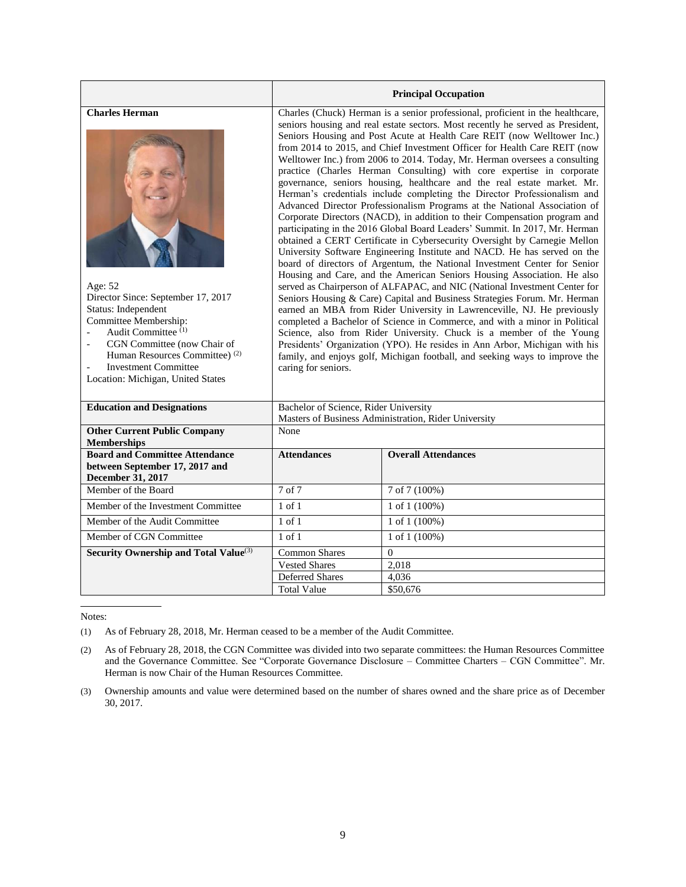|                                                                                                                                                                                                                                                                                                          |                                                                                                                                                                                                                                                                                                                                                                                                                                                                                                                                                                                                                                                                                                                                                                                                                                                                                                                                                                                                                                                                                                                                                                                                                                                                                                                                                                                                                                                                                                                                                                                                                                                                                                                                                                                | <b>Principal Occupation</b> |  |  |  |  |  |
|----------------------------------------------------------------------------------------------------------------------------------------------------------------------------------------------------------------------------------------------------------------------------------------------------------|--------------------------------------------------------------------------------------------------------------------------------------------------------------------------------------------------------------------------------------------------------------------------------------------------------------------------------------------------------------------------------------------------------------------------------------------------------------------------------------------------------------------------------------------------------------------------------------------------------------------------------------------------------------------------------------------------------------------------------------------------------------------------------------------------------------------------------------------------------------------------------------------------------------------------------------------------------------------------------------------------------------------------------------------------------------------------------------------------------------------------------------------------------------------------------------------------------------------------------------------------------------------------------------------------------------------------------------------------------------------------------------------------------------------------------------------------------------------------------------------------------------------------------------------------------------------------------------------------------------------------------------------------------------------------------------------------------------------------------------------------------------------------------|-----------------------------|--|--|--|--|--|
| <b>Charles Herman</b><br>Age: 52<br>Director Since: September 17, 2017<br>Status: Independent<br>Committee Membership:<br>Audit Committee <sup>(1)</sup><br>CGN Committee (now Chair of<br>Human Resources Committee) <sup>(2)</sup><br><b>Investment Committee</b><br>Location: Michigan, United States | Charles (Chuck) Herman is a senior professional, proficient in the healthcare,<br>seniors housing and real estate sectors. Most recently he served as President,<br>Seniors Housing and Post Acute at Health Care REIT (now Welltower Inc.)<br>from 2014 to 2015, and Chief Investment Officer for Health Care REIT (now<br>Welltower Inc.) from 2006 to 2014. Today, Mr. Herman oversees a consulting<br>practice (Charles Herman Consulting) with core expertise in corporate<br>governance, seniors housing, healthcare and the real estate market. Mr.<br>Herman's credentials include completing the Director Professionalism and<br>Advanced Director Professionalism Programs at the National Association of<br>Corporate Directors (NACD), in addition to their Compensation program and<br>participating in the 2016 Global Board Leaders' Summit. In 2017, Mr. Herman<br>obtained a CERT Certificate in Cybersecurity Oversight by Carnegie Mellon<br>University Software Engineering Institute and NACD. He has served on the<br>board of directors of Argentum, the National Investment Center for Senior<br>Housing and Care, and the American Seniors Housing Association. He also<br>served as Chairperson of ALFAPAC, and NIC (National Investment Center for<br>Seniors Housing & Care) Capital and Business Strategies Forum. Mr. Herman<br>earned an MBA from Rider University in Lawrenceville, NJ. He previously<br>completed a Bachelor of Science in Commerce, and with a minor in Political<br>Science, also from Rider University. Chuck is a member of the Young<br>Presidents' Organization (YPO). He resides in Ann Arbor, Michigan with his<br>family, and enjoys golf, Michigan football, and seeking ways to improve the<br>caring for seniors. |                             |  |  |  |  |  |
| <b>Education and Designations</b>                                                                                                                                                                                                                                                                        | Bachelor of Science, Rider University<br>Masters of Business Administration, Rider University                                                                                                                                                                                                                                                                                                                                                                                                                                                                                                                                                                                                                                                                                                                                                                                                                                                                                                                                                                                                                                                                                                                                                                                                                                                                                                                                                                                                                                                                                                                                                                                                                                                                                  |                             |  |  |  |  |  |
| <b>Other Current Public Company</b><br><b>Memberships</b>                                                                                                                                                                                                                                                | None                                                                                                                                                                                                                                                                                                                                                                                                                                                                                                                                                                                                                                                                                                                                                                                                                                                                                                                                                                                                                                                                                                                                                                                                                                                                                                                                                                                                                                                                                                                                                                                                                                                                                                                                                                           |                             |  |  |  |  |  |
| <b>Board and Committee Attendance</b><br>between September 17, 2017 and<br>December 31, 2017                                                                                                                                                                                                             | <b>Attendances</b>                                                                                                                                                                                                                                                                                                                                                                                                                                                                                                                                                                                                                                                                                                                                                                                                                                                                                                                                                                                                                                                                                                                                                                                                                                                                                                                                                                                                                                                                                                                                                                                                                                                                                                                                                             | <b>Overall Attendances</b>  |  |  |  |  |  |
| Member of the Board                                                                                                                                                                                                                                                                                      | 7 of 7                                                                                                                                                                                                                                                                                                                                                                                                                                                                                                                                                                                                                                                                                                                                                                                                                                                                                                                                                                                                                                                                                                                                                                                                                                                                                                                                                                                                                                                                                                                                                                                                                                                                                                                                                                         | 7 of 7 (100%)               |  |  |  |  |  |
| Member of the Investment Committee                                                                                                                                                                                                                                                                       | $1$ of $1$                                                                                                                                                                                                                                                                                                                                                                                                                                                                                                                                                                                                                                                                                                                                                                                                                                                                                                                                                                                                                                                                                                                                                                                                                                                                                                                                                                                                                                                                                                                                                                                                                                                                                                                                                                     | 1 of 1 (100%)               |  |  |  |  |  |
| Member of the Audit Committee                                                                                                                                                                                                                                                                            | $1$ of $1$                                                                                                                                                                                                                                                                                                                                                                                                                                                                                                                                                                                                                                                                                                                                                                                                                                                                                                                                                                                                                                                                                                                                                                                                                                                                                                                                                                                                                                                                                                                                                                                                                                                                                                                                                                     | 1 of 1 (100%)               |  |  |  |  |  |
| Member of CGN Committee                                                                                                                                                                                                                                                                                  | $1$ of $1$<br>1 of 1 (100%)                                                                                                                                                                                                                                                                                                                                                                                                                                                                                                                                                                                                                                                                                                                                                                                                                                                                                                                                                                                                                                                                                                                                                                                                                                                                                                                                                                                                                                                                                                                                                                                                                                                                                                                                                    |                             |  |  |  |  |  |
| <b>Security Ownership and Total Value</b> <sup>(3)</sup>                                                                                                                                                                                                                                                 | Common Shares                                                                                                                                                                                                                                                                                                                                                                                                                                                                                                                                                                                                                                                                                                                                                                                                                                                                                                                                                                                                                                                                                                                                                                                                                                                                                                                                                                                                                                                                                                                                                                                                                                                                                                                                                                  | $\theta$                    |  |  |  |  |  |
|                                                                                                                                                                                                                                                                                                          | <b>Vested Shares</b><br>2,018                                                                                                                                                                                                                                                                                                                                                                                                                                                                                                                                                                                                                                                                                                                                                                                                                                                                                                                                                                                                                                                                                                                                                                                                                                                                                                                                                                                                                                                                                                                                                                                                                                                                                                                                                  |                             |  |  |  |  |  |
|                                                                                                                                                                                                                                                                                                          | <b>Deferred Shares</b>                                                                                                                                                                                                                                                                                                                                                                                                                                                                                                                                                                                                                                                                                                                                                                                                                                                                                                                                                                                                                                                                                                                                                                                                                                                                                                                                                                                                                                                                                                                                                                                                                                                                                                                                                         | 4,036                       |  |  |  |  |  |
|                                                                                                                                                                                                                                                                                                          | <b>Total Value</b><br>\$50,676                                                                                                                                                                                                                                                                                                                                                                                                                                                                                                                                                                                                                                                                                                                                                                                                                                                                                                                                                                                                                                                                                                                                                                                                                                                                                                                                                                                                                                                                                                                                                                                                                                                                                                                                                 |                             |  |  |  |  |  |

(1) As of February 28, 2018, Mr. Herman ceased to be a member of the Audit Committee.

(2) As of February 28, 2018, the CGN Committee was divided into two separate committees: the Human Resources Committee and the Governance Committee. See "Corporate Governance Disclosure – Committee Charters – CGN Committee". Mr. Herman is now Chair of the Human Resources Committee.

(3) Ownership amounts and value were determined based on the number of shares owned and the share price as of December 30, 2017.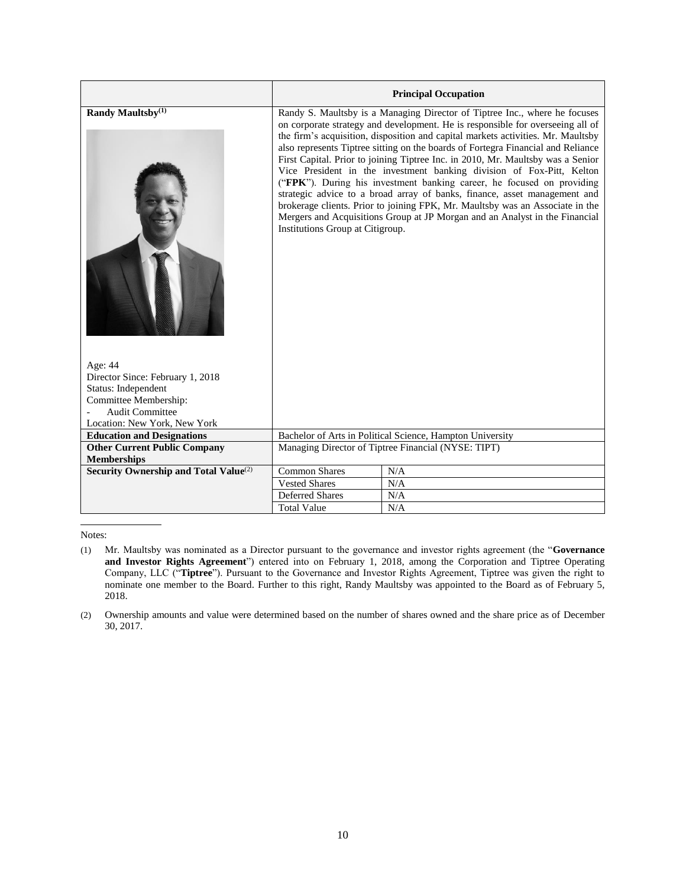|                                                   | <b>Principal Occupation</b>                               |                                                                                                                                                                                                                                                                                                                                                                                                                                                                                                                                                                                                                                                                                                                                                                                                                         |  |  |
|---------------------------------------------------|-----------------------------------------------------------|-------------------------------------------------------------------------------------------------------------------------------------------------------------------------------------------------------------------------------------------------------------------------------------------------------------------------------------------------------------------------------------------------------------------------------------------------------------------------------------------------------------------------------------------------------------------------------------------------------------------------------------------------------------------------------------------------------------------------------------------------------------------------------------------------------------------------|--|--|
| Randy Maultsby <sup>(1)</sup>                     | Institutions Group at Citigroup.                          | Randy S. Maultsby is a Managing Director of Tiptree Inc., where he focuses<br>on corporate strategy and development. He is responsible for overseeing all of<br>the firm's acquisition, disposition and capital markets activities. Mr. Maultsby<br>also represents Tiptree sitting on the boards of Fortegra Financial and Reliance<br>First Capital. Prior to joining Tiptree Inc. in 2010, Mr. Maultsby was a Senior<br>Vice President in the investment banking division of Fox-Pitt, Kelton<br>("FPK"). During his investment banking career, he focused on providing<br>strategic advice to a broad array of banks, finance, asset management and<br>brokerage clients. Prior to joining FPK, Mr. Maultsby was an Associate in the<br>Mergers and Acquisitions Group at JP Morgan and an Analyst in the Financial |  |  |
| Age: 44<br>Director Since: February 1, 2018       |                                                           |                                                                                                                                                                                                                                                                                                                                                                                                                                                                                                                                                                                                                                                                                                                                                                                                                         |  |  |
| Status: Independent                               |                                                           |                                                                                                                                                                                                                                                                                                                                                                                                                                                                                                                                                                                                                                                                                                                                                                                                                         |  |  |
| Committee Membership:                             |                                                           |                                                                                                                                                                                                                                                                                                                                                                                                                                                                                                                                                                                                                                                                                                                                                                                                                         |  |  |
| <b>Audit Committee</b>                            |                                                           |                                                                                                                                                                                                                                                                                                                                                                                                                                                                                                                                                                                                                                                                                                                                                                                                                         |  |  |
| Location: New York, New York                      |                                                           |                                                                                                                                                                                                                                                                                                                                                                                                                                                                                                                                                                                                                                                                                                                                                                                                                         |  |  |
| <b>Education and Designations</b>                 | Bachelor of Arts in Political Science, Hampton University |                                                                                                                                                                                                                                                                                                                                                                                                                                                                                                                                                                                                                                                                                                                                                                                                                         |  |  |
| <b>Other Current Public Company</b>               | Managing Director of Tiptree Financial (NYSE: TIPT)       |                                                                                                                                                                                                                                                                                                                                                                                                                                                                                                                                                                                                                                                                                                                                                                                                                         |  |  |
| <b>Memberships</b>                                |                                                           |                                                                                                                                                                                                                                                                                                                                                                                                                                                                                                                                                                                                                                                                                                                                                                                                                         |  |  |
| Security Ownership and Total Value <sup>(2)</sup> | <b>Common Shares</b>                                      | N/A                                                                                                                                                                                                                                                                                                                                                                                                                                                                                                                                                                                                                                                                                                                                                                                                                     |  |  |
|                                                   | <b>Vested Shares</b>                                      | N/A                                                                                                                                                                                                                                                                                                                                                                                                                                                                                                                                                                                                                                                                                                                                                                                                                     |  |  |
|                                                   | <b>Deferred Shares</b>                                    | N/A                                                                                                                                                                                                                                                                                                                                                                                                                                                                                                                                                                                                                                                                                                                                                                                                                     |  |  |
|                                                   | <b>Total Value</b>                                        | N/A                                                                                                                                                                                                                                                                                                                                                                                                                                                                                                                                                                                                                                                                                                                                                                                                                     |  |  |

<sup>(1)</sup> Mr. Maultsby was nominated as a Director pursuant to the governance and investor rights agreement (the "**Governance and Investor Rights Agreement**") entered into on February 1, 2018, among the Corporation and Tiptree Operating Company, LLC ("**Tiptree**"). Pursuant to the Governance and Investor Rights Agreement, Tiptree was given the right to nominate one member to the Board. Further to this right, Randy Maultsby was appointed to the Board as of February 5, 2018.

<sup>(2)</sup> Ownership amounts and value were determined based on the number of shares owned and the share price as of December 30, 2017.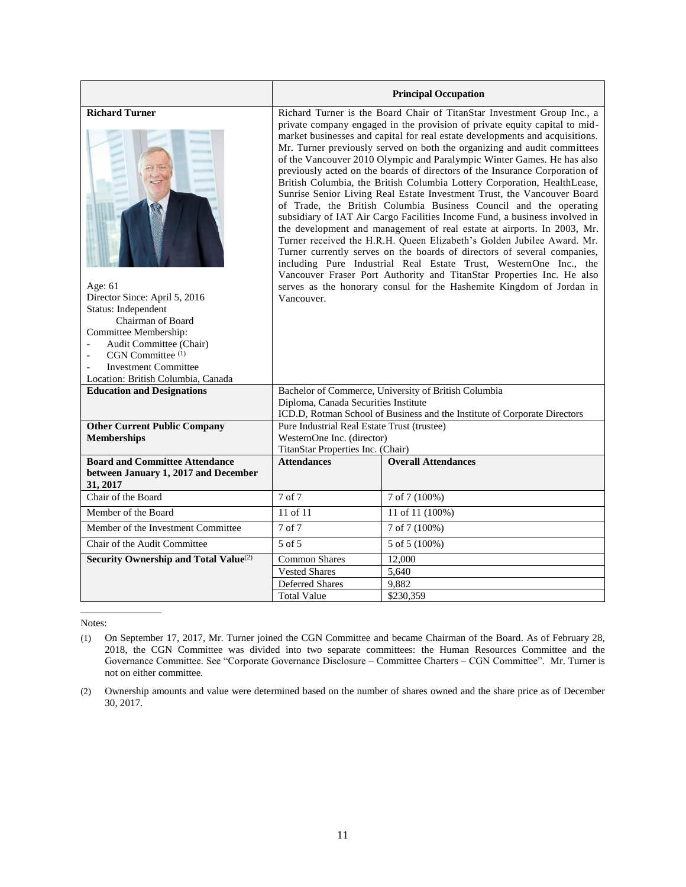|                                                                                                                                                                                                                                                                          |                                                                                                                                                                                                                                                                                                                                                                                                                                                                                                                                                                                                                                                                                                                                                                                                                                                                                                                                                                                                                                                                                                                                                                                                                                                           | <b>Principal Occupation</b>                                                                                                       |  |  |  |  |
|--------------------------------------------------------------------------------------------------------------------------------------------------------------------------------------------------------------------------------------------------------------------------|-----------------------------------------------------------------------------------------------------------------------------------------------------------------------------------------------------------------------------------------------------------------------------------------------------------------------------------------------------------------------------------------------------------------------------------------------------------------------------------------------------------------------------------------------------------------------------------------------------------------------------------------------------------------------------------------------------------------------------------------------------------------------------------------------------------------------------------------------------------------------------------------------------------------------------------------------------------------------------------------------------------------------------------------------------------------------------------------------------------------------------------------------------------------------------------------------------------------------------------------------------------|-----------------------------------------------------------------------------------------------------------------------------------|--|--|--|--|
| <b>Richard Turner</b><br>Age: $61$<br>Director Since: April 5, 2016<br>Status: Independent<br>Chairman of Board<br>Committee Membership:<br>Audit Committee (Chair)<br>CGN Committee <sup>(1)</sup><br><b>Investment Committee</b><br>Location: British Columbia, Canada | Richard Turner is the Board Chair of TitanStar Investment Group Inc., a<br>private company engaged in the provision of private equity capital to mid-<br>market businesses and capital for real estate developments and acquisitions.<br>Mr. Turner previously served on both the organizing and audit committees<br>of the Vancouver 2010 Olympic and Paralympic Winter Games. He has also<br>previously acted on the boards of directors of the Insurance Corporation of<br>British Columbia, the British Columbia Lottery Corporation, HealthLease,<br>Sunrise Senior Living Real Estate Investment Trust, the Vancouver Board<br>of Trade, the British Columbia Business Council and the operating<br>subsidiary of IAT Air Cargo Facilities Income Fund, a business involved in<br>the development and management of real estate at airports. In 2003, Mr.<br>Turner received the H.R.H. Queen Elizabeth's Golden Jubilee Award. Mr.<br>Turner currently serves on the boards of directors of several companies,<br>including Pure Industrial Real Estate Trust, WesternOne Inc., the<br>Vancouver Fraser Port Authority and TitanStar Properties Inc. He also<br>serves as the honorary consul for the Hashemite Kingdom of Jordan in<br>Vancouver. |                                                                                                                                   |  |  |  |  |
| <b>Education and Designations</b>                                                                                                                                                                                                                                        | Diploma, Canada Securities Institute                                                                                                                                                                                                                                                                                                                                                                                                                                                                                                                                                                                                                                                                                                                                                                                                                                                                                                                                                                                                                                                                                                                                                                                                                      | Bachelor of Commerce, University of British Columbia<br>ICD.D, Rotman School of Business and the Institute of Corporate Directors |  |  |  |  |
| <b>Other Current Public Company</b><br><b>Memberships</b><br><b>Board and Committee Attendance</b><br>between January 1, 2017 and December                                                                                                                               | Pure Industrial Real Estate Trust (trustee)<br>WesternOne Inc. (director)<br>TitanStar Properties Inc. (Chair)<br><b>Overall Attendances</b><br><b>Attendances</b>                                                                                                                                                                                                                                                                                                                                                                                                                                                                                                                                                                                                                                                                                                                                                                                                                                                                                                                                                                                                                                                                                        |                                                                                                                                   |  |  |  |  |
| 31, 2017                                                                                                                                                                                                                                                                 |                                                                                                                                                                                                                                                                                                                                                                                                                                                                                                                                                                                                                                                                                                                                                                                                                                                                                                                                                                                                                                                                                                                                                                                                                                                           |                                                                                                                                   |  |  |  |  |
| Chair of the Board                                                                                                                                                                                                                                                       | 7 of 7                                                                                                                                                                                                                                                                                                                                                                                                                                                                                                                                                                                                                                                                                                                                                                                                                                                                                                                                                                                                                                                                                                                                                                                                                                                    | 7 of 7 (100%)                                                                                                                     |  |  |  |  |
| Member of the Board                                                                                                                                                                                                                                                      | $11$ of $11$                                                                                                                                                                                                                                                                                                                                                                                                                                                                                                                                                                                                                                                                                                                                                                                                                                                                                                                                                                                                                                                                                                                                                                                                                                              | 11 of 11 (100%)                                                                                                                   |  |  |  |  |
| Member of the Investment Committee                                                                                                                                                                                                                                       | $7$ of $7$                                                                                                                                                                                                                                                                                                                                                                                                                                                                                                                                                                                                                                                                                                                                                                                                                                                                                                                                                                                                                                                                                                                                                                                                                                                | 7 of 7 (100%)                                                                                                                     |  |  |  |  |
| Chair of the Audit Committee                                                                                                                                                                                                                                             | 5 of 5<br>5 of 5 (100%)                                                                                                                                                                                                                                                                                                                                                                                                                                                                                                                                                                                                                                                                                                                                                                                                                                                                                                                                                                                                                                                                                                                                                                                                                                   |                                                                                                                                   |  |  |  |  |
| <b>Security Ownership and Total Value</b> <sup>(2)</sup>                                                                                                                                                                                                                 | <b>Common Shares</b><br>12,000<br><b>Vested Shares</b><br>5,640                                                                                                                                                                                                                                                                                                                                                                                                                                                                                                                                                                                                                                                                                                                                                                                                                                                                                                                                                                                                                                                                                                                                                                                           |                                                                                                                                   |  |  |  |  |
|                                                                                                                                                                                                                                                                          | Deferred Shares                                                                                                                                                                                                                                                                                                                                                                                                                                                                                                                                                                                                                                                                                                                                                                                                                                                                                                                                                                                                                                                                                                                                                                                                                                           | 9,882                                                                                                                             |  |  |  |  |
|                                                                                                                                                                                                                                                                          | <b>Total Value</b>                                                                                                                                                                                                                                                                                                                                                                                                                                                                                                                                                                                                                                                                                                                                                                                                                                                                                                                                                                                                                                                                                                                                                                                                                                        | \$230,359                                                                                                                         |  |  |  |  |

<sup>(1)</sup> On September 17, 2017, Mr. Turner joined the CGN Committee and became Chairman of the Board. As of February 28, 2018, the CGN Committee was divided into two separate committees: the Human Resources Committee and the Governance Committee. See "Corporate Governance Disclosure – Committee Charters – CGN Committee". Mr. Turner is not on either committee.

<sup>(2)</sup> Ownership amounts and value were determined based on the number of shares owned and the share price as of December 30, 2017.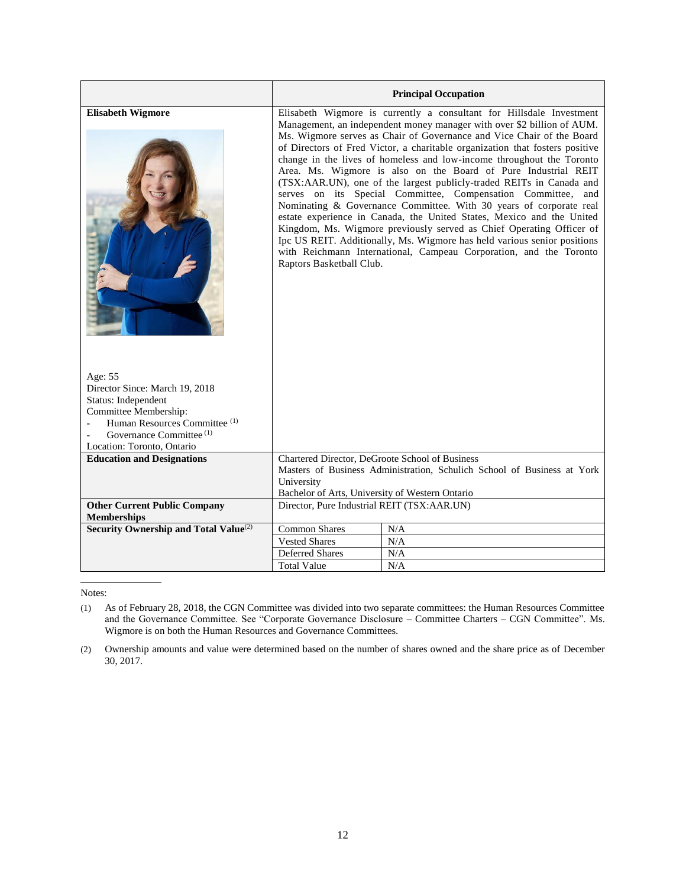|                                                                                                                                                                                                            | <b>Principal Occupation</b>                                                                                                                                                                                                                                                                                                                                                                                                                                                                                                                                                                                                                                                                                                                                                                                                                                                                                                                                                                     |           |  |  |
|------------------------------------------------------------------------------------------------------------------------------------------------------------------------------------------------------------|-------------------------------------------------------------------------------------------------------------------------------------------------------------------------------------------------------------------------------------------------------------------------------------------------------------------------------------------------------------------------------------------------------------------------------------------------------------------------------------------------------------------------------------------------------------------------------------------------------------------------------------------------------------------------------------------------------------------------------------------------------------------------------------------------------------------------------------------------------------------------------------------------------------------------------------------------------------------------------------------------|-----------|--|--|
| <b>Elisabeth Wigmore</b>                                                                                                                                                                                   | Elisabeth Wigmore is currently a consultant for Hillsdale Investment<br>Management, an independent money manager with over \$2 billion of AUM.<br>Ms. Wigmore serves as Chair of Governance and Vice Chair of the Board<br>of Directors of Fred Victor, a charitable organization that fosters positive<br>change in the lives of homeless and low-income throughout the Toronto<br>Area. Ms. Wigmore is also on the Board of Pure Industrial REIT<br>(TSX:AAR.UN), one of the largest publicly-traded REITs in Canada and<br>serves on its Special Committee, Compensation Committee, and<br>Nominating & Governance Committee. With 30 years of corporate real<br>estate experience in Canada, the United States, Mexico and the United<br>Kingdom, Ms. Wigmore previously served as Chief Operating Officer of<br>Ipc US REIT. Additionally, Ms. Wigmore has held various senior positions<br>with Reichmann International, Campeau Corporation, and the Toronto<br>Raptors Basketball Club. |           |  |  |
| Age: 55<br>Director Since: March 19, 2018<br>Status: Independent<br>Committee Membership:<br>Human Resources Committee <sup>(1)</sup><br>Governance Committee <sup>(1)</sup><br>Location: Toronto, Ontario |                                                                                                                                                                                                                                                                                                                                                                                                                                                                                                                                                                                                                                                                                                                                                                                                                                                                                                                                                                                                 |           |  |  |
| <b>Education and Designations</b>                                                                                                                                                                          | Chartered Director, DeGroote School of Business<br>Masters of Business Administration, Schulich School of Business at York<br>University<br>Bachelor of Arts, University of Western Ontario                                                                                                                                                                                                                                                                                                                                                                                                                                                                                                                                                                                                                                                                                                                                                                                                     |           |  |  |
| <b>Other Current Public Company</b><br><b>Memberships</b>                                                                                                                                                  | Director, Pure Industrial REIT (TSX:AAR.UN)                                                                                                                                                                                                                                                                                                                                                                                                                                                                                                                                                                                                                                                                                                                                                                                                                                                                                                                                                     |           |  |  |
| Security Ownership and Total Value <sup>(2)</sup>                                                                                                                                                          | <b>Common Shares</b>                                                                                                                                                                                                                                                                                                                                                                                                                                                                                                                                                                                                                                                                                                                                                                                                                                                                                                                                                                            | N/A       |  |  |
|                                                                                                                                                                                                            | <b>Vested Shares</b>                                                                                                                                                                                                                                                                                                                                                                                                                                                                                                                                                                                                                                                                                                                                                                                                                                                                                                                                                                            | $\rm N/A$ |  |  |
|                                                                                                                                                                                                            | Deferred Shares                                                                                                                                                                                                                                                                                                                                                                                                                                                                                                                                                                                                                                                                                                                                                                                                                                                                                                                                                                                 | N/A       |  |  |
|                                                                                                                                                                                                            | <b>Total Value</b>                                                                                                                                                                                                                                                                                                                                                                                                                                                                                                                                                                                                                                                                                                                                                                                                                                                                                                                                                                              | N/A       |  |  |

Notes:

<sup>(1)</sup> As of February 28, 2018, the CGN Committee was divided into two separate committees: the Human Resources Committee and the Governance Committee. See "Corporate Governance Disclosure – Committee Charters – CGN Committee". Ms. Wigmore is on both the Human Resources and Governance Committees.

<sup>(2)</sup> Ownership amounts and value were determined based on the number of shares owned and the share price as of December 30, 2017.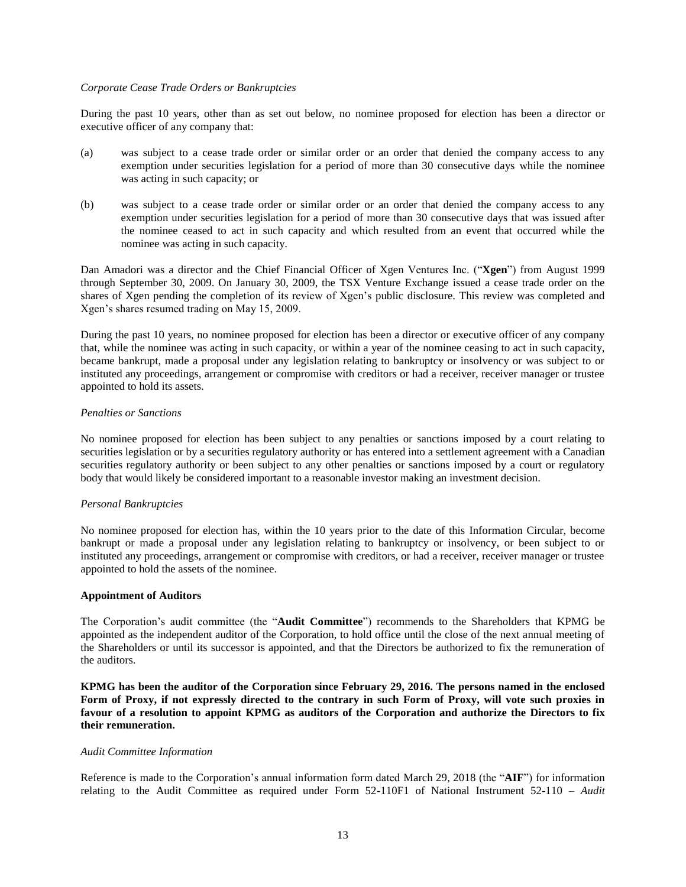#### *Corporate Cease Trade Orders or Bankruptcies*

During the past 10 years, other than as set out below, no nominee proposed for election has been a director or executive officer of any company that:

- (a) was subject to a cease trade order or similar order or an order that denied the company access to any exemption under securities legislation for a period of more than 30 consecutive days while the nominee was acting in such capacity; or
- (b) was subject to a cease trade order or similar order or an order that denied the company access to any exemption under securities legislation for a period of more than 30 consecutive days that was issued after the nominee ceased to act in such capacity and which resulted from an event that occurred while the nominee was acting in such capacity.

Dan Amadori was a director and the Chief Financial Officer of Xgen Ventures Inc. ("**Xgen**") from August 1999 through September 30, 2009. On January 30, 2009, the TSX Venture Exchange issued a cease trade order on the shares of Xgen pending the completion of its review of Xgen's public disclosure. This review was completed and Xgen's shares resumed trading on May 15, 2009.

During the past 10 years, no nominee proposed for election has been a director or executive officer of any company that, while the nominee was acting in such capacity, or within a year of the nominee ceasing to act in such capacity, became bankrupt, made a proposal under any legislation relating to bankruptcy or insolvency or was subject to or instituted any proceedings, arrangement or compromise with creditors or had a receiver, receiver manager or trustee appointed to hold its assets.

#### *Penalties or Sanctions*

No nominee proposed for election has been subject to any penalties or sanctions imposed by a court relating to securities legislation or by a securities regulatory authority or has entered into a settlement agreement with a Canadian securities regulatory authority or been subject to any other penalties or sanctions imposed by a court or regulatory body that would likely be considered important to a reasonable investor making an investment decision.

#### *Personal Bankruptcies*

No nominee proposed for election has, within the 10 years prior to the date of this Information Circular, become bankrupt or made a proposal under any legislation relating to bankruptcy or insolvency, or been subject to or instituted any proceedings, arrangement or compromise with creditors, or had a receiver, receiver manager or trustee appointed to hold the assets of the nominee.

#### <span id="page-16-0"></span>**Appointment of Auditors**

The Corporation's audit committee (the "**Audit Committee**") recommends to the Shareholders that KPMG be appointed as the independent auditor of the Corporation, to hold office until the close of the next annual meeting of the Shareholders or until its successor is appointed, and that the Directors be authorized to fix the remuneration of the auditors.

**KPMG has been the auditor of the Corporation since February 29, 2016. The persons named in the enclosed Form of Proxy, if not expressly directed to the contrary in such Form of Proxy, will vote such proxies in favour of a resolution to appoint KPMG as auditors of the Corporation and authorize the Directors to fix their remuneration.**

## *Audit Committee Information*

Reference is made to the Corporation's annual information form dated March 29, 2018 (the "**AIF**") for information relating to the Audit Committee as required under Form 52-110F1 of National Instrument 52-110 – Audit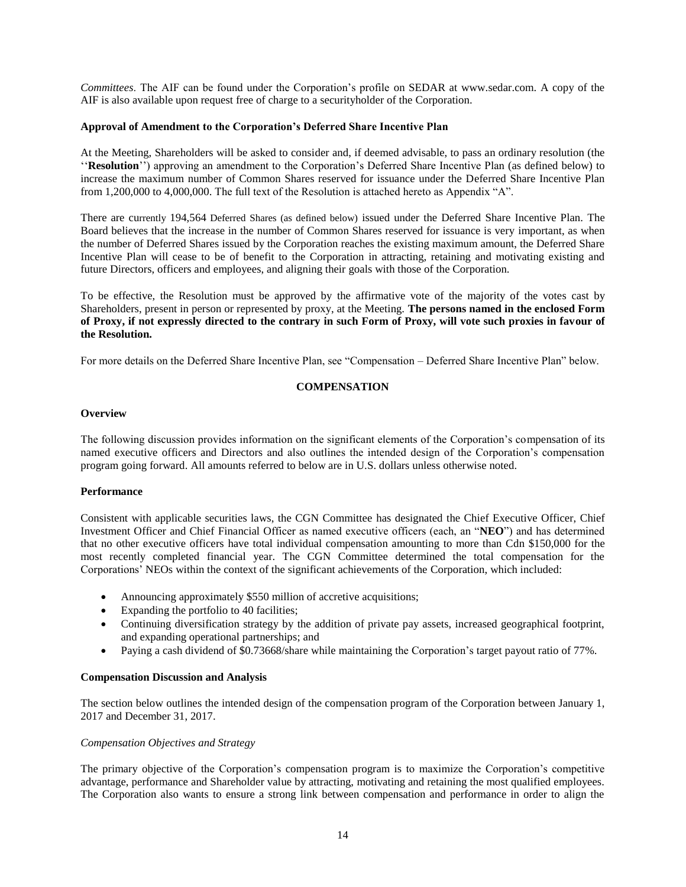*Committees*. The AIF can be found under the Corporation's profile on SEDAR at www.sedar.com. A copy of the AIF is also available upon request free of charge to a securityholder of the Corporation.

### <span id="page-17-0"></span>**Approval of Amendment to the Corporation's Deferred Share Incentive Plan**

At the Meeting, Shareholders will be asked to consider and, if deemed advisable, to pass an ordinary resolution (the ''**Resolution**'') approving an amendment to the Corporation's Deferred Share Incentive Plan (as defined below) to increase the maximum number of Common Shares reserved for issuance under the Deferred Share Incentive Plan from 1,200,000 to 4,000,000. The full text of the Resolution is attached hereto as Appendix "A".

There are currently 194,564 Deferred Shares (as defined below) issued under the Deferred Share Incentive Plan. The Board believes that the increase in the number of Common Shares reserved for issuance is very important, as when the number of Deferred Shares issued by the Corporation reaches the existing maximum amount, the Deferred Share Incentive Plan will cease to be of benefit to the Corporation in attracting, retaining and motivating existing and future Directors, officers and employees, and aligning their goals with those of the Corporation.

To be effective, the Resolution must be approved by the affirmative vote of the majority of the votes cast by Shareholders, present in person or represented by proxy, at the Meeting. **The persons named in the enclosed Form of Proxy, if not expressly directed to the contrary in such Form of Proxy, will vote such proxies in favour of the Resolution.**

<span id="page-17-1"></span>For more details on the Deferred Share Incentive Plan, see "Compensation – Deferred Share Incentive Plan" below.

## **COMPENSATION**

#### <span id="page-17-2"></span>**Overview**

The following discussion provides information on the significant elements of the Corporation's compensation of its named executive officers and Directors and also outlines the intended design of the Corporation's compensation program going forward. All amounts referred to below are in U.S. dollars unless otherwise noted.

#### **Performance**

Consistent with applicable securities laws, the CGN Committee has designated the Chief Executive Officer, Chief Investment Officer and Chief Financial Officer as named executive officers (each, an "**NEO**") and has determined that no other executive officers have total individual compensation amounting to more than Cdn \$150,000 for the most recently completed financial year. The CGN Committee determined the total compensation for the Corporations' NEOs within the context of the significant achievements of the Corporation, which included:

- Announcing approximately \$550 million of accretive acquisitions;
- Expanding the portfolio to 40 facilities;
- Continuing diversification strategy by the addition of private pay assets, increased geographical footprint, and expanding operational partnerships; and
- Paying a cash dividend of \$0.73668/share while maintaining the Corporation's target payout ratio of 77%.

#### <span id="page-17-3"></span>**Compensation Discussion and Analysis**

The section below outlines the intended design of the compensation program of the Corporation between January 1, 2017 and December 31, 2017.

#### *Compensation Objectives and Strategy*

The primary objective of the Corporation's compensation program is to maximize the Corporation's competitive advantage, performance and Shareholder value by attracting, motivating and retaining the most qualified employees. The Corporation also wants to ensure a strong link between compensation and performance in order to align the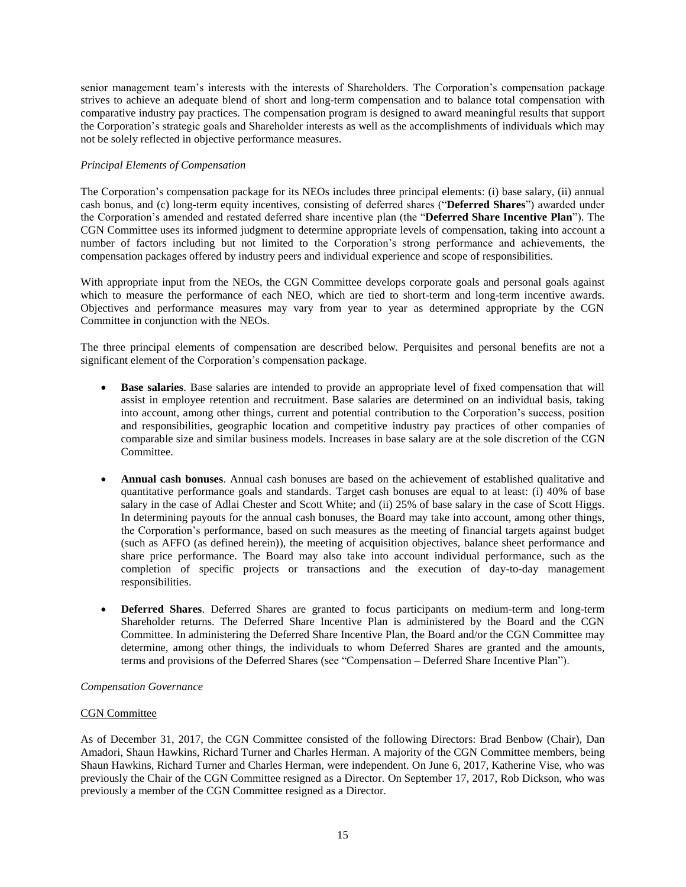senior management team's interests with the interests of Shareholders. The Corporation's compensation package strives to achieve an adequate blend of short and long-term compensation and to balance total compensation with comparative industry pay practices. The compensation program is designed to award meaningful results that support the Corporation's strategic goals and Shareholder interests as well as the accomplishments of individuals which may not be solely reflected in objective performance measures.

## *Principal Elements of Compensation*

The Corporation's compensation package for its NEOs includes three principal elements: (i) base salary, (ii) annual cash bonus, and (c) long-term equity incentives, consisting of deferred shares ("**Deferred Shares**") awarded under the Corporation's amended and restated deferred share incentive plan (the "**Deferred Share Incentive Plan**"). The CGN Committee uses its informed judgment to determine appropriate levels of compensation, taking into account a number of factors including but not limited to the Corporation's strong performance and achievements, the compensation packages offered by industry peers and individual experience and scope of responsibilities.

With appropriate input from the NEOs, the CGN Committee develops corporate goals and personal goals against which to measure the performance of each NEO, which are tied to short-term and long-term incentive awards. Objectives and performance measures may vary from year to year as determined appropriate by the CGN Committee in conjunction with the NEOs.

The three principal elements of compensation are described below. Perquisites and personal benefits are not a significant element of the Corporation's compensation package.

- **Base salaries**. Base salaries are intended to provide an appropriate level of fixed compensation that will assist in employee retention and recruitment. Base salaries are determined on an individual basis, taking into account, among other things, current and potential contribution to the Corporation's success, position and responsibilities, geographic location and competitive industry pay practices of other companies of comparable size and similar business models. Increases in base salary are at the sole discretion of the CGN Committee.
- **Annual cash bonuses**. Annual cash bonuses are based on the achievement of established qualitative and quantitative performance goals and standards. Target cash bonuses are equal to at least: (i) 40% of base salary in the case of Adlai Chester and Scott White; and (ii) 25% of base salary in the case of Scott Higgs. In determining payouts for the annual cash bonuses, the Board may take into account, among other things, the Corporation's performance, based on such measures as the meeting of financial targets against budget (such as AFFO (as defined herein)), the meeting of acquisition objectives, balance sheet performance and share price performance. The Board may also take into account individual performance, such as the completion of specific projects or transactions and the execution of day-to-day management responsibilities.
- **Deferred Shares**. Deferred Shares are granted to focus participants on medium-term and long-term Shareholder returns. The Deferred Share Incentive Plan is administered by the Board and the CGN Committee. In administering the Deferred Share Incentive Plan, the Board and/or the CGN Committee may determine, among other things, the individuals to whom Deferred Shares are granted and the amounts, terms and provisions of the Deferred Shares (see "Compensation – Deferred Share Incentive Plan").

#### *Compensation Governance*

## **CGN** Committee

As of December 31, 2017, the CGN Committee consisted of the following Directors: Brad Benbow (Chair), Dan Amadori, Shaun Hawkins, Richard Turner and Charles Herman. A majority of the CGN Committee members, being Shaun Hawkins, Richard Turner and Charles Herman, were independent. On June 6, 2017, Katherine Vise, who was previously the Chair of the CGN Committee resigned as a Director. On September 17, 2017, Rob Dickson, who was previously a member of the CGN Committee resigned as a Director.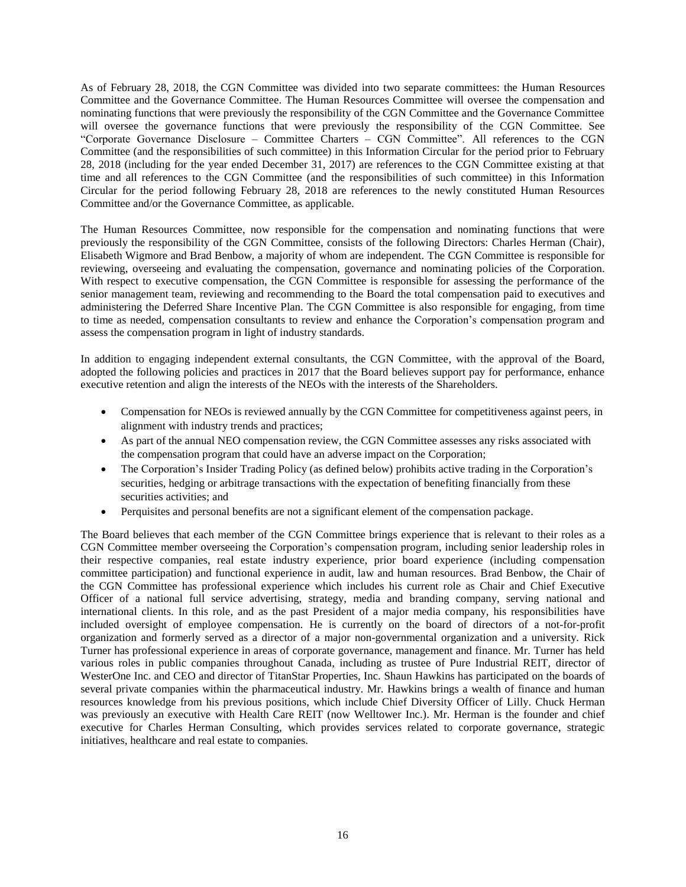As of February 28, 2018, the CGN Committee was divided into two separate committees: the Human Resources Committee and the Governance Committee. The Human Resources Committee will oversee the compensation and nominating functions that were previously the responsibility of the CGN Committee and the Governance Committee will oversee the governance functions that were previously the responsibility of the CGN Committee. See "Corporate Governance Disclosure – Committee Charters – CGN Committee". All references to the CGN Committee (and the responsibilities of such committee) in this Information Circular for the period prior to February 28, 2018 (including for the year ended December 31, 2017) are references to the CGN Committee existing at that time and all references to the CGN Committee (and the responsibilities of such committee) in this Information Circular for the period following February 28, 2018 are references to the newly constituted Human Resources Committee and/or the Governance Committee, as applicable.

The Human Resources Committee, now responsible for the compensation and nominating functions that were previously the responsibility of the CGN Committee, consists of the following Directors: Charles Herman (Chair), Elisabeth Wigmore and Brad Benbow, a majority of whom are independent. The CGN Committee is responsible for reviewing, overseeing and evaluating the compensation, governance and nominating policies of the Corporation. With respect to executive compensation, the CGN Committee is responsible for assessing the performance of the senior management team, reviewing and recommending to the Board the total compensation paid to executives and administering the Deferred Share Incentive Plan. The CGN Committee is also responsible for engaging, from time to time as needed, compensation consultants to review and enhance the Corporation's compensation program and assess the compensation program in light of industry standards.

In addition to engaging independent external consultants, the CGN Committee, with the approval of the Board, adopted the following policies and practices in 2017 that the Board believes support pay for performance, enhance executive retention and align the interests of the NEOs with the interests of the Shareholders.

- Compensation for NEOs is reviewed annually by the CGN Committee for competitiveness against peers, in alignment with industry trends and practices;
- As part of the annual NEO compensation review, the CGN Committee assesses any risks associated with the compensation program that could have an adverse impact on the Corporation;
- The Corporation's Insider Trading Policy (as defined below) prohibits active trading in the Corporation's securities, hedging or arbitrage transactions with the expectation of benefiting financially from these securities activities; and
- Perquisites and personal benefits are not a significant element of the compensation package.

The Board believes that each member of the CGN Committee brings experience that is relevant to their roles as a CGN Committee member overseeing the Corporation's compensation program, including senior leadership roles in their respective companies, real estate industry experience, prior board experience (including compensation committee participation) and functional experience in audit, law and human resources. Brad Benbow, the Chair of the CGN Committee has professional experience which includes his current role as Chair and Chief Executive Officer of a national full service advertising, strategy, media and branding company, serving national and international clients. In this role, and as the past President of a major media company, his responsibilities have included oversight of employee compensation. He is currently on the board of directors of a not-for-profit organization and formerly served as a director of a major non-governmental organization and a university. Rick Turner has professional experience in areas of corporate governance, management and finance. Mr. Turner has held various roles in public companies throughout Canada, including as trustee of Pure Industrial REIT, director of WesterOne Inc. and CEO and director of TitanStar Properties, Inc. Shaun Hawkins has participated on the boards of several private companies within the pharmaceutical industry. Mr. Hawkins brings a wealth of finance and human resources knowledge from his previous positions, which include Chief Diversity Officer of Lilly. Chuck Herman was previously an executive with Health Care REIT (now Welltower Inc.). Mr. Herman is the founder and chief executive for Charles Herman Consulting, which provides services related to corporate governance, strategic initiatives, healthcare and real estate to companies.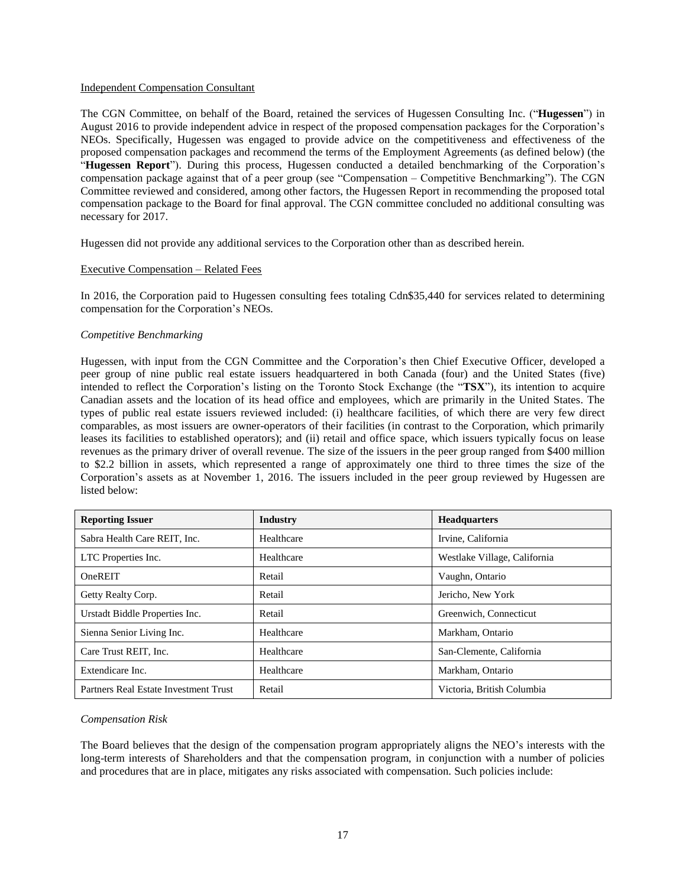#### Independent Compensation Consultant

The CGN Committee, on behalf of the Board, retained the services of Hugessen Consulting Inc. ("**Hugessen**") in August 2016 to provide independent advice in respect of the proposed compensation packages for the Corporation's NEOs. Specifically, Hugessen was engaged to provide advice on the competitiveness and effectiveness of the proposed compensation packages and recommend the terms of the Employment Agreements (as defined below) (the "**Hugessen Report**"). During this process, Hugessen conducted a detailed benchmarking of the Corporation's compensation package against that of a peer group (see "Compensation – Competitive Benchmarking"). The CGN Committee reviewed and considered, among other factors, the Hugessen Report in recommending the proposed total compensation package to the Board for final approval. The CGN committee concluded no additional consulting was necessary for 2017.

Hugessen did not provide any additional services to the Corporation other than as described herein.

#### Executive Compensation – Related Fees

In 2016, the Corporation paid to Hugessen consulting fees totaling Cdn\$35,440 for services related to determining compensation for the Corporation's NEOs.

#### *Competitive Benchmarking*

Hugessen, with input from the CGN Committee and the Corporation's then Chief Executive Officer, developed a peer group of nine public real estate issuers headquartered in both Canada (four) and the United States (five) intended to reflect the Corporation's listing on the Toronto Stock Exchange (the "**TSX**"), its intention to acquire Canadian assets and the location of its head office and employees, which are primarily in the United States. The types of public real estate issuers reviewed included: (i) healthcare facilities, of which there are very few direct comparables, as most issuers are owner-operators of their facilities (in contrast to the Corporation, which primarily leases its facilities to established operators); and (ii) retail and office space, which issuers typically focus on lease revenues as the primary driver of overall revenue. The size of the issuers in the peer group ranged from \$400 million to \$2.2 billion in assets, which represented a range of approximately one third to three times the size of the Corporation's assets as at November 1, 2016. The issuers included in the peer group reviewed by Hugessen are listed below:

| <b>Reporting Issuer</b>               | <b>Industry</b> | <b>Headquarters</b>          |
|---------------------------------------|-----------------|------------------------------|
| Sabra Health Care REIT, Inc.          | Healthcare      | Irvine, California           |
| LTC Properties Inc.                   | Healthcare      | Westlake Village, California |
| OneREIT                               | Retail          | Vaughn, Ontario              |
| Getty Realty Corp.                    | Retail          | Jericho, New York            |
| Urstadt Biddle Properties Inc.        | Retail          | Greenwich, Connecticut       |
| Sienna Senior Living Inc.             | Healthcare      | Markham, Ontario             |
| Care Trust REIT, Inc.                 | Healthcare      | San-Clemente, California     |
| Extendicare Inc.                      | Healthcare      | Markham, Ontario             |
| Partners Real Estate Investment Trust | Retail          | Victoria. British Columbia   |

#### *Compensation Risk*

The Board believes that the design of the compensation program appropriately aligns the NEO's interests with the long-term interests of Shareholders and that the compensation program, in conjunction with a number of policies and procedures that are in place, mitigates any risks associated with compensation. Such policies include: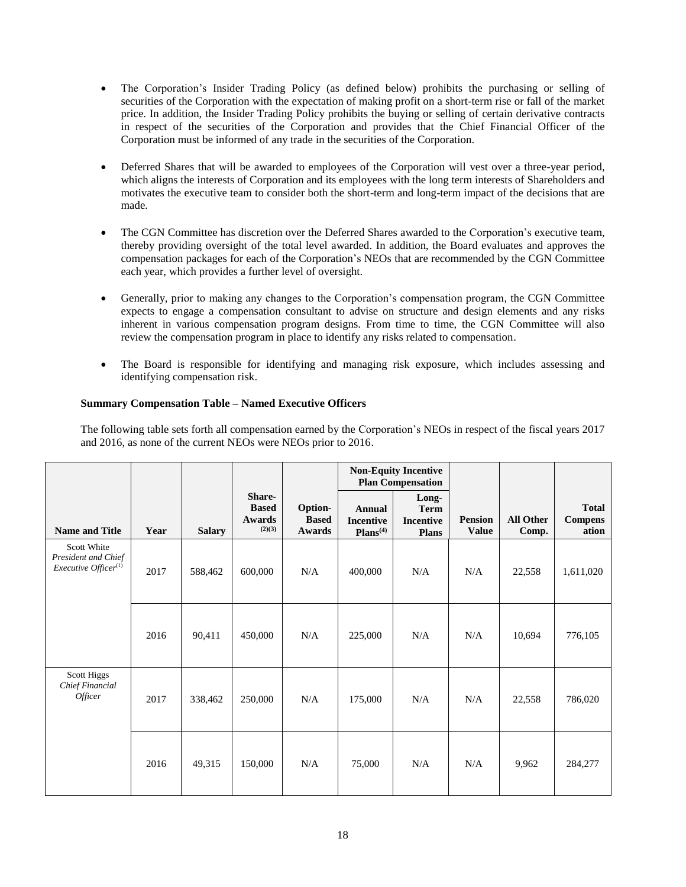- The Corporation's Insider Trading Policy (as defined below) prohibits the purchasing or selling of securities of the Corporation with the expectation of making profit on a short-term rise or fall of the market price. In addition, the Insider Trading Policy prohibits the buying or selling of certain derivative contracts in respect of the securities of the Corporation and provides that the Chief Financial Officer of the Corporation must be informed of any trade in the securities of the Corporation.
- Deferred Shares that will be awarded to employees of the Corporation will vest over a three-year period, which aligns the interests of Corporation and its employees with the long term interests of Shareholders and motivates the executive team to consider both the short-term and long-term impact of the decisions that are made.
- The CGN Committee has discretion over the Deferred Shares awarded to the Corporation's executive team, thereby providing oversight of the total level awarded. In addition, the Board evaluates and approves the compensation packages for each of the Corporation's NEOs that are recommended by the CGN Committee each year, which provides a further level of oversight.
- Generally, prior to making any changes to the Corporation's compensation program, the CGN Committee expects to engage a compensation consultant to advise on structure and design elements and any risks inherent in various compensation program designs. From time to time, the CGN Committee will also review the compensation program in place to identify any risks related to compensation.
- The Board is responsible for identifying and managing risk exposure, which includes assessing and identifying compensation risk.

# <span id="page-21-0"></span>**Summary Compensation Table – Named Executive Officers**

The following table sets forth all compensation earned by the Corporation's NEOs in respect of the fiscal years 2017 and 2016, as none of the current NEOs were NEOs prior to 2016.

|                                                                               |      |               |                                            |                                   | <b>Non-Equity Incentive</b><br><b>Plan Compensation</b>   |                                                          |                                |                           |                                         |
|-------------------------------------------------------------------------------|------|---------------|--------------------------------------------|-----------------------------------|-----------------------------------------------------------|----------------------------------------------------------|--------------------------------|---------------------------|-----------------------------------------|
| <b>Name and Title</b>                                                         | Year | <b>Salary</b> | Share-<br><b>Based</b><br>Awards<br>(2)(3) | Option-<br><b>Based</b><br>Awards | <b>Annual</b><br><b>Incentive</b><br>Plans <sup>(4)</sup> | Long-<br><b>Term</b><br><b>Incentive</b><br><b>Plans</b> | <b>Pension</b><br><b>Value</b> | <b>All Other</b><br>Comp. | <b>Total</b><br><b>Compens</b><br>ation |
| Scott White<br>President and Chief<br><i>Executive Officer</i> <sup>(1)</sup> | 2017 | 588,462       | 600,000                                    | N/A                               | 400,000                                                   | N/A                                                      | N/A                            | 22,558                    | 1,611,020                               |
|                                                                               | 2016 | 90,411        | 450,000                                    | N/A                               | 225,000                                                   | N/A                                                      | N/A                            | 10,694                    | 776,105                                 |
| Scott Higgs<br>Chief Financial<br><i>Officer</i>                              | 2017 | 338,462       | 250,000                                    | N/A                               | 175,000                                                   | N/A                                                      | N/A                            | 22,558                    | 786,020                                 |
|                                                                               | 2016 | 49,315        | 150,000                                    | N/A                               | 75,000                                                    | N/A                                                      | N/A                            | 9,962                     | 284,277                                 |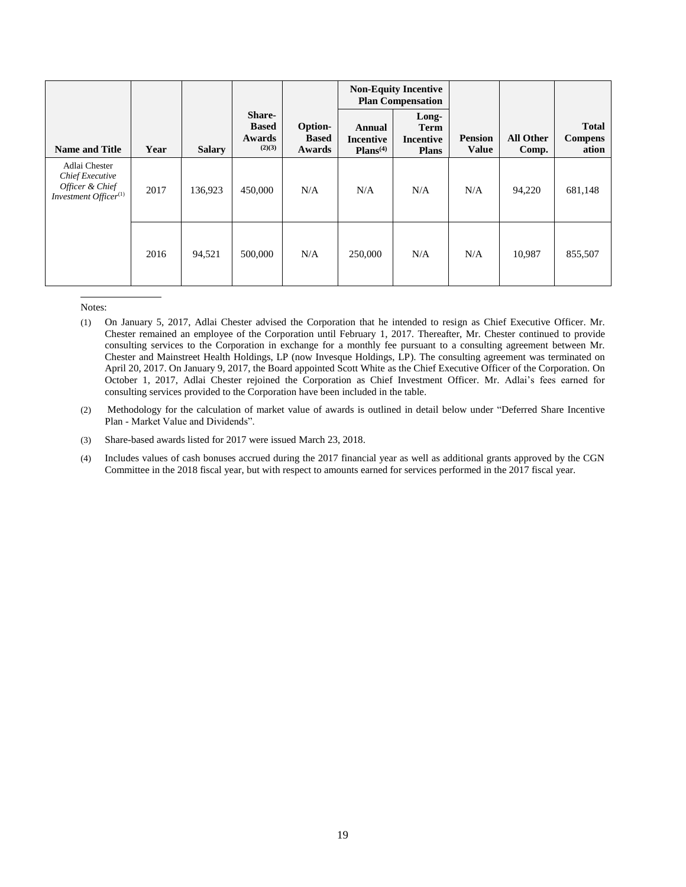|                                                                                                 |      |               |                                                   |                                   | <b>Non-Equity Incentive</b><br><b>Plan Compensation</b> |                                            |                                |                           |                                         |
|-------------------------------------------------------------------------------------------------|------|---------------|---------------------------------------------------|-----------------------------------|---------------------------------------------------------|--------------------------------------------|--------------------------------|---------------------------|-----------------------------------------|
| <b>Name and Title</b>                                                                           | Year | <b>Salary</b> | <b>Share-</b><br><b>Based</b><br>Awards<br>(2)(3) | Option-<br><b>Based</b><br>Awards | Annual<br><b>Incentive</b><br>Plans <sup>(4)</sup>      | Long-<br>Term<br>Incentive<br><b>Plans</b> | <b>Pension</b><br><b>Value</b> | <b>All Other</b><br>Comp. | <b>Total</b><br><b>Compens</b><br>ation |
| Adlai Chester<br><b>Chief Executive</b><br>Officer & Chief<br>Investment Officer <sup>(1)</sup> | 2017 | 136,923       | 450,000                                           | N/A                               | N/A                                                     | N/A                                        | N/A                            | 94,220                    | 681,148                                 |
|                                                                                                 | 2016 | 94,521        | 500,000                                           | N/A                               | 250,000                                                 | N/A                                        | N/A                            | 10,987                    | 855,507                                 |

- (1) On January 5, 2017, Adlai Chester advised the Corporation that he intended to resign as Chief Executive Officer. Mr. Chester remained an employee of the Corporation until February 1, 2017. Thereafter, Mr. Chester continued to provide consulting services to the Corporation in exchange for a monthly fee pursuant to a consulting agreement between Mr. Chester and Mainstreet Health Holdings, LP (now Invesque Holdings, LP). The consulting agreement was terminated on April 20, 2017. On January 9, 2017, the Board appointed Scott White as the Chief Executive Officer of the Corporation. On October 1, 2017, Adlai Chester rejoined the Corporation as Chief Investment Officer. Mr. Adlai's fees earned for consulting services provided to the Corporation have been included in the table.
- (2) Methodology for the calculation of market value of awards is outlined in detail below under "Deferred Share Incentive Plan - Market Value and Dividends".
- (3) Share-based awards listed for 2017 were issued March 23, 2018.
- (4) Includes values of cash bonuses accrued during the 2017 financial year as well as additional grants approved by the CGN Committee in the 2018 fiscal year, but with respect to amounts earned for services performed in the 2017 fiscal year.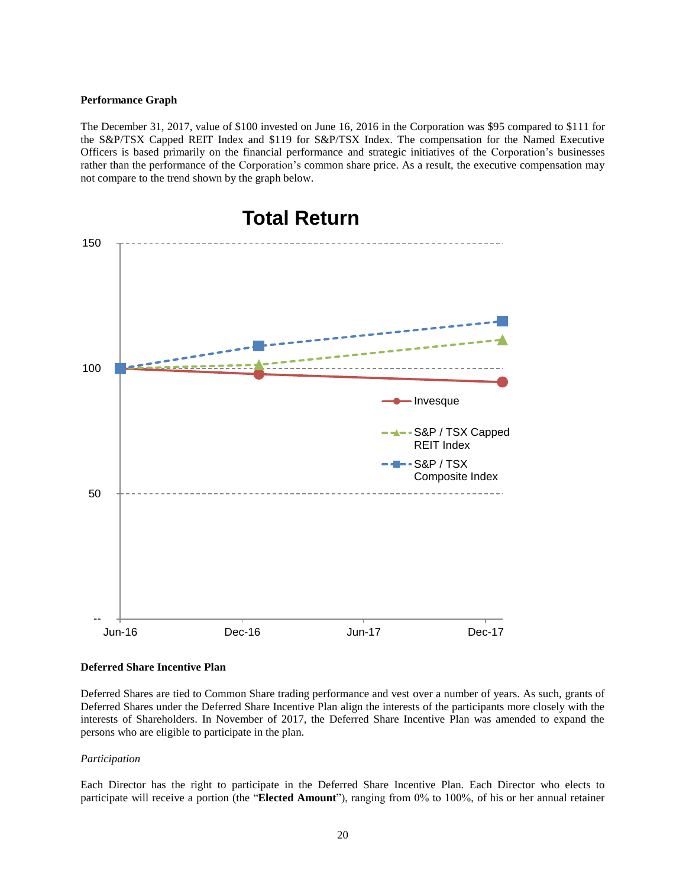#### <span id="page-23-0"></span>**Performance Graph**

The December 31, 2017, value of \$100 invested on June 16, 2016 in the Corporation was \$95 compared to \$111 for the S&P/TSX Capped REIT Index and \$119 for S&P/TSX Index. The compensation for the Named Executive Officers is based primarily on the financial performance and strategic initiatives of the Corporation's businesses rather than the performance of the Corporation's common share price. As a result, the executive compensation may not compare to the trend shown by the graph below.



#### <span id="page-23-1"></span>**Deferred Share Incentive Plan**

Deferred Shares are tied to Common Share trading performance and vest over a number of years. As such, grants of Deferred Shares under the Deferred Share Incentive Plan align the interests of the participants more closely with the interests of Shareholders. In November of 2017, the Deferred Share Incentive Plan was amended to expand the persons who are eligible to participate in the plan.

#### *Participation*

Each Director has the right to participate in the Deferred Share Incentive Plan. Each Director who elects to participate will receive a portion (the "**Elected Amount**"), ranging from 0% to 100%, of his or her annual retainer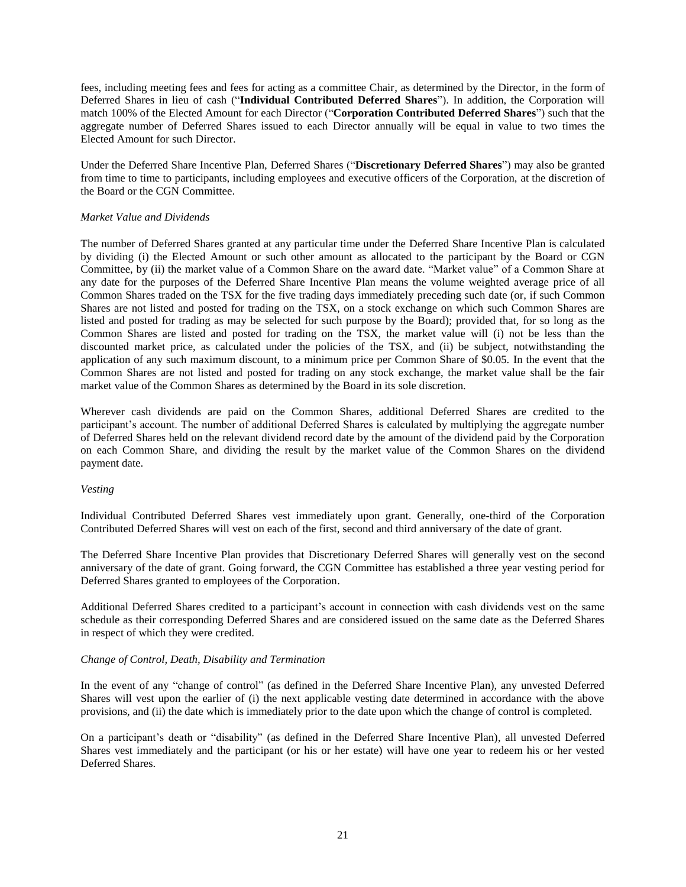fees, including meeting fees and fees for acting as a committee Chair, as determined by the Director, in the form of Deferred Shares in lieu of cash ("**Individual Contributed Deferred Shares**"). In addition, the Corporation will match 100% of the Elected Amount for each Director ("**Corporation Contributed Deferred Shares**") such that the aggregate number of Deferred Shares issued to each Director annually will be equal in value to two times the Elected Amount for such Director.

Under the Deferred Share Incentive Plan, Deferred Shares ("**Discretionary Deferred Shares**") may also be granted from time to time to participants, including employees and executive officers of the Corporation, at the discretion of the Board or the CGN Committee.

## *Market Value and Dividends*

The number of Deferred Shares granted at any particular time under the Deferred Share Incentive Plan is calculated by dividing (i) the Elected Amount or such other amount as allocated to the participant by the Board or CGN Committee, by (ii) the market value of a Common Share on the award date. "Market value" of a Common Share at any date for the purposes of the Deferred Share Incentive Plan means the volume weighted average price of all Common Shares traded on the TSX for the five trading days immediately preceding such date (or, if such Common Shares are not listed and posted for trading on the TSX, on a stock exchange on which such Common Shares are listed and posted for trading as may be selected for such purpose by the Board); provided that, for so long as the Common Shares are listed and posted for trading on the TSX, the market value will (i) not be less than the discounted market price, as calculated under the policies of the TSX, and (ii) be subject, notwithstanding the application of any such maximum discount, to a minimum price per Common Share of \$0.05. In the event that the Common Shares are not listed and posted for trading on any stock exchange, the market value shall be the fair market value of the Common Shares as determined by the Board in its sole discretion.

Wherever cash dividends are paid on the Common Shares, additional Deferred Shares are credited to the participant's account. The number of additional Deferred Shares is calculated by multiplying the aggregate number of Deferred Shares held on the relevant dividend record date by the amount of the dividend paid by the Corporation on each Common Share, and dividing the result by the market value of the Common Shares on the dividend payment date.

#### *Vesting*

Individual Contributed Deferred Shares vest immediately upon grant. Generally, one-third of the Corporation Contributed Deferred Shares will vest on each of the first, second and third anniversary of the date of grant.

The Deferred Share Incentive Plan provides that Discretionary Deferred Shares will generally vest on the second anniversary of the date of grant. Going forward, the CGN Committee has established a three year vesting period for Deferred Shares granted to employees of the Corporation.

Additional Deferred Shares credited to a participant's account in connection with cash dividends vest on the same schedule as their corresponding Deferred Shares and are considered issued on the same date as the Deferred Shares in respect of which they were credited.

## *Change of Control, Death, Disability and Termination*

In the event of any "change of control" (as defined in the Deferred Share Incentive Plan), any unvested Deferred Shares will vest upon the earlier of (i) the next applicable vesting date determined in accordance with the above provisions, and (ii) the date which is immediately prior to the date upon which the change of control is completed.

On a participant's death or "disability" (as defined in the Deferred Share Incentive Plan), all unvested Deferred Shares vest immediately and the participant (or his or her estate) will have one year to redeem his or her vested Deferred Shares.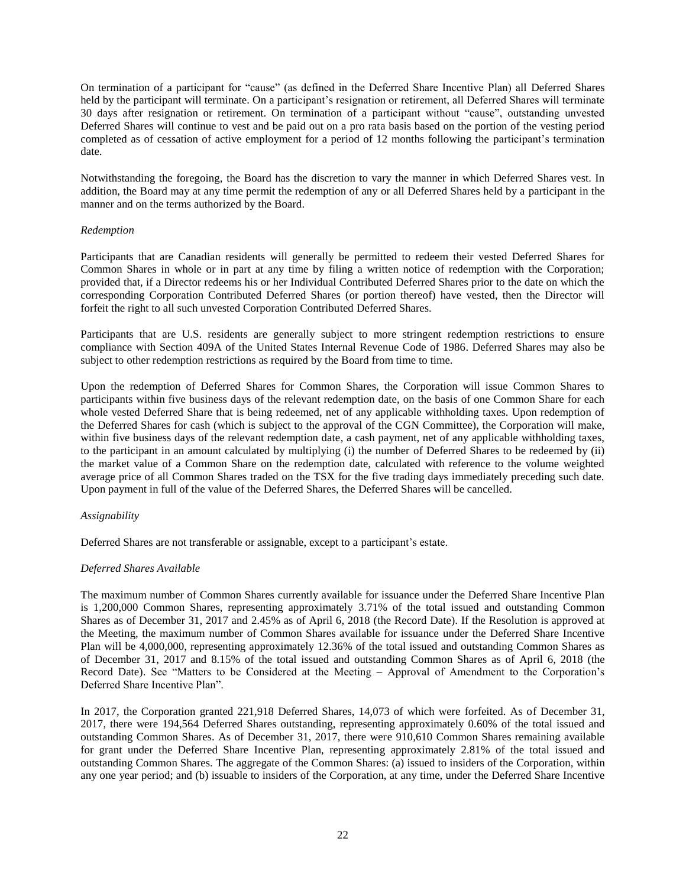On termination of a participant for "cause" (as defined in the Deferred Share Incentive Plan) all Deferred Shares held by the participant will terminate. On a participant's resignation or retirement, all Deferred Shares will terminate 30 days after resignation or retirement. On termination of a participant without "cause", outstanding unvested Deferred Shares will continue to vest and be paid out on a pro rata basis based on the portion of the vesting period completed as of cessation of active employment for a period of 12 months following the participant's termination date.

Notwithstanding the foregoing, the Board has the discretion to vary the manner in which Deferred Shares vest. In addition, the Board may at any time permit the redemption of any or all Deferred Shares held by a participant in the manner and on the terms authorized by the Board.

## *Redemption*

Participants that are Canadian residents will generally be permitted to redeem their vested Deferred Shares for Common Shares in whole or in part at any time by filing a written notice of redemption with the Corporation; provided that, if a Director redeems his or her Individual Contributed Deferred Shares prior to the date on which the corresponding Corporation Contributed Deferred Shares (or portion thereof) have vested, then the Director will forfeit the right to all such unvested Corporation Contributed Deferred Shares.

Participants that are U.S. residents are generally subject to more stringent redemption restrictions to ensure compliance with Section 409A of the United States Internal Revenue Code of 1986. Deferred Shares may also be subject to other redemption restrictions as required by the Board from time to time.

Upon the redemption of Deferred Shares for Common Shares, the Corporation will issue Common Shares to participants within five business days of the relevant redemption date, on the basis of one Common Share for each whole vested Deferred Share that is being redeemed, net of any applicable withholding taxes. Upon redemption of the Deferred Shares for cash (which is subject to the approval of the CGN Committee), the Corporation will make, within five business days of the relevant redemption date, a cash payment, net of any applicable withholding taxes, to the participant in an amount calculated by multiplying (i) the number of Deferred Shares to be redeemed by (ii) the market value of a Common Share on the redemption date, calculated with reference to the volume weighted average price of all Common Shares traded on the TSX for the five trading days immediately preceding such date. Upon payment in full of the value of the Deferred Shares, the Deferred Shares will be cancelled.

## *Assignability*

Deferred Shares are not transferable or assignable, except to a participant's estate.

## *Deferred Shares Available*

The maximum number of Common Shares currently available for issuance under the Deferred Share Incentive Plan is 1,200,000 Common Shares, representing approximately 3.71% of the total issued and outstanding Common Shares as of December 31, 2017 and 2.45% as of April 6, 2018 (the Record Date). If the Resolution is approved at the Meeting, the maximum number of Common Shares available for issuance under the Deferred Share Incentive Plan will be 4,000,000, representing approximately 12.36% of the total issued and outstanding Common Shares as of December 31, 2017 and 8.15% of the total issued and outstanding Common Shares as of April 6, 2018 (the Record Date). See "Matters to be Considered at the Meeting – Approval of Amendment to the Corporation's Deferred Share Incentive Plan".

In 2017, the Corporation granted 221,918 Deferred Shares, 14,073 of which were forfeited. As of December 31, 2017, there were 194,564 Deferred Shares outstanding, representing approximately 0.60% of the total issued and outstanding Common Shares. As of December 31, 2017, there were 910,610 Common Shares remaining available for grant under the Deferred Share Incentive Plan, representing approximately 2.81% of the total issued and outstanding Common Shares. The aggregate of the Common Shares: (a) issued to insiders of the Corporation, within any one year period; and (b) issuable to insiders of the Corporation, at any time, under the Deferred Share Incentive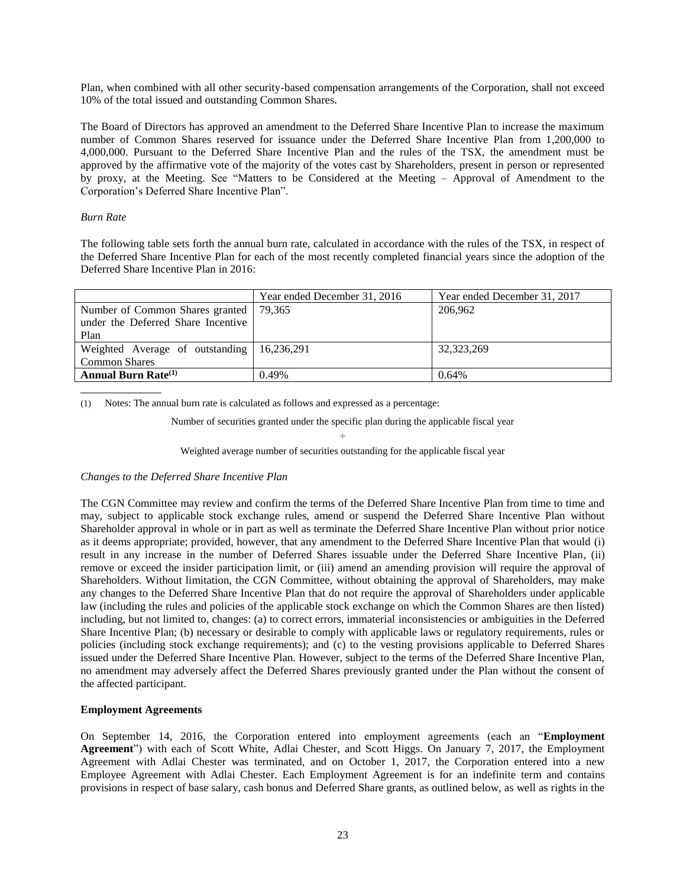Plan, when combined with all other security-based compensation arrangements of the Corporation, shall not exceed 10% of the total issued and outstanding Common Shares.

The Board of Directors has approved an amendment to the Deferred Share Incentive Plan to increase the maximum number of Common Shares reserved for issuance under the Deferred Share Incentive Plan from 1,200,000 to 4,000,000. Pursuant to the Deferred Share Incentive Plan and the rules of the TSX, the amendment must be approved by the affirmative vote of the majority of the votes cast by Shareholders, present in person or represented by proxy, at the Meeting. See "Matters to be Considered at the Meeting – Approval of Amendment to the Corporation's Deferred Share Incentive Plan".

### *Burn Rate*

The following table sets forth the annual burn rate, calculated in accordance with the rules of the TSX, in respect of the Deferred Share Incentive Plan for each of the most recently completed financial years since the adoption of the Deferred Share Incentive Plan in 2016:

|                                              | Year ended December 31, 2016 | Year ended December 31, 2017 |
|----------------------------------------------|------------------------------|------------------------------|
| Number of Common Shares granted   79,365     |                              | 206,962                      |
| under the Deferred Share Incentive           |                              |                              |
| Plan                                         |                              |                              |
| Weighted Average of outstanding   16,236,291 |                              | 32,323,269                   |
| <b>Common Shares</b>                         |                              |                              |
| <b>Annual Burn Rate</b> <sup>(1)</sup>       | 0.49%                        | 0.64%                        |

(1) Notes: The annual burn rate is calculated as follows and expressed as a percentage:

Number of securities granted under the specific plan during the applicable fiscal year

## ÷ Weighted average number of securities outstanding for the applicable fiscal year

#### *Changes to the Deferred Share Incentive Plan*

The CGN Committee may review and confirm the terms of the Deferred Share Incentive Plan from time to time and may, subject to applicable stock exchange rules, amend or suspend the Deferred Share Incentive Plan without Shareholder approval in whole or in part as well as terminate the Deferred Share Incentive Plan without prior notice as it deems appropriate; provided, however, that any amendment to the Deferred Share Incentive Plan that would (i) result in any increase in the number of Deferred Shares issuable under the Deferred Share Incentive Plan, (ii) remove or exceed the insider participation limit, or (iii) amend an amending provision will require the approval of Shareholders. Without limitation, the CGN Committee, without obtaining the approval of Shareholders, may make any changes to the Deferred Share Incentive Plan that do not require the approval of Shareholders under applicable law (including the rules and policies of the applicable stock exchange on which the Common Shares are then listed) including, but not limited to, changes: (a) to correct errors, immaterial inconsistencies or ambiguities in the Deferred Share Incentive Plan; (b) necessary or desirable to comply with applicable laws or regulatory requirements, rules or policies (including stock exchange requirements); and (c) to the vesting provisions applicable to Deferred Shares issued under the Deferred Share Incentive Plan. However, subject to the terms of the Deferred Share Incentive Plan, no amendment may adversely affect the Deferred Shares previously granted under the Plan without the consent of the affected participant.

## <span id="page-26-0"></span>**Employment Agreements**

On September 14, 2016, the Corporation entered into employment agreements (each an "**Employment Agreement**") with each of Scott White, Adlai Chester, and Scott Higgs. On January 7, 2017, the Employment Agreement with Adlai Chester was terminated, and on October 1, 2017, the Corporation entered into a new Employee Agreement with Adlai Chester. Each Employment Agreement is for an indefinite term and contains provisions in respect of base salary, cash bonus and Deferred Share grants, as outlined below, as well as rights in the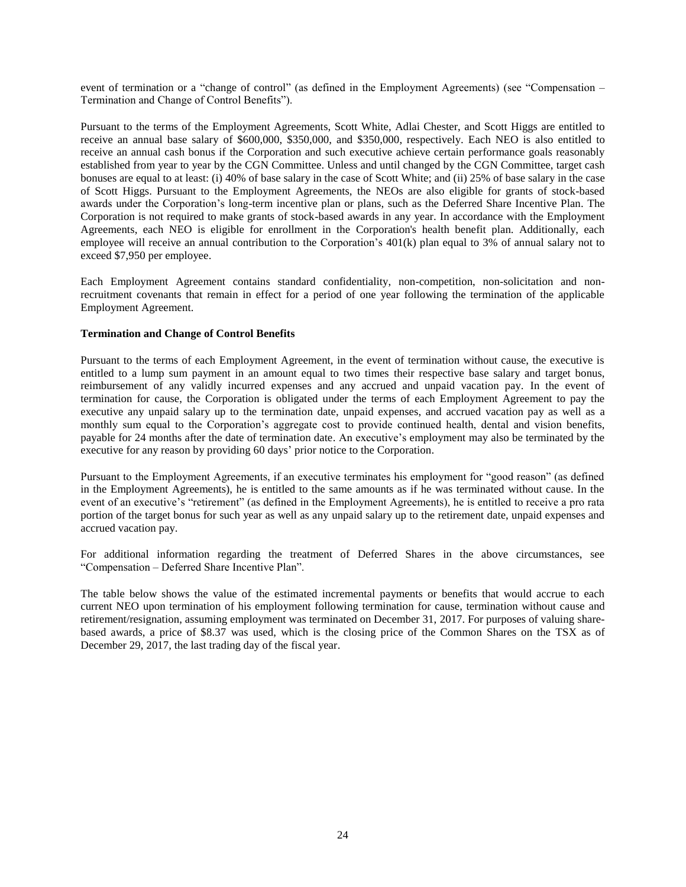event of termination or a "change of control" (as defined in the Employment Agreements) (see "Compensation – Termination and Change of Control Benefits").

Pursuant to the terms of the Employment Agreements, Scott White, Adlai Chester, and Scott Higgs are entitled to receive an annual base salary of \$600,000, \$350,000, and \$350,000, respectively. Each NEO is also entitled to receive an annual cash bonus if the Corporation and such executive achieve certain performance goals reasonably established from year to year by the CGN Committee. Unless and until changed by the CGN Committee, target cash bonuses are equal to at least: (i) 40% of base salary in the case of Scott White; and (ii) 25% of base salary in the case of Scott Higgs. Pursuant to the Employment Agreements, the NEOs are also eligible for grants of stock-based awards under the Corporation's long-term incentive plan or plans, such as the Deferred Share Incentive Plan. The Corporation is not required to make grants of stock-based awards in any year. In accordance with the Employment Agreements, each NEO is eligible for enrollment in the Corporation's health benefit plan. Additionally, each employee will receive an annual contribution to the Corporation's 401(k) plan equal to 3% of annual salary not to exceed \$7,950 per employee.

Each Employment Agreement contains standard confidentiality, non-competition, non-solicitation and nonrecruitment covenants that remain in effect for a period of one year following the termination of the applicable Employment Agreement.

## <span id="page-27-0"></span>**Termination and Change of Control Benefits**

Pursuant to the terms of each Employment Agreement, in the event of termination without cause, the executive is entitled to a lump sum payment in an amount equal to two times their respective base salary and target bonus, reimbursement of any validly incurred expenses and any accrued and unpaid vacation pay. In the event of termination for cause, the Corporation is obligated under the terms of each Employment Agreement to pay the executive any unpaid salary up to the termination date, unpaid expenses, and accrued vacation pay as well as a monthly sum equal to the Corporation's aggregate cost to provide continued health, dental and vision benefits, payable for 24 months after the date of termination date. An executive's employment may also be terminated by the executive for any reason by providing 60 days' prior notice to the Corporation.

Pursuant to the Employment Agreements, if an executive terminates his employment for "good reason" (as defined in the Employment Agreements), he is entitled to the same amounts as if he was terminated without cause. In the event of an executive's "retirement" (as defined in the Employment Agreements), he is entitled to receive a pro rata portion of the target bonus for such year as well as any unpaid salary up to the retirement date, unpaid expenses and accrued vacation pay.

For additional information regarding the treatment of Deferred Shares in the above circumstances, see "Compensation – Deferred Share Incentive Plan".

The table below shows the value of the estimated incremental payments or benefits that would accrue to each current NEO upon termination of his employment following termination for cause, termination without cause and retirement/resignation, assuming employment was terminated on December 31, 2017. For purposes of valuing sharebased awards, a price of \$8.37 was used, which is the closing price of the Common Shares on the TSX as of December 29, 2017, the last trading day of the fiscal year.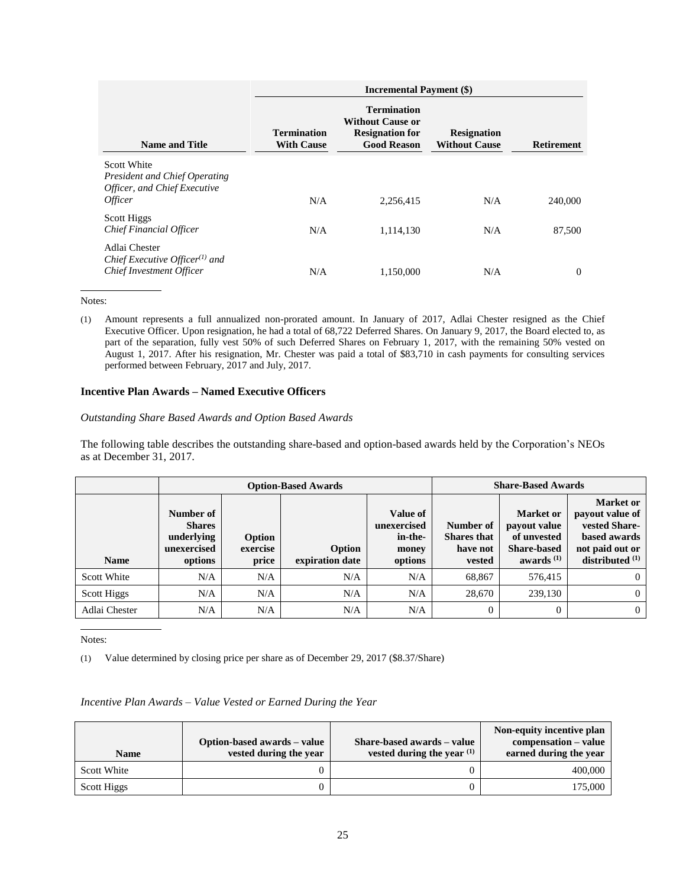|                                                                                                              | <b>Incremental Payment (\$)</b>         |                                                                                               |                                            |                   |  |  |  |
|--------------------------------------------------------------------------------------------------------------|-----------------------------------------|-----------------------------------------------------------------------------------------------|--------------------------------------------|-------------------|--|--|--|
| <b>Name and Title</b>                                                                                        | <b>Termination</b><br><b>With Cause</b> | <b>Termination</b><br><b>Without Cause or</b><br><b>Resignation for</b><br><b>Good Reason</b> | <b>Resignation</b><br><b>Without Cause</b> | <b>Retirement</b> |  |  |  |
| <b>Scott White</b><br><b>President and Chief Operating</b><br>Officer, and Chief Executive<br><i>Officer</i> | N/A                                     | 2,256,415                                                                                     | N/A                                        | 240,000           |  |  |  |
| Scott Higgs<br>Chief Financial Officer                                                                       | N/A                                     | 1,114,130                                                                                     | N/A                                        | 87,500            |  |  |  |
| Adlai Chester<br>Chief Executive Officer $(1)$ and<br><b>Chief Investment Officer</b>                        | N/A                                     | 1.150.000                                                                                     | N/A                                        | $\Omega$          |  |  |  |

(1) Amount represents a full annualized non-prorated amount. In January of 2017, Adlai Chester resigned as the Chief Executive Officer. Upon resignation, he had a total of 68,722 Deferred Shares. On January 9, 2017, the Board elected to, as part of the separation, fully vest 50% of such Deferred Shares on February 1, 2017, with the remaining 50% vested on August 1, 2017. After his resignation, Mr. Chester was paid a total of \$83,710 in cash payments for consulting services performed between February, 2017 and July, 2017.

## <span id="page-28-0"></span>**Incentive Plan Awards – Named Executive Officers**

## *Outstanding Share Based Awards and Option Based Awards*

The following table describes the outstanding share-based and option-based awards held by the Corporation's NEOs as at December 31, 2017.

|               |                                                                    |                             | <b>Option-Based Awards</b> | <b>Share-Based Awards</b>                              |                                                       |                                                                                       |                                                                                                              |
|---------------|--------------------------------------------------------------------|-----------------------------|----------------------------|--------------------------------------------------------|-------------------------------------------------------|---------------------------------------------------------------------------------------|--------------------------------------------------------------------------------------------------------------|
| <b>Name</b>   | Number of<br><b>Shares</b><br>underlying<br>unexercised<br>options | Option<br>exercise<br>price | Option<br>expiration date  | Value of<br>unexercised<br>in-the-<br>money<br>options | Number of<br><b>Shares</b> that<br>have not<br>vested | <b>Market or</b><br>payout value<br>of unvested<br><b>Share-based</b><br>awards $(1)$ | <b>Market</b> or<br>payout value of<br>vested Share-<br>based awards<br>not paid out or<br>distributed $(1)$ |
| Scott White   | N/A                                                                | N/A                         | N/A                        | N/A                                                    | 68,867                                                | 576,415                                                                               | $\Omega$                                                                                                     |
| Scott Higgs   | N/A                                                                | N/A                         | N/A                        | N/A                                                    | 28,670                                                | 239,130                                                                               | $\Omega$                                                                                                     |
| Adlai Chester | N/A                                                                | N/A                         | N/A                        | N/A                                                    | $\Omega$                                              |                                                                                       | $\Omega$                                                                                                     |

Notes:

(1) Value determined by closing price per share as of December 29, 2017 (\$8.37/Share)

## *Incentive Plan Awards – Value Vested or Earned During the Year*

| <b>Name</b> | Option-based awards – value<br>vested during the year | Share-based awards - value<br>vested during the year $(1)$ | Non-equity incentive plan<br>compensation – value<br>earned during the year |
|-------------|-------------------------------------------------------|------------------------------------------------------------|-----------------------------------------------------------------------------|
| Scott White |                                                       |                                                            | 400,000                                                                     |
| Scott Higgs |                                                       |                                                            | 175.000                                                                     |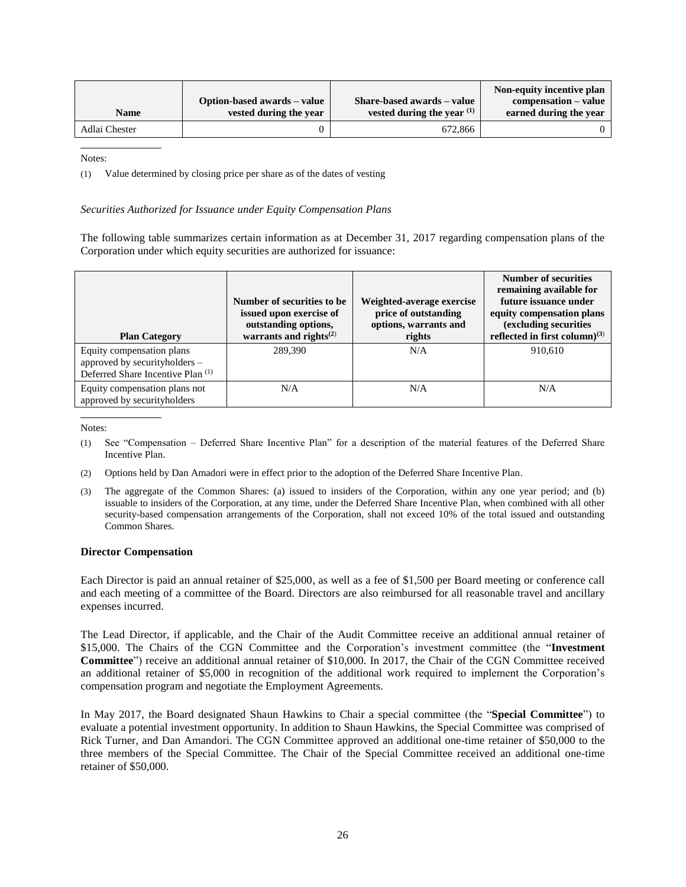| <b>Name</b>   | Option-based awards – value<br>vested during the year | Share-based awards – value<br>vested during the year $(1)$ | Non-equity incentive plan<br>compensation – value<br>earned during the year |
|---------------|-------------------------------------------------------|------------------------------------------------------------|-----------------------------------------------------------------------------|
| Adlai Chester |                                                       | 672,866                                                    |                                                                             |

(1) Value determined by closing price per share as of the dates of vesting

#### *Securities Authorized for Issuance under Equity Compensation Plans*

The following table summarizes certain information as at December 31, 2017 regarding compensation plans of the Corporation under which equity securities are authorized for issuance:

| <b>Plan Category</b>                                                                            | Number of securities to be.<br>issued upon exercise of<br>outstanding options,<br>warrants and rights $^{(2)}$ | Weighted-average exercise<br>price of outstanding<br>options, warrants and<br>rights | <b>Number of securities</b><br>remaining available for<br>future issuance under<br>equity compensation plans<br>(excluding securities<br>reflected in first column) $^{(3)}$ |
|-------------------------------------------------------------------------------------------------|----------------------------------------------------------------------------------------------------------------|--------------------------------------------------------------------------------------|------------------------------------------------------------------------------------------------------------------------------------------------------------------------------|
| Equity compensation plans<br>approved by securityholders -<br>Deferred Share Incentive Plan (1) | 289,390                                                                                                        | N/A                                                                                  | 910,610                                                                                                                                                                      |
| Equity compensation plans not<br>approved by securityholders                                    | N/A                                                                                                            | N/A                                                                                  | N/A                                                                                                                                                                          |

Notes:

- (1) See "Compensation Deferred Share Incentive Plan" for a description of the material features of the Deferred Share Incentive Plan.
- (2) Options held by Dan Amadori were in effect prior to the adoption of the Deferred Share Incentive Plan.
- (3) The aggregate of the Common Shares: (a) issued to insiders of the Corporation, within any one year period; and (b) issuable to insiders of the Corporation, at any time, under the Deferred Share Incentive Plan, when combined with all other security-based compensation arrangements of the Corporation, shall not exceed 10% of the total issued and outstanding Common Shares.

## <span id="page-29-0"></span>**Director Compensation**

Each Director is paid an annual retainer of \$25,000, as well as a fee of \$1,500 per Board meeting or conference call and each meeting of a committee of the Board. Directors are also reimbursed for all reasonable travel and ancillary expenses incurred.

The Lead Director, if applicable, and the Chair of the Audit Committee receive an additional annual retainer of \$15,000. The Chairs of the CGN Committee and the Corporation's investment committee (the "**Investment Committee**") receive an additional annual retainer of \$10,000. In 2017, the Chair of the CGN Committee received an additional retainer of \$5,000 in recognition of the additional work required to implement the Corporation's compensation program and negotiate the Employment Agreements.

In May 2017, the Board designated Shaun Hawkins to Chair a special committee (the "**Special Committee**") to evaluate a potential investment opportunity. In addition to Shaun Hawkins, the Special Committee was comprised of Rick Turner, and Dan Amandori. The CGN Committee approved an additional one-time retainer of \$50,000 to the three members of the Special Committee. The Chair of the Special Committee received an additional one-time retainer of \$50,000.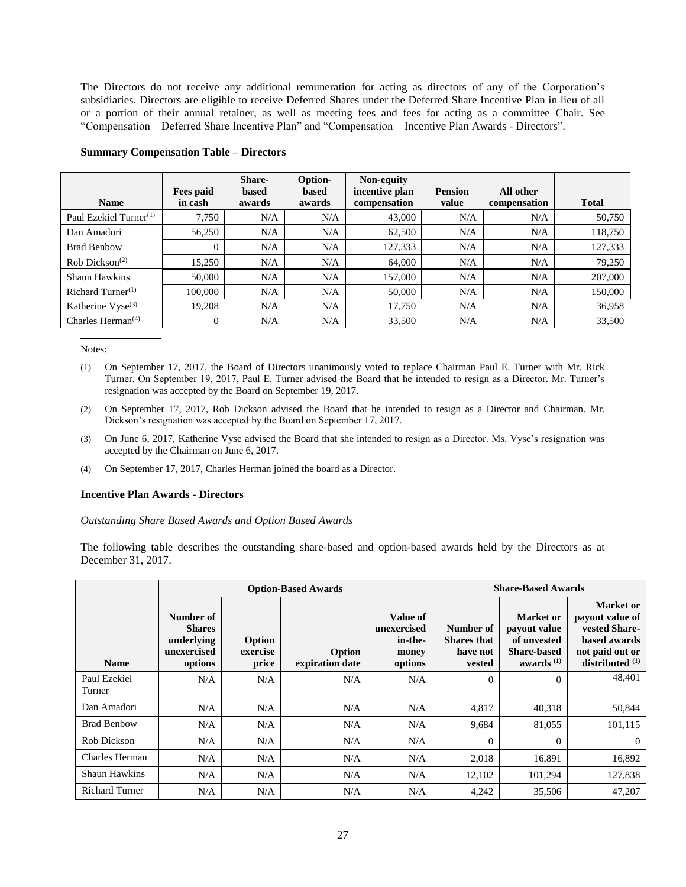The Directors do not receive any additional remuneration for acting as directors of any of the Corporation's subsidiaries. Directors are eligible to receive Deferred Shares under the Deferred Share Incentive Plan in lieu of all or a portion of their annual retainer, as well as meeting fees and fees for acting as a committee Chair. See "Compensation – Deferred Share Incentive Plan" and "Compensation – Incentive Plan Awards - Directors".

| <b>Name</b>                                | Fees paid<br>in cash | Share-<br>based<br>awards | Option-<br>based<br>awards | Non-equity<br>incentive plan<br>compensation | <b>Pension</b><br>value | All other<br>compensation | <b>Total</b> |
|--------------------------------------------|----------------------|---------------------------|----------------------------|----------------------------------------------|-------------------------|---------------------------|--------------|
| Paul Ezekiel Turner $(1)$                  | 7,750                | N/A                       | N/A                        | 43,000                                       | N/A                     | N/A                       | 50,750       |
| Dan Amadori                                | 56,250               | N/A                       | N/A                        | 62,500                                       | N/A                     | N/A                       | 118,750      |
| <b>Brad Benbow</b>                         | $\mathbf{0}$         | N/A                       | N/A                        | 127,333                                      | N/A                     | N/A                       | 127,333      |
| $Rob$ Dickson <sup>(2)</sup>               | 15,250               | N/A                       | N/A                        | 64,000                                       | N/A                     | N/A                       | 79,250       |
| Shaun Hawkins                              | 50,000               | N/A                       | N/A                        | 157,000                                      | N/A                     | N/A                       | 207,000      |
| Richard Turner $(1)$                       | 100,000              | N/A                       | N/A                        | 50,000                                       | N/A                     | N/A                       | 150,000      |
| Katherine Vyse <sup>(3)</sup>              | 19,208               | N/A                       | N/A                        | 17,750                                       | N/A                     | N/A                       | 36,958       |
| Charles Herman <sup><math>(4)</math></sup> | $\overline{0}$       | N/A                       | N/A                        | 33,500                                       | N/A                     | N/A                       | 33,500       |

#### <span id="page-30-0"></span>**Summary Compensation Table – Directors**

Notes:

- (1) On September 17, 2017, the Board of Directors unanimously voted to replace Chairman Paul E. Turner with Mr. Rick Turner. On September 19, 2017, Paul E. Turner advised the Board that he intended to resign as a Director. Mr. Turner's resignation was accepted by the Board on September 19, 2017.
- (2) On September 17, 2017, Rob Dickson advised the Board that he intended to resign as a Director and Chairman. Mr. Dickson's resignation was accepted by the Board on September 17, 2017.
- (3) On June 6, 2017, Katherine Vyse advised the Board that she intended to resign as a Director. Ms. Vyse's resignation was accepted by the Chairman on June 6, 2017.
- (4) On September 17, 2017, Charles Herman joined the board as a Director.

#### <span id="page-30-1"></span>**Incentive Plan Awards - Directors**

*Outstanding Share Based Awards and Option Based Awards* 

The following table describes the outstanding share-based and option-based awards held by the Directors as at December 31, 2017.

|                        |                                                                    |                             | <b>Option-Based Awards</b>       | <b>Share-Based Awards</b>                              |                                                       |                                                                                       |                                                                                                              |
|------------------------|--------------------------------------------------------------------|-----------------------------|----------------------------------|--------------------------------------------------------|-------------------------------------------------------|---------------------------------------------------------------------------------------|--------------------------------------------------------------------------------------------------------------|
| <b>Name</b>            | Number of<br><b>Shares</b><br>underlying<br>unexercised<br>options | Option<br>exercise<br>price | <b>Option</b><br>expiration date | Value of<br>unexercised<br>in-the-<br>money<br>options | Number of<br><b>Shares</b> that<br>have not<br>vested | <b>Market</b> or<br>payout value<br>of unvested<br><b>Share-based</b><br>awards $(1)$ | <b>Market</b> or<br>payout value of<br>vested Share-<br>based awards<br>not paid out or<br>distributed $(1)$ |
| Paul Ezekiel<br>Turner | N/A                                                                | N/A                         | N/A                              | N/A                                                    | $\Omega$                                              | $\Omega$                                                                              | 48,401                                                                                                       |
| Dan Amadori            | N/A                                                                | N/A                         | N/A                              | N/A                                                    | 4,817                                                 | 40,318                                                                                | 50,844                                                                                                       |
| <b>Brad Benbow</b>     | N/A                                                                | N/A                         | N/A                              | N/A                                                    | 9,684                                                 | 81,055                                                                                | 101,115                                                                                                      |
| Rob Dickson            | N/A                                                                | N/A                         | N/A                              | N/A                                                    | $\Omega$                                              | $\Omega$                                                                              | $\Omega$                                                                                                     |
| Charles Herman         | N/A                                                                | N/A                         | N/A                              | N/A                                                    | 2,018                                                 | 16,891                                                                                | 16,892                                                                                                       |
| Shaun Hawkins          | N/A                                                                | N/A                         | N/A                              | N/A                                                    | 12,102                                                | 101,294                                                                               | 127,838                                                                                                      |
| <b>Richard Turner</b>  | N/A                                                                | N/A                         | N/A                              | N/A                                                    | 4,242                                                 | 35,506                                                                                | 47,207                                                                                                       |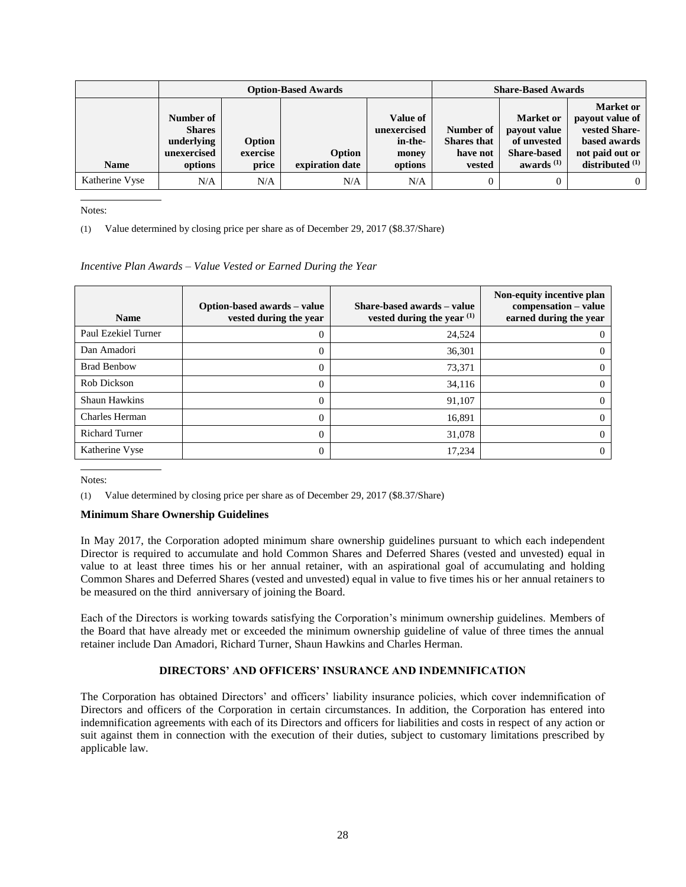|                | <b>Option-Based Awards</b>                                         |                             |                           |                                                        |                                                       | <b>Share-Based Awards</b>                                                      |                                                                                                            |
|----------------|--------------------------------------------------------------------|-----------------------------|---------------------------|--------------------------------------------------------|-------------------------------------------------------|--------------------------------------------------------------------------------|------------------------------------------------------------------------------------------------------------|
| <b>Name</b>    | Number of<br><b>Shares</b><br>underlying<br>unexercised<br>options | Option<br>exercise<br>price | Option<br>expiration date | Value of<br>unexercised<br>in-the-<br>money<br>options | Number of<br><b>Shares</b> that<br>have not<br>vested | Market or<br>payout value<br>of unvested<br><b>Share-based</b><br>awards $(1)$ | <b>Market or</b><br>payout value of<br>vested Share-<br>based awards<br>not paid out or<br>distributed (1) |
| Katherine Vyse | N/A                                                                | N/A                         | N/A                       | N/A                                                    |                                                       |                                                                                | $\Omega$                                                                                                   |

(1) Value determined by closing price per share as of December 29, 2017 (\$8.37/Share)

#### *Incentive Plan Awards – Value Vested or Earned During the Year*

| <b>Name</b>           | Option-based awards – value<br>vested during the year | Share-based awards – value<br>vested during the year $(1)$ | Non-equity incentive plan<br>compensation - value<br>earned during the year |
|-----------------------|-------------------------------------------------------|------------------------------------------------------------|-----------------------------------------------------------------------------|
| Paul Ezekiel Turner   | 0                                                     | 24,524                                                     | $\theta$                                                                    |
| Dan Amadori           | 0                                                     | 36,301                                                     | $\theta$                                                                    |
| <b>Brad Benbow</b>    | 0                                                     | 73,371                                                     | $\Omega$                                                                    |
| Rob Dickson           | 0                                                     | 34,116                                                     | $\Omega$                                                                    |
| <b>Shaun Hawkins</b>  | $\theta$                                              | 91,107                                                     | $\Omega$                                                                    |
| Charles Herman        | 0                                                     | 16,891                                                     | $\Omega$                                                                    |
| <b>Richard Turner</b> | $\theta$                                              | 31,078                                                     | $\Omega$                                                                    |
| Katherine Vyse        | 0                                                     | 17,234                                                     | $\theta$                                                                    |

Notes:

(1) Value determined by closing price per share as of December 29, 2017 (\$8.37/Share)

#### <span id="page-31-0"></span>**Minimum Share Ownership Guidelines**

In May 2017, the Corporation adopted minimum share ownership guidelines pursuant to which each independent Director is required to accumulate and hold Common Shares and Deferred Shares (vested and unvested) equal in value to at least three times his or her annual retainer, with an aspirational goal of accumulating and holding Common Shares and Deferred Shares (vested and unvested) equal in value to five times his or her annual retainers to be measured on the third anniversary of joining the Board.

Each of the Directors is working towards satisfying the Corporation's minimum ownership guidelines. Members of the Board that have already met or exceeded the minimum ownership guideline of value of three times the annual retainer include Dan Amadori, Richard Turner, Shaun Hawkins and Charles Herman.

#### **DIRECTORS' AND OFFICERS' INSURANCE AND INDEMNIFICATION**

<span id="page-31-1"></span>The Corporation has obtained Directors' and officers' liability insurance policies, which cover indemnification of Directors and officers of the Corporation in certain circumstances. In addition, the Corporation has entered into indemnification agreements with each of its Directors and officers for liabilities and costs in respect of any action or suit against them in connection with the execution of their duties, subject to customary limitations prescribed by applicable law.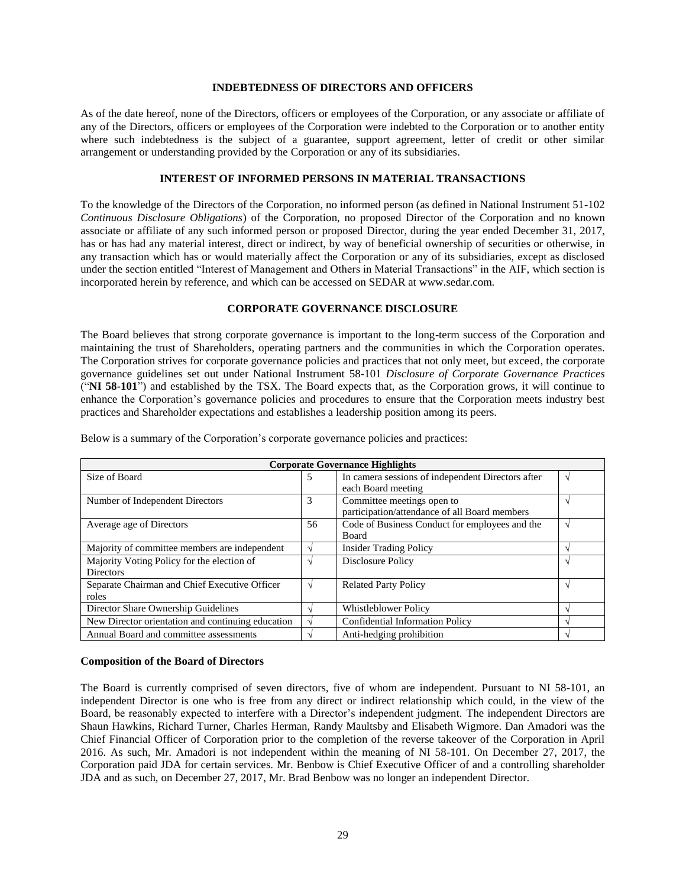#### **INDEBTEDNESS OF DIRECTORS AND OFFICERS**

<span id="page-32-0"></span>As of the date hereof, none of the Directors, officers or employees of the Corporation, or any associate or affiliate of any of the Directors, officers or employees of the Corporation were indebted to the Corporation or to another entity where such indebtedness is the subject of a guarantee, support agreement, letter of credit or other similar arrangement or understanding provided by the Corporation or any of its subsidiaries.

## **INTEREST OF INFORMED PERSONS IN MATERIAL TRANSACTIONS**

<span id="page-32-1"></span>To the knowledge of the Directors of the Corporation, no informed person (as defined in National Instrument 51-102 *Continuous Disclosure Obligations*) of the Corporation, no proposed Director of the Corporation and no known associate or affiliate of any such informed person or proposed Director, during the year ended December 31, 2017, has or has had any material interest, direct or indirect, by way of beneficial ownership of securities or otherwise, in any transaction which has or would materially affect the Corporation or any of its subsidiaries, except as disclosed under the section entitled "Interest of Management and Others in Material Transactions" in the AIF, which section is incorporated herein by reference, and which can be accessed on SEDAR at www.sedar.com*.*

## **CORPORATE GOVERNANCE DISCLOSURE**

<span id="page-32-2"></span>The Board believes that strong corporate governance is important to the long-term success of the Corporation and maintaining the trust of Shareholders, operating partners and the communities in which the Corporation operates. The Corporation strives for corporate governance policies and practices that not only meet, but exceed, the corporate governance guidelines set out under National Instrument 58-101 *Disclosure of Corporate Governance Practices*  ("**NI 58-101**") and established by the TSX. The Board expects that, as the Corporation grows, it will continue to enhance the Corporation's governance policies and procedures to ensure that the Corporation meets industry best practices and Shareholder expectations and establishes a leadership position among its peers.

| <b>Corporate Governance Highlights</b>            |            |                                                   |  |  |  |  |  |
|---------------------------------------------------|------------|---------------------------------------------------|--|--|--|--|--|
| Size of Board                                     | 5          | In camera sessions of independent Directors after |  |  |  |  |  |
|                                                   |            | each Board meeting                                |  |  |  |  |  |
| Number of Independent Directors                   | 3          | Committee meetings open to                        |  |  |  |  |  |
|                                                   |            | participation/attendance of all Board members     |  |  |  |  |  |
| Average age of Directors                          | 56         | Code of Business Conduct for employees and the    |  |  |  |  |  |
|                                                   |            | <b>Board</b>                                      |  |  |  |  |  |
| Majority of committee members are independent     | $\Delta$   | <b>Insider Trading Policy</b>                     |  |  |  |  |  |
| Majority Voting Policy for the election of        | $\Delta$   | Disclosure Policy                                 |  |  |  |  |  |
| <b>Directors</b>                                  |            |                                                   |  |  |  |  |  |
| Separate Chairman and Chief Executive Officer     | $\sqrt{ }$ | <b>Related Party Policy</b>                       |  |  |  |  |  |
| roles                                             |            |                                                   |  |  |  |  |  |
| Director Share Ownership Guidelines               |            | <b>Whistleblower Policy</b>                       |  |  |  |  |  |
| New Director orientation and continuing education |            | <b>Confidential Information Policy</b>            |  |  |  |  |  |
| Annual Board and committee assessments            |            | Anti-hedging prohibition                          |  |  |  |  |  |

Below is a summary of the Corporation's corporate governance policies and practices:

#### <span id="page-32-3"></span>**Composition of the Board of Directors**

The Board is currently comprised of seven directors, five of whom are independent. Pursuant to NI 58-101, an independent Director is one who is free from any direct or indirect relationship which could, in the view of the Board, be reasonably expected to interfere with a Director's independent judgment. The independent Directors are Shaun Hawkins, Richard Turner, Charles Herman, Randy Maultsby and Elisabeth Wigmore. Dan Amadori was the Chief Financial Officer of Corporation prior to the completion of the reverse takeover of the Corporation in April 2016. As such, Mr. Amadori is not independent within the meaning of NI 58-101. On December 27, 2017, the Corporation paid JDA for certain services. Mr. Benbow is Chief Executive Officer of and a controlling shareholder JDA and as such, on December 27, 2017, Mr. Brad Benbow was no longer an independent Director.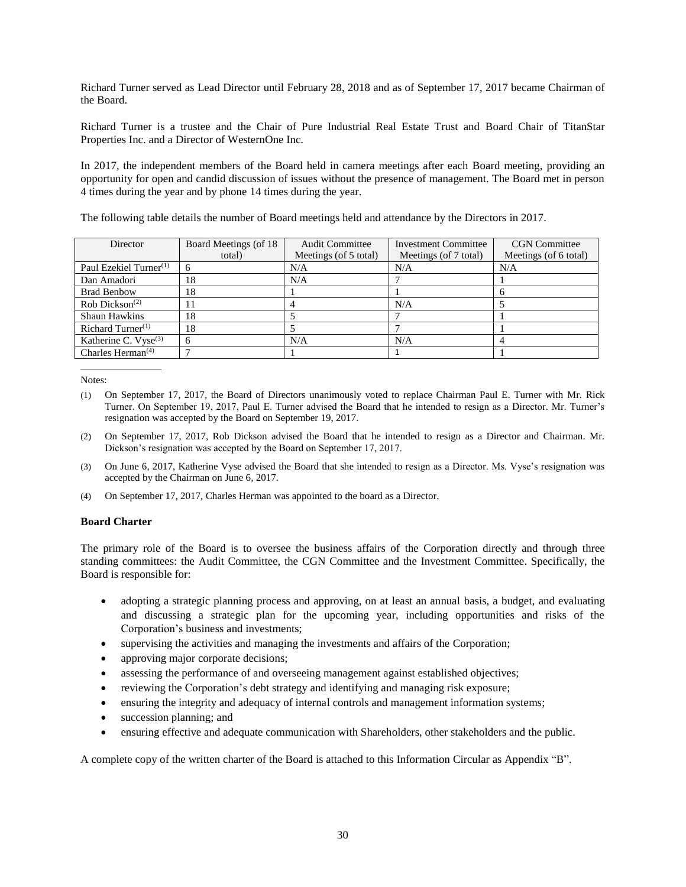Richard Turner served as Lead Director until February 28, 2018 and as of September 17, 2017 became Chairman of the Board.

Richard Turner is a trustee and the Chair of Pure Industrial Real Estate Trust and Board Chair of TitanStar Properties Inc. and a Director of WesternOne Inc.

In 2017, the independent members of the Board held in camera meetings after each Board meeting, providing an opportunity for open and candid discussion of issues without the presence of management. The Board met in person 4 times during the year and by phone 14 times during the year.

The following table details the number of Board meetings held and attendance by the Directors in 2017.

| Director                                   | Board Meetings (of 18) | <b>Audit Committee</b> | <b>Investment Committee</b> | <b>CGN</b> Committee  |
|--------------------------------------------|------------------------|------------------------|-----------------------------|-----------------------|
|                                            | total)                 | Meetings (of 5 total)  | Meetings (of 7 total)       | Meetings (of 6 total) |
| Paul Ezekiel Turner <sup>(1)</sup>         |                        | N/A                    | N/A                         | N/A                   |
| Dan Amadori                                | 18                     | N/A                    |                             |                       |
| <b>Brad Benbow</b>                         | 18                     |                        |                             |                       |
| $Rob$ Dickson <sup>(2)</sup>               |                        |                        | N/A                         |                       |
| Shaun Hawkins                              | 18                     |                        |                             |                       |
| Richard Turner $(1)$                       | 18                     |                        |                             |                       |
| Katherine C. Vyse <sup>(3)</sup>           | 6                      | N/A                    | N/A                         |                       |
| Charles Herman <sup><math>(4)</math></sup> |                        |                        |                             |                       |

Notes:

- (1) On September 17, 2017, the Board of Directors unanimously voted to replace Chairman Paul E. Turner with Mr. Rick Turner. On September 19, 2017, Paul E. Turner advised the Board that he intended to resign as a Director. Mr. Turner's resignation was accepted by the Board on September 19, 2017.
- (2) On September 17, 2017, Rob Dickson advised the Board that he intended to resign as a Director and Chairman. Mr. Dickson's resignation was accepted by the Board on September 17, 2017.
- (3) On June 6, 2017, Katherine Vyse advised the Board that she intended to resign as a Director. Ms. Vyse's resignation was accepted by the Chairman on June 6, 2017.
- (4) On September 17, 2017, Charles Herman was appointed to the board as a Director.

## <span id="page-33-0"></span>**Board Charter**

The primary role of the Board is to oversee the business affairs of the Corporation directly and through three standing committees: the Audit Committee, the CGN Committee and the Investment Committee. Specifically, the Board is responsible for:

- adopting a strategic planning process and approving, on at least an annual basis, a budget, and evaluating and discussing a strategic plan for the upcoming year, including opportunities and risks of the Corporation's business and investments;
- supervising the activities and managing the investments and affairs of the Corporation;
- approving major corporate decisions;
- assessing the performance of and overseeing management against established objectives;
- reviewing the Corporation's debt strategy and identifying and managing risk exposure;
- ensuring the integrity and adequacy of internal controls and management information systems;
- succession planning; and
- ensuring effective and adequate communication with Shareholders, other stakeholders and the public.

A complete copy of the written charter of the Board is attached to this Information Circular as Appendix "B".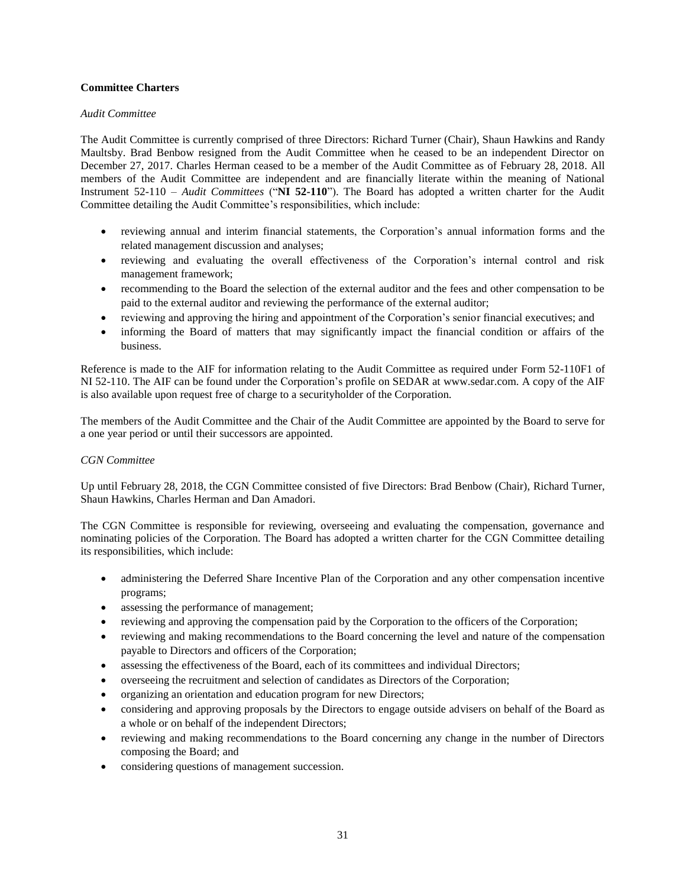## <span id="page-34-0"></span>**Committee Charters**

## *Audit Committee*

The Audit Committee is currently comprised of three Directors: Richard Turner (Chair), Shaun Hawkins and Randy Maultsby. Brad Benbow resigned from the Audit Committee when he ceased to be an independent Director on December 27, 2017. Charles Herman ceased to be a member of the Audit Committee as of February 28, 2018. All members of the Audit Committee are independent and are financially literate within the meaning of National Instrument 52-110 *– Audit Committees* ("**NI 52-110**"). The Board has adopted a written charter for the Audit Committee detailing the Audit Committee's responsibilities, which include:

- reviewing annual and interim financial statements, the Corporation's annual information forms and the related management discussion and analyses;
- reviewing and evaluating the overall effectiveness of the Corporation's internal control and risk management framework;
- recommending to the Board the selection of the external auditor and the fees and other compensation to be paid to the external auditor and reviewing the performance of the external auditor;
- reviewing and approving the hiring and appointment of the Corporation's senior financial executives; and
- informing the Board of matters that may significantly impact the financial condition or affairs of the business.

Reference is made to the AIF for information relating to the Audit Committee as required under Form 52-110F1 of NI 52-110. The AIF can be found under the Corporation's profile on SEDAR at www.sedar.com. A copy of the AIF is also available upon request free of charge to a securityholder of the Corporation.

The members of the Audit Committee and the Chair of the Audit Committee are appointed by the Board to serve for a one year period or until their successors are appointed.

## *CGN Committee*

Up until February 28, 2018, the CGN Committee consisted of five Directors: Brad Benbow (Chair), Richard Turner, Shaun Hawkins, Charles Herman and Dan Amadori.

The CGN Committee is responsible for reviewing, overseeing and evaluating the compensation, governance and nominating policies of the Corporation. The Board has adopted a written charter for the CGN Committee detailing its responsibilities, which include:

- administering the Deferred Share Incentive Plan of the Corporation and any other compensation incentive programs;
- assessing the performance of management;
- reviewing and approving the compensation paid by the Corporation to the officers of the Corporation;
- reviewing and making recommendations to the Board concerning the level and nature of the compensation payable to Directors and officers of the Corporation;
- assessing the effectiveness of the Board, each of its committees and individual Directors;
- overseeing the recruitment and selection of candidates as Directors of the Corporation;
- organizing an orientation and education program for new Directors;
- considering and approving proposals by the Directors to engage outside advisers on behalf of the Board as a whole or on behalf of the independent Directors;
- reviewing and making recommendations to the Board concerning any change in the number of Directors composing the Board; and
- considering questions of management succession.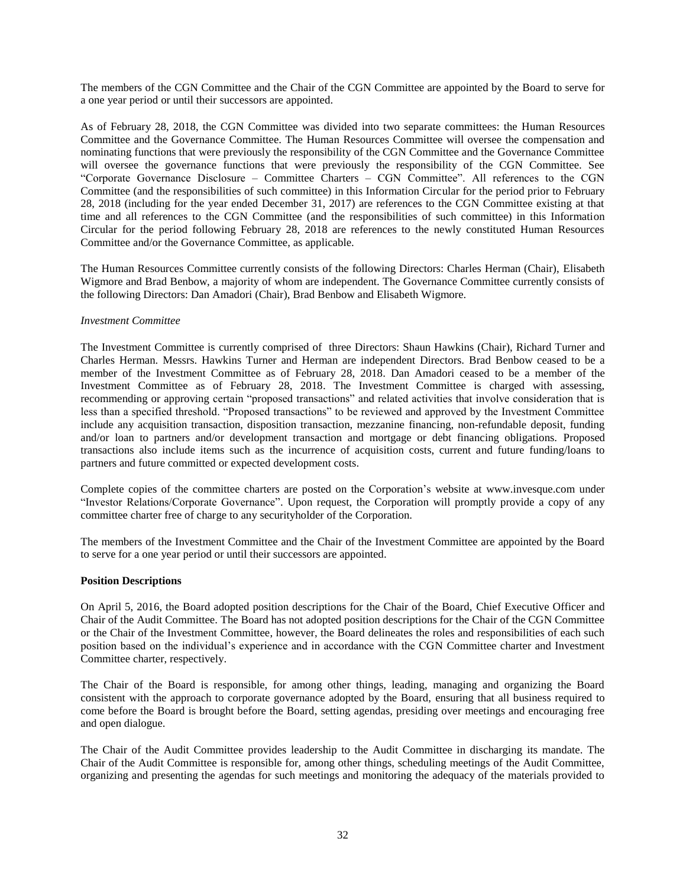The members of the CGN Committee and the Chair of the CGN Committee are appointed by the Board to serve for a one year period or until their successors are appointed.

As of February 28, 2018, the CGN Committee was divided into two separate committees: the Human Resources Committee and the Governance Committee. The Human Resources Committee will oversee the compensation and nominating functions that were previously the responsibility of the CGN Committee and the Governance Committee will oversee the governance functions that were previously the responsibility of the CGN Committee. See "Corporate Governance Disclosure – Committee Charters – CGN Committee". All references to the CGN Committee (and the responsibilities of such committee) in this Information Circular for the period prior to February 28, 2018 (including for the year ended December 31, 2017) are references to the CGN Committee existing at that time and all references to the CGN Committee (and the responsibilities of such committee) in this Information Circular for the period following February 28, 2018 are references to the newly constituted Human Resources Committee and/or the Governance Committee, as applicable.

The Human Resources Committee currently consists of the following Directors: Charles Herman (Chair), Elisabeth Wigmore and Brad Benbow, a majority of whom are independent. The Governance Committee currently consists of the following Directors: Dan Amadori (Chair), Brad Benbow and Elisabeth Wigmore.

#### *Investment Committee*

The Investment Committee is currently comprised of three Directors: Shaun Hawkins (Chair), Richard Turner and Charles Herman. Messrs. Hawkins Turner and Herman are independent Directors. Brad Benbow ceased to be a member of the Investment Committee as of February 28, 2018. Dan Amadori ceased to be a member of the Investment Committee as of February 28, 2018. The Investment Committee is charged with assessing, recommending or approving certain "proposed transactions" and related activities that involve consideration that is less than a specified threshold. "Proposed transactions" to be reviewed and approved by the Investment Committee include any acquisition transaction, disposition transaction, mezzanine financing, non-refundable deposit, funding and/or loan to partners and/or development transaction and mortgage or debt financing obligations. Proposed transactions also include items such as the incurrence of acquisition costs, current and future funding/loans to partners and future committed or expected development costs.

Complete copies of the committee charters are posted on the Corporation's website at www.invesque.com under "Investor Relations/Corporate Governance". Upon request, the Corporation will promptly provide a copy of any committee charter free of charge to any securityholder of the Corporation.

The members of the Investment Committee and the Chair of the Investment Committee are appointed by the Board to serve for a one year period or until their successors are appointed.

#### <span id="page-35-0"></span>**Position Descriptions**

On April 5, 2016, the Board adopted position descriptions for the Chair of the Board, Chief Executive Officer and Chair of the Audit Committee. The Board has not adopted position descriptions for the Chair of the CGN Committee or the Chair of the Investment Committee, however, the Board delineates the roles and responsibilities of each such position based on the individual's experience and in accordance with the CGN Committee charter and Investment Committee charter, respectively.

The Chair of the Board is responsible, for among other things, leading, managing and organizing the Board consistent with the approach to corporate governance adopted by the Board, ensuring that all business required to come before the Board is brought before the Board, setting agendas, presiding over meetings and encouraging free and open dialogue.

The Chair of the Audit Committee provides leadership to the Audit Committee in discharging its mandate. The Chair of the Audit Committee is responsible for, among other things, scheduling meetings of the Audit Committee, organizing and presenting the agendas for such meetings and monitoring the adequacy of the materials provided to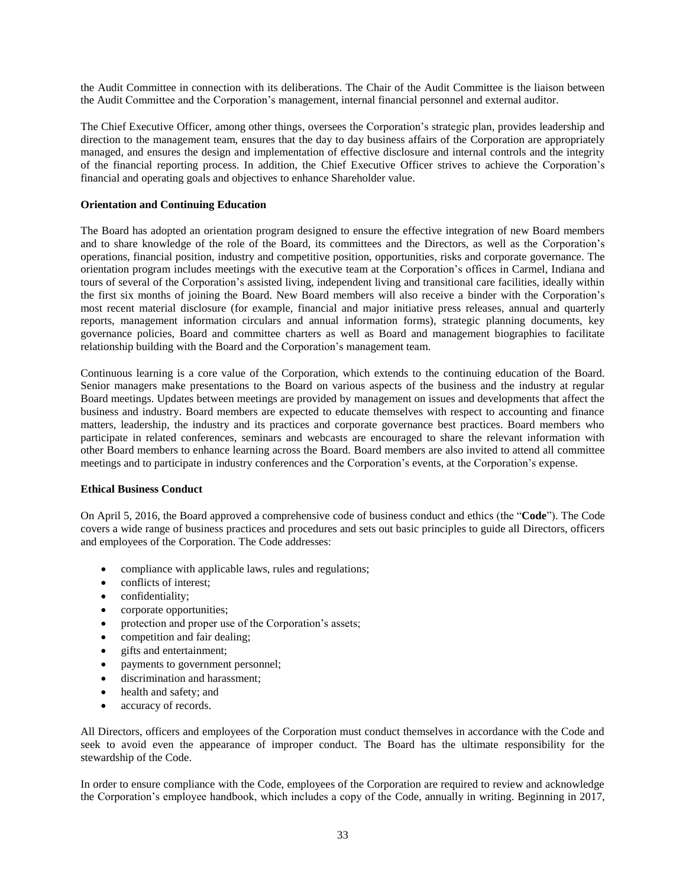the Audit Committee in connection with its deliberations. The Chair of the Audit Committee is the liaison between the Audit Committee and the Corporation's management, internal financial personnel and external auditor.

The Chief Executive Officer, among other things, oversees the Corporation's strategic plan, provides leadership and direction to the management team, ensures that the day to day business affairs of the Corporation are appropriately managed, and ensures the design and implementation of effective disclosure and internal controls and the integrity of the financial reporting process. In addition, the Chief Executive Officer strives to achieve the Corporation's financial and operating goals and objectives to enhance Shareholder value.

## <span id="page-36-0"></span>**Orientation and Continuing Education**

The Board has adopted an orientation program designed to ensure the effective integration of new Board members and to share knowledge of the role of the Board, its committees and the Directors, as well as the Corporation's operations, financial position, industry and competitive position, opportunities, risks and corporate governance. The orientation program includes meetings with the executive team at the Corporation's offices in Carmel, Indiana and tours of several of the Corporation's assisted living, independent living and transitional care facilities, ideally within the first six months of joining the Board. New Board members will also receive a binder with the Corporation's most recent material disclosure (for example, financial and major initiative press releases, annual and quarterly reports, management information circulars and annual information forms), strategic planning documents, key governance policies, Board and committee charters as well as Board and management biographies to facilitate relationship building with the Board and the Corporation's management team.

Continuous learning is a core value of the Corporation, which extends to the continuing education of the Board. Senior managers make presentations to the Board on various aspects of the business and the industry at regular Board meetings. Updates between meetings are provided by management on issues and developments that affect the business and industry. Board members are expected to educate themselves with respect to accounting and finance matters, leadership, the industry and its practices and corporate governance best practices. Board members who participate in related conferences, seminars and webcasts are encouraged to share the relevant information with other Board members to enhance learning across the Board. Board members are also invited to attend all committee meetings and to participate in industry conferences and the Corporation's events, at the Corporation's expense.

#### <span id="page-36-1"></span>**Ethical Business Conduct**

On April 5, 2016, the Board approved a comprehensive code of business conduct and ethics (the "**Code**"). The Code covers a wide range of business practices and procedures and sets out basic principles to guide all Directors, officers and employees of the Corporation. The Code addresses:

- compliance with applicable laws, rules and regulations;
- conflicts of interest;
- confidentiality;
- corporate opportunities;
- protection and proper use of the Corporation's assets;
- competition and fair dealing;
- gifts and entertainment;
- payments to government personnel;
- discrimination and harassment;
- health and safety; and
- accuracy of records.

All Directors, officers and employees of the Corporation must conduct themselves in accordance with the Code and seek to avoid even the appearance of improper conduct. The Board has the ultimate responsibility for the stewardship of the Code.

In order to ensure compliance with the Code, employees of the Corporation are required to review and acknowledge the Corporation's employee handbook, which includes a copy of the Code, annually in writing. Beginning in 2017,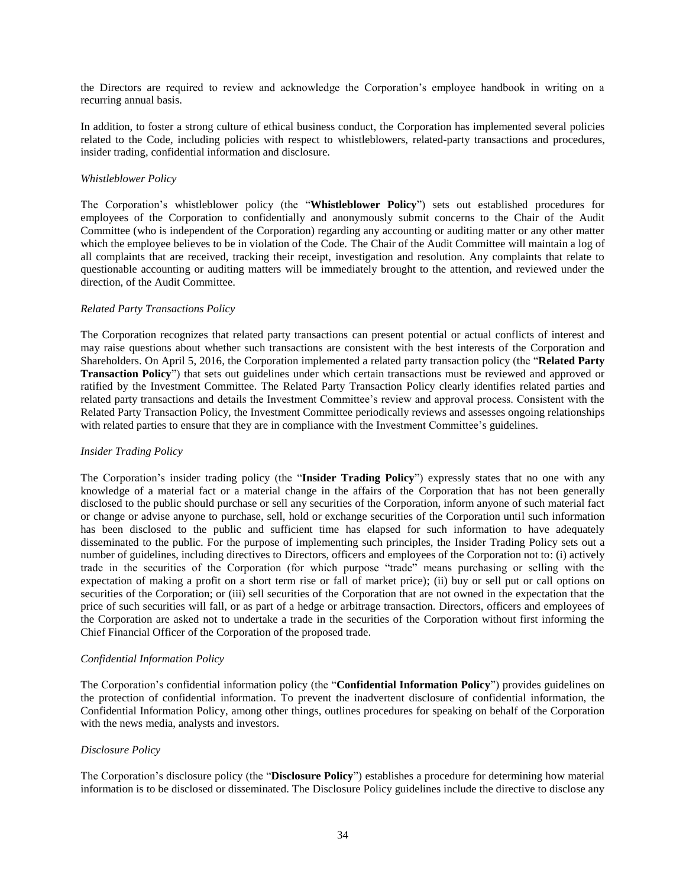the Directors are required to review and acknowledge the Corporation's employee handbook in writing on a recurring annual basis.

In addition, to foster a strong culture of ethical business conduct, the Corporation has implemented several policies related to the Code, including policies with respect to whistleblowers, related-party transactions and procedures, insider trading, confidential information and disclosure.

## *Whistleblower Policy*

The Corporation's whistleblower policy (the "**Whistleblower Policy**") sets out established procedures for employees of the Corporation to confidentially and anonymously submit concerns to the Chair of the Audit Committee (who is independent of the Corporation) regarding any accounting or auditing matter or any other matter which the employee believes to be in violation of the Code. The Chair of the Audit Committee will maintain a log of all complaints that are received, tracking their receipt, investigation and resolution. Any complaints that relate to questionable accounting or auditing matters will be immediately brought to the attention, and reviewed under the direction, of the Audit Committee.

## *Related Party Transactions Policy*

The Corporation recognizes that related party transactions can present potential or actual conflicts of interest and may raise questions about whether such transactions are consistent with the best interests of the Corporation and Shareholders. On April 5, 2016, the Corporation implemented a related party transaction policy (the "**Related Party Transaction Policy**") that sets out guidelines under which certain transactions must be reviewed and approved or ratified by the Investment Committee. The Related Party Transaction Policy clearly identifies related parties and related party transactions and details the Investment Committee's review and approval process. Consistent with the Related Party Transaction Policy, the Investment Committee periodically reviews and assesses ongoing relationships with related parties to ensure that they are in compliance with the Investment Committee's guidelines.

#### *Insider Trading Policy*

The Corporation's insider trading policy (the "**Insider Trading Policy**") expressly states that no one with any knowledge of a material fact or a material change in the affairs of the Corporation that has not been generally disclosed to the public should purchase or sell any securities of the Corporation, inform anyone of such material fact or change or advise anyone to purchase, sell, hold or exchange securities of the Corporation until such information has been disclosed to the public and sufficient time has elapsed for such information to have adequately disseminated to the public. For the purpose of implementing such principles, the Insider Trading Policy sets out a number of guidelines, including directives to Directors, officers and employees of the Corporation not to: (i) actively trade in the securities of the Corporation (for which purpose "trade" means purchasing or selling with the expectation of making a profit on a short term rise or fall of market price); (ii) buy or sell put or call options on securities of the Corporation; or (iii) sell securities of the Corporation that are not owned in the expectation that the price of such securities will fall, or as part of a hedge or arbitrage transaction. Directors, officers and employees of the Corporation are asked not to undertake a trade in the securities of the Corporation without first informing the Chief Financial Officer of the Corporation of the proposed trade.

#### *Confidential Information Policy*

The Corporation's confidential information policy (the "**Confidential Information Policy**") provides guidelines on the protection of confidential information. To prevent the inadvertent disclosure of confidential information, the Confidential Information Policy, among other things, outlines procedures for speaking on behalf of the Corporation with the news media, analysts and investors.

## *Disclosure Policy*

The Corporation's disclosure policy (the "**Disclosure Policy**") establishes a procedure for determining how material information is to be disclosed or disseminated. The Disclosure Policy guidelines include the directive to disclose any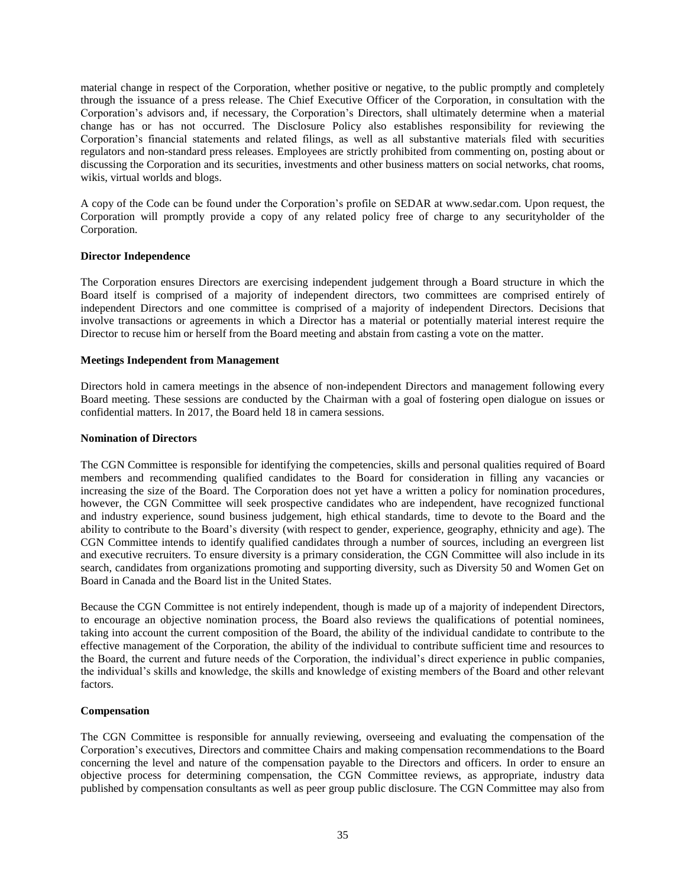material change in respect of the Corporation, whether positive or negative, to the public promptly and completely through the issuance of a press release. The Chief Executive Officer of the Corporation, in consultation with the Corporation's advisors and, if necessary, the Corporation's Directors, shall ultimately determine when a material change has or has not occurred. The Disclosure Policy also establishes responsibility for reviewing the Corporation's financial statements and related filings, as well as all substantive materials filed with securities regulators and non-standard press releases. Employees are strictly prohibited from commenting on, posting about or discussing the Corporation and its securities, investments and other business matters on social networks, chat rooms, wikis, virtual worlds and blogs.

A copy of the Code can be found under the Corporation's profile on SEDAR at www.sedar.com. Upon request, the Corporation will promptly provide a copy of any related policy free of charge to any securityholder of the Corporation.

## <span id="page-38-0"></span>**Director Independence**

The Corporation ensures Directors are exercising independent judgement through a Board structure in which the Board itself is comprised of a majority of independent directors, two committees are comprised entirely of independent Directors and one committee is comprised of a majority of independent Directors. Decisions that involve transactions or agreements in which a Director has a material or potentially material interest require the Director to recuse him or herself from the Board meeting and abstain from casting a vote on the matter.

## <span id="page-38-1"></span>**Meetings Independent from Management**

Directors hold in camera meetings in the absence of non-independent Directors and management following every Board meeting. These sessions are conducted by the Chairman with a goal of fostering open dialogue on issues or confidential matters. In 2017, the Board held 18 in camera sessions.

### <span id="page-38-2"></span>**Nomination of Directors**

The CGN Committee is responsible for identifying the competencies, skills and personal qualities required of Board members and recommending qualified candidates to the Board for consideration in filling any vacancies or increasing the size of the Board. The Corporation does not yet have a written a policy for nomination procedures, however, the CGN Committee will seek prospective candidates who are independent, have recognized functional and industry experience, sound business judgement, high ethical standards, time to devote to the Board and the ability to contribute to the Board's diversity (with respect to gender, experience, geography, ethnicity and age). The CGN Committee intends to identify qualified candidates through a number of sources, including an evergreen list and executive recruiters. To ensure diversity is a primary consideration, the CGN Committee will also include in its search, candidates from organizations promoting and supporting diversity, such as Diversity 50 and Women Get on Board in Canada and the Board list in the United States.

Because the CGN Committee is not entirely independent, though is made up of a majority of independent Directors, to encourage an objective nomination process, the Board also reviews the qualifications of potential nominees, taking into account the current composition of the Board, the ability of the individual candidate to contribute to the effective management of the Corporation, the ability of the individual to contribute sufficient time and resources to the Board, the current and future needs of the Corporation, the individual's direct experience in public companies, the individual's skills and knowledge, the skills and knowledge of existing members of the Board and other relevant factors.

#### <span id="page-38-3"></span>**Compensation**

The CGN Committee is responsible for annually reviewing, overseeing and evaluating the compensation of the Corporation's executives, Directors and committee Chairs and making compensation recommendations to the Board concerning the level and nature of the compensation payable to the Directors and officers. In order to ensure an objective process for determining compensation, the CGN Committee reviews, as appropriate, industry data published by compensation consultants as well as peer group public disclosure. The CGN Committee may also from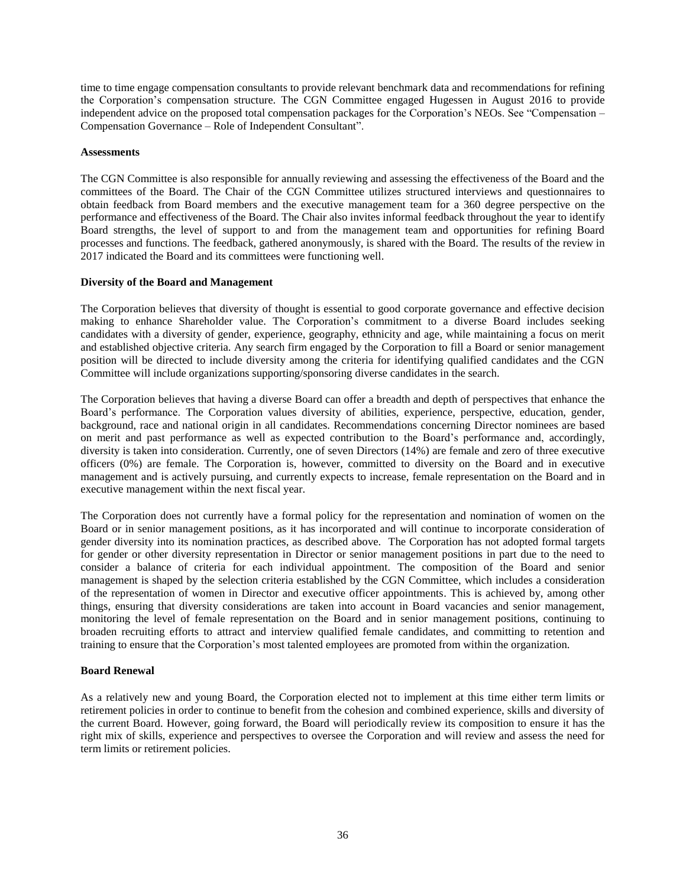time to time engage compensation consultants to provide relevant benchmark data and recommendations for refining the Corporation's compensation structure. The CGN Committee engaged Hugessen in August 2016 to provide independent advice on the proposed total compensation packages for the Corporation's NEOs. See "Compensation – Compensation Governance – Role of Independent Consultant".

#### <span id="page-39-0"></span>**Assessments**

The CGN Committee is also responsible for annually reviewing and assessing the effectiveness of the Board and the committees of the Board. The Chair of the CGN Committee utilizes structured interviews and questionnaires to obtain feedback from Board members and the executive management team for a 360 degree perspective on the performance and effectiveness of the Board. The Chair also invites informal feedback throughout the year to identify Board strengths, the level of support to and from the management team and opportunities for refining Board processes and functions. The feedback, gathered anonymously, is shared with the Board. The results of the review in 2017 indicated the Board and its committees were functioning well.

#### <span id="page-39-1"></span>**Diversity of the Board and Management**

The Corporation believes that diversity of thought is essential to good corporate governance and effective decision making to enhance Shareholder value. The Corporation's commitment to a diverse Board includes seeking candidates with a diversity of gender, experience, geography, ethnicity and age, while maintaining a focus on merit and established objective criteria. Any search firm engaged by the Corporation to fill a Board or senior management position will be directed to include diversity among the criteria for identifying qualified candidates and the CGN Committee will include organizations supporting/sponsoring diverse candidates in the search.

The Corporation believes that having a diverse Board can offer a breadth and depth of perspectives that enhance the Board's performance. The Corporation values diversity of abilities, experience, perspective, education, gender, background, race and national origin in all candidates. Recommendations concerning Director nominees are based on merit and past performance as well as expected contribution to the Board's performance and, accordingly, diversity is taken into consideration. Currently, one of seven Directors (14%) are female and zero of three executive officers (0%) are female. The Corporation is, however, committed to diversity on the Board and in executive management and is actively pursuing, and currently expects to increase, female representation on the Board and in executive management within the next fiscal year.

The Corporation does not currently have a formal policy for the representation and nomination of women on the Board or in senior management positions, as it has incorporated and will continue to incorporate consideration of gender diversity into its nomination practices, as described above. The Corporation has not adopted formal targets for gender or other diversity representation in Director or senior management positions in part due to the need to consider a balance of criteria for each individual appointment. The composition of the Board and senior management is shaped by the selection criteria established by the CGN Committee, which includes a consideration of the representation of women in Director and executive officer appointments. This is achieved by, among other things, ensuring that diversity considerations are taken into account in Board vacancies and senior management, monitoring the level of female representation on the Board and in senior management positions, continuing to broaden recruiting efforts to attract and interview qualified female candidates, and committing to retention and training to ensure that the Corporation's most talented employees are promoted from within the organization.

#### <span id="page-39-2"></span>**Board Renewal**

As a relatively new and young Board, the Corporation elected not to implement at this time either term limits or retirement policies in order to continue to benefit from the cohesion and combined experience, skills and diversity of the current Board. However, going forward, the Board will periodically review its composition to ensure it has the right mix of skills, experience and perspectives to oversee the Corporation and will review and assess the need for term limits or retirement policies.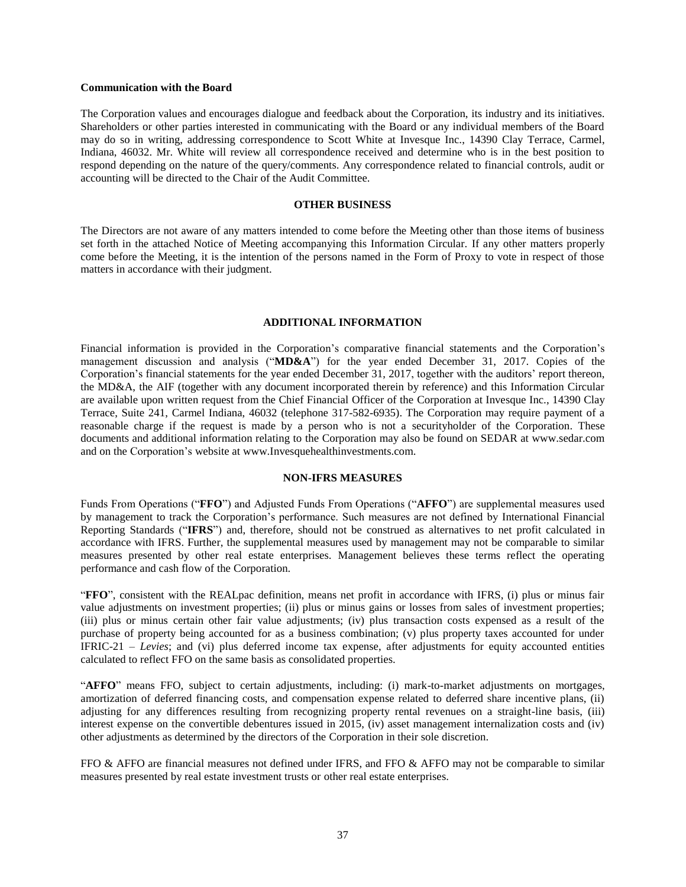#### <span id="page-40-0"></span>**Communication with the Board**

The Corporation values and encourages dialogue and feedback about the Corporation, its industry and its initiatives. Shareholders or other parties interested in communicating with the Board or any individual members of the Board may do so in writing, addressing correspondence to Scott White at Invesque Inc., 14390 Clay Terrace, Carmel, Indiana, 46032. Mr. White will review all correspondence received and determine who is in the best position to respond depending on the nature of the query/comments. Any correspondence related to financial controls, audit or accounting will be directed to the Chair of the Audit Committee.

#### **OTHER BUSINESS**

<span id="page-40-1"></span>The Directors are not aware of any matters intended to come before the Meeting other than those items of business set forth in the attached Notice of Meeting accompanying this Information Circular. If any other matters properly come before the Meeting, it is the intention of the persons named in the Form of Proxy to vote in respect of those matters in accordance with their judgment.

#### **ADDITIONAL INFORMATION**

<span id="page-40-2"></span>Financial information is provided in the Corporation's comparative financial statements and the Corporation's management discussion and analysis ("**MD&A**") for the year ended December 31, 2017. Copies of the Corporation's financial statements for the year ended December 31, 2017, together with the auditors' report thereon, the MD&A, the AIF (together with any document incorporated therein by reference) and this Information Circular are available upon written request from the Chief Financial Officer of the Corporation at Invesque Inc., 14390 Clay Terrace, Suite 241, Carmel Indiana, 46032 (telephone 317-582-6935). The Corporation may require payment of a reasonable charge if the request is made by a person who is not a securityholder of the Corporation. These documents and additional information relating to the Corporation may also be found on SEDAR at www.sedar.com and on the Corporation's website at www.Invesquehealthinvestments.com.

#### **NON-IFRS MEASURES**

Funds From Operations ("**FFO**") and Adjusted Funds From Operations ("**AFFO**") are supplemental measures used by management to track the Corporation's performance. Such measures are not defined by International Financial Reporting Standards ("**IFRS**") and, therefore, should not be construed as alternatives to net profit calculated in accordance with IFRS. Further, the supplemental measures used by management may not be comparable to similar measures presented by other real estate enterprises. Management believes these terms reflect the operating performance and cash flow of the Corporation.

"**FFO**", consistent with the REALpac definition, means net profit in accordance with IFRS, (i) plus or minus fair value adjustments on investment properties; (ii) plus or minus gains or losses from sales of investment properties; (iii) plus or minus certain other fair value adjustments; (iv) plus transaction costs expensed as a result of the purchase of property being accounted for as a business combination; (v) plus property taxes accounted for under IFRIC-21 – *Levies*; and (vi) plus deferred income tax expense, after adjustments for equity accounted entities calculated to reflect FFO on the same basis as consolidated properties.

"**AFFO**" means FFO, subject to certain adjustments, including: (i) mark-to-market adjustments on mortgages, amortization of deferred financing costs, and compensation expense related to deferred share incentive plans, (ii) adjusting for any differences resulting from recognizing property rental revenues on a straight-line basis, (iii) interest expense on the convertible debentures issued in 2015, (iv) asset management internalization costs and (iv) other adjustments as determined by the directors of the Corporation in their sole discretion.

FFO & AFFO are financial measures not defined under IFRS, and FFO & AFFO may not be comparable to similar measures presented by real estate investment trusts or other real estate enterprises.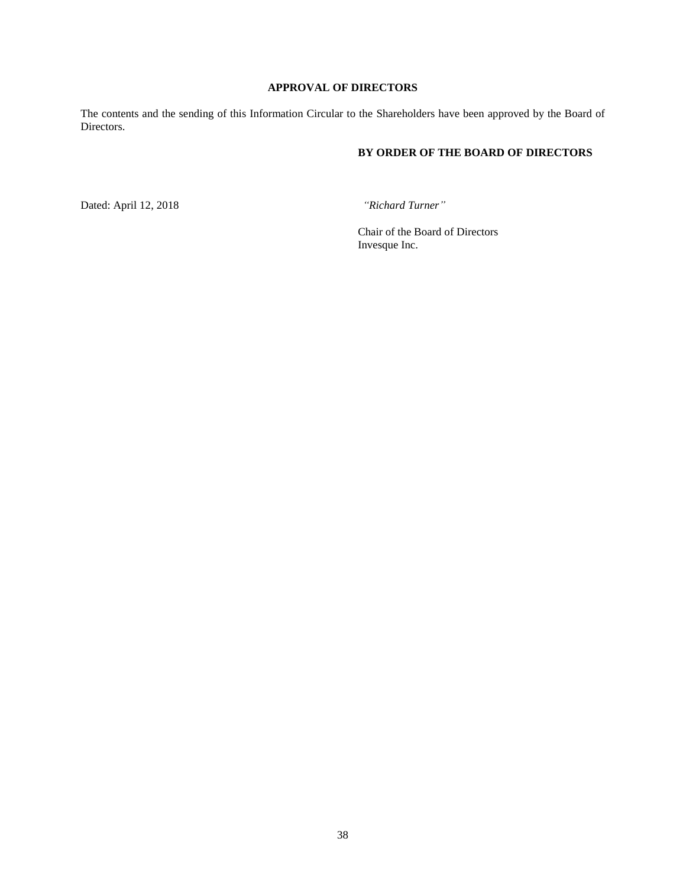# **APPROVAL OF DIRECTORS**

<span id="page-41-0"></span>The contents and the sending of this Information Circular to the Shareholders have been approved by the Board of Directors.

# **BY ORDER OF THE BOARD OF DIRECTORS**

Dated: April 12, 2018 *"Richard Turner"*

Chair of the Board of Directors Invesque Inc.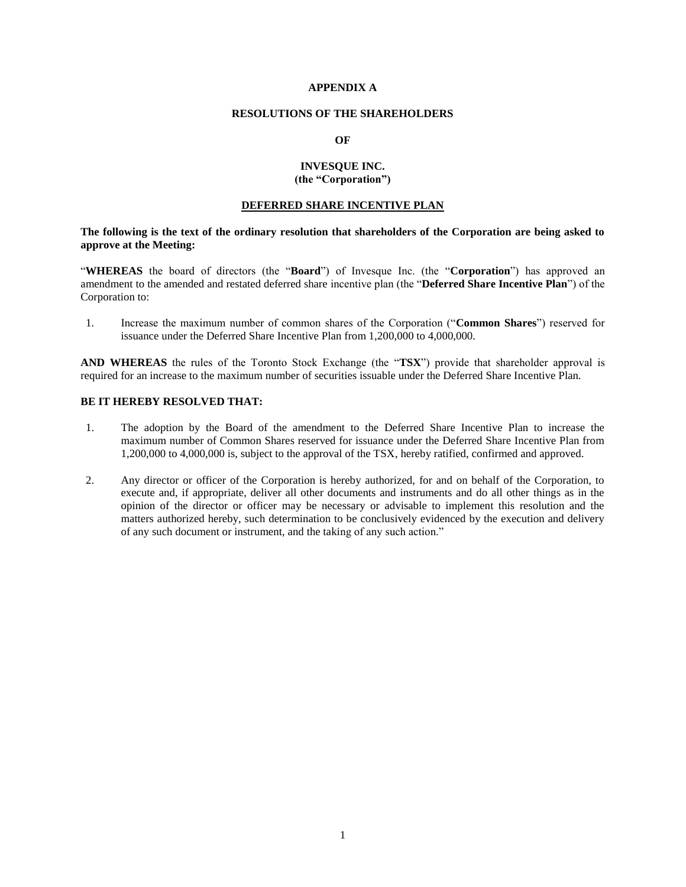## **APPENDIX A**

#### **RESOLUTIONS OF THE SHAREHOLDERS**

#### **OF**

## **INVESQUE INC. (the "Corporation")**

#### **DEFERRED SHARE INCENTIVE PLAN**

#### **The following is the text of the ordinary resolution that shareholders of the Corporation are being asked to approve at the Meeting:**

"**WHEREAS** the board of directors (the "**Board**") of Invesque Inc. (the "**Corporation**") has approved an amendment to the amended and restated deferred share incentive plan (the "**Deferred Share Incentive Plan**") of the Corporation to:

1. Increase the maximum number of common shares of the Corporation ("**Common Shares**") reserved for issuance under the Deferred Share Incentive Plan from 1,200,000 to 4,000,000.

**AND WHEREAS** the rules of the Toronto Stock Exchange (the "**TSX**") provide that shareholder approval is required for an increase to the maximum number of securities issuable under the Deferred Share Incentive Plan.

## **BE IT HEREBY RESOLVED THAT:**

- 1. The adoption by the Board of the amendment to the Deferred Share Incentive Plan to increase the maximum number of Common Shares reserved for issuance under the Deferred Share Incentive Plan from 1,200,000 to 4,000,000 is, subject to the approval of the TSX, hereby ratified, confirmed and approved.
- 2. Any director or officer of the Corporation is hereby authorized, for and on behalf of the Corporation, to execute and, if appropriate, deliver all other documents and instruments and do all other things as in the opinion of the director or officer may be necessary or advisable to implement this resolution and the matters authorized hereby, such determination to be conclusively evidenced by the execution and delivery of any such document or instrument, and the taking of any such action."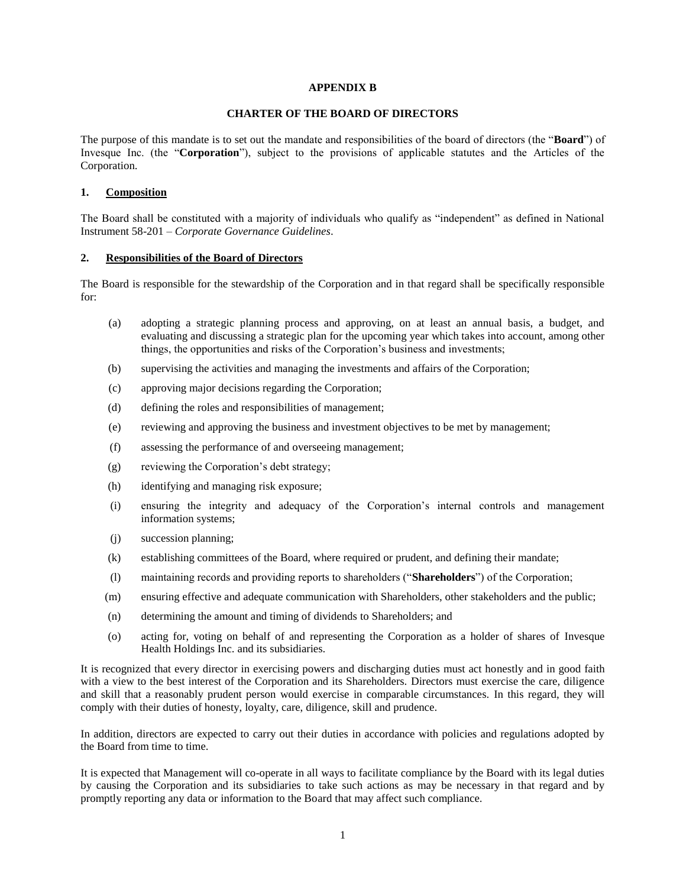#### **APPENDIX B**

#### **CHARTER OF THE BOARD OF DIRECTORS**

The purpose of this mandate is to set out the mandate and responsibilities of the board of directors (the "**Board**") of Invesque Inc. (the "**Corporation**"), subject to the provisions of applicable statutes and the Articles of the Corporation.

#### **1. Composition**

The Board shall be constituted with a majority of individuals who qualify as "independent" as defined in National Instrument 58-201 – *Corporate Governance Guidelines*.

#### **2. Responsibilities of the Board of Directors**

The Board is responsible for the stewardship of the Corporation and in that regard shall be specifically responsible for:

- (a) adopting a strategic planning process and approving, on at least an annual basis, a budget, and evaluating and discussing a strategic plan for the upcoming year which takes into account, among other things, the opportunities and risks of the Corporation's business and investments;
- (b) supervising the activities and managing the investments and affairs of the Corporation;
- (c) approving major decisions regarding the Corporation;
- (d) defining the roles and responsibilities of management;
- (e) reviewing and approving the business and investment objectives to be met by management;
- (f) assessing the performance of and overseeing management;
- (g) reviewing the Corporation's debt strategy;
- (h) identifying and managing risk exposure;
- (i) ensuring the integrity and adequacy of the Corporation's internal controls and management information systems;
- (j) succession planning;
- (k) establishing committees of the Board, where required or prudent, and defining their mandate;
- (l) maintaining records and providing reports to shareholders ("**Shareholders**") of the Corporation;
- (m) ensuring effective and adequate communication with Shareholders, other stakeholders and the public;
- (n) determining the amount and timing of dividends to Shareholders; and
- (o) acting for, voting on behalf of and representing the Corporation as a holder of shares of Invesque Health Holdings Inc. and its subsidiaries.

It is recognized that every director in exercising powers and discharging duties must act honestly and in good faith with a view to the best interest of the Corporation and its Shareholders. Directors must exercise the care, diligence and skill that a reasonably prudent person would exercise in comparable circumstances. In this regard, they will comply with their duties of honesty, loyalty, care, diligence, skill and prudence.

In addition, directors are expected to carry out their duties in accordance with policies and regulations adopted by the Board from time to time.

It is expected that Management will co-operate in all ways to facilitate compliance by the Board with its legal duties by causing the Corporation and its subsidiaries to take such actions as may be necessary in that regard and by promptly reporting any data or information to the Board that may affect such compliance.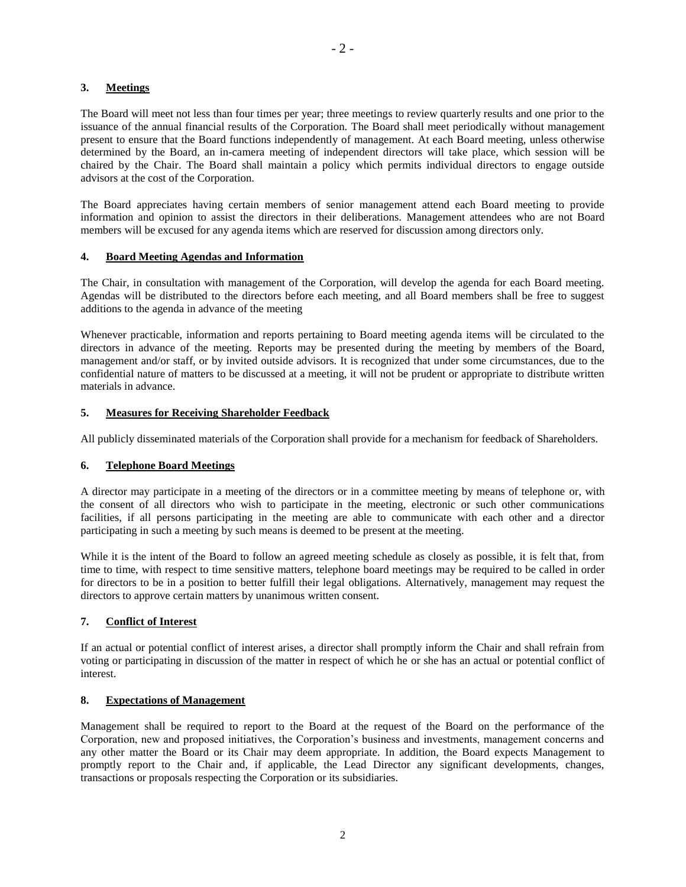## **3. Meetings**

The Board will meet not less than four times per year; three meetings to review quarterly results and one prior to the issuance of the annual financial results of the Corporation. The Board shall meet periodically without management present to ensure that the Board functions independently of management. At each Board meeting, unless otherwise determined by the Board, an in-camera meeting of independent directors will take place, which session will be chaired by the Chair. The Board shall maintain a policy which permits individual directors to engage outside advisors at the cost of the Corporation.

The Board appreciates having certain members of senior management attend each Board meeting to provide information and opinion to assist the directors in their deliberations. Management attendees who are not Board members will be excused for any agenda items which are reserved for discussion among directors only.

## **4. Board Meeting Agendas and Information**

The Chair, in consultation with management of the Corporation, will develop the agenda for each Board meeting. Agendas will be distributed to the directors before each meeting, and all Board members shall be free to suggest additions to the agenda in advance of the meeting

Whenever practicable, information and reports pertaining to Board meeting agenda items will be circulated to the directors in advance of the meeting. Reports may be presented during the meeting by members of the Board, management and/or staff, or by invited outside advisors. It is recognized that under some circumstances, due to the confidential nature of matters to be discussed at a meeting, it will not be prudent or appropriate to distribute written materials in advance.

## **5. Measures for Receiving Shareholder Feedback**

All publicly disseminated materials of the Corporation shall provide for a mechanism for feedback of Shareholders.

## **6. Telephone Board Meetings**

A director may participate in a meeting of the directors or in a committee meeting by means of telephone or, with the consent of all directors who wish to participate in the meeting, electronic or such other communications facilities, if all persons participating in the meeting are able to communicate with each other and a director participating in such a meeting by such means is deemed to be present at the meeting.

While it is the intent of the Board to follow an agreed meeting schedule as closely as possible, it is felt that, from time to time, with respect to time sensitive matters, telephone board meetings may be required to be called in order for directors to be in a position to better fulfill their legal obligations. Alternatively, management may request the directors to approve certain matters by unanimous written consent.

## **7. Conflict of Interest**

If an actual or potential conflict of interest arises, a director shall promptly inform the Chair and shall refrain from voting or participating in discussion of the matter in respect of which he or she has an actual or potential conflict of interest.

#### **8. Expectations of Management**

Management shall be required to report to the Board at the request of the Board on the performance of the Corporation, new and proposed initiatives, the Corporation's business and investments, management concerns and any other matter the Board or its Chair may deem appropriate. In addition, the Board expects Management to promptly report to the Chair and, if applicable, the Lead Director any significant developments, changes, transactions or proposals respecting the Corporation or its subsidiaries.